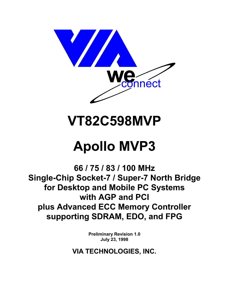

# **VT82C598MVP**

# **Apollo MVP3**

66 / 75 / 83 / 100 MHz Single-Chip Socket-7 / Super-7 North Bridge for Desktop and Mobile PC Systems with AGP and PCI plus Advanced ECC Memory Controller supporting SDRAM, EDO, and FPG

> **Preliminary Revision 1.0** July 23, 1998

VIA TECHNOLOGIES, INC.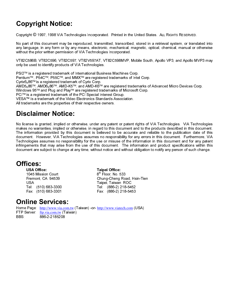# Copyright Notice:

Copyright © 1997, 1998 VIA Technologies Incorporated. Printed in the United States. ALL RIGHTS RESERVED.

No part of this document may be reproduced, transmitted, transcribed, stored in a retrieval system, or translated into any language, in any form or by any means, electronic, mechanical, magnetic, optical, chemical, manual or otherwise without the prior written permission of VIA Technologies Incorporated.

VT82C586B, VT82C596, VT82C597, VT82V597AT, VT82C598MVP, Mobile South, Apollo VP3, and Apollo MVP3 may only be used to identify products of VIA Technologies.

PS/2™ is a registered trademark of International Business Machines Corp.

Pentium™, P54C™, P55C™, and MMX™ are registered trademarks of Intel Corp.

 $\text{C}\text{v}$ rix $6_x 86$ <sup>TM</sup> is a registered trademark of Cyrix Corp.

AMD5<sub>K</sub>86<sup>TM</sup>, AMD6<sub>K</sub>86<sup>TM</sup>, AMD-K5<sup>TM</sup>, and AMD-K6<sup>TM</sup> are registered trademarks of Advanced Micro Devices Corp.

Windows 95™ and Plug and Play™ are registered trademarks of Microsoft Corp.

PCI<sup>™</sup> is a registered trademark of the PCI Special Interest Group.

VESA™ is a trademark of the Video Electronics Standards Association.

All trademarks are the properties of their respective owners.

# Disclaimer Notice:

No license is granted, implied or otherwise, under any patent or patent rights of VIA Technologies. VIA Technologies makes no warranties, implied or otherwise, in regard to this document and to the products described in this document. The information provided by this document is believed to be accurate and reliable to the publication date of this document. However, VIA Technologies assumes no responsibility for any errors in this document. Furthermore, VIA Technologies assumes no responsibility for the use or misuse of the information in this document and for any patent infringements that may arise from the use of this document. The information and product specifications within this document are subject to change at any time, without notice and without obligation to notify any person of such change.

# Offices:

86\$ 2IILFH 7DLSHL 2IILFH 1045 Mission Court 86\$ 7DLSHL 7DLZDQ 52&

Fremont, CA 94539 **68 Chung-Cheng Road, Hsin-Tien** 7HO  7HO   $Fax$ : (886-2) 218-5453

# **Online Services:**

Home Page: http://www.via.com.tw (Taiwan) -or-http://www.viatech.com (USA) FTP Server ftp.via.com.tw (Taiwan) BBS: 886-2-2185208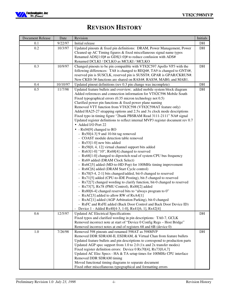

# **REVISION HISTORY**

| <b>Document Release</b> | Date     | Revision                                                                                                                                                                                                                                                                                                                                                                                                                                                                                                                                                                                                                                                                                                                                                                                                                                                                                                                                                                                                                                                                                                                                                                                                                                                                                                                                                                                                                                                                                                                                                                                               | Initials  |
|-------------------------|----------|--------------------------------------------------------------------------------------------------------------------------------------------------------------------------------------------------------------------------------------------------------------------------------------------------------------------------------------------------------------------------------------------------------------------------------------------------------------------------------------------------------------------------------------------------------------------------------------------------------------------------------------------------------------------------------------------------------------------------------------------------------------------------------------------------------------------------------------------------------------------------------------------------------------------------------------------------------------------------------------------------------------------------------------------------------------------------------------------------------------------------------------------------------------------------------------------------------------------------------------------------------------------------------------------------------------------------------------------------------------------------------------------------------------------------------------------------------------------------------------------------------------------------------------------------------------------------------------------------------|-----------|
| 0.1                     | 9/22/97  | Initial release                                                                                                                                                                                                                                                                                                                                                                                                                                                                                                                                                                                                                                                                                                                                                                                                                                                                                                                                                                                                                                                                                                                                                                                                                                                                                                                                                                                                                                                                                                                                                                                        | $\rm{DH}$ |
| 0.2                     | 10/3/97  | Updated pinouts & fixed pin definitions: DRAM, Power Management, Power<br>Cleaned up AC Timing figures & fixed miscellaneous signal name typos<br>Renamed ADS[1:0]# as GDS[1:0]# to reduce confusion with ADS#<br>Renamed DCLKI / DCLKO as MCLKI / MCLKO                                                                                                                                                                                                                                                                                                                                                                                                                                                                                                                                                                                                                                                                                                                                                                                                                                                                                                                                                                                                                                                                                                                                                                                                                                                                                                                                               | DH        |
| 0.3                     | 10/9/97  | Changed pinouts to be pin compatible with VT82C597 Apollo VP3 with the<br>following differences: TA8 is changed to REQ4#, TA9 is changed to GNT4#,<br>reserved pin is SUSCLK, reserved pin is SUSST#, GPAR is GPAR/CKRUN#.<br>New CKE0-3# functions are shared on RAS4#, RAS5#, MAB0, and MAB1.                                                                                                                                                                                                                                                                                                                                                                                                                                                                                                                                                                                                                                                                                                                                                                                                                                                                                                                                                                                                                                                                                                                                                                                                                                                                                                        | DH        |
| 0.4                     | 10/10/97 | Updated pinout definitions (rev 0.3 pin change was incomplete)                                                                                                                                                                                                                                                                                                                                                                                                                                                                                                                                                                                                                                                                                                                                                                                                                                                                                                                                                                                                                                                                                                                                                                                                                                                                                                                                                                                                                                                                                                                                         | DH        |
| 0.5                     | 11/7/98  | Updated feature bullets and overview; added mobile system block diagram<br>Added references and connection information for VT82C596 Mobile South<br>Fixed typographical errors (0.35 micron technology not 0.5)<br>Clarified power pin functions & fixed power plane naming<br>Removed VTT function from VT82C598 (VT82C598AT feature only)<br>Added HA25-27 strapping options and 2.5x and 3x clock mode descriptions<br>Fixed typo in timing figure "2bank PBSRAM Read 3111-2111" NA# signal<br>Updated register definitions to reflect internal MVP3 register document rev 0.7<br>• Added I/O Port 22<br>$\bullet$ - Rx04[9] changed to RO<br>- Rx50[4-3] 9 and 10-bit tag removed<br>- COAST module detection table removed<br>- Rx53[1-0] new bits added<br>- Rx58[0, 4, 12] virtual channel support bits added<br>- Rx63[1-0] "10", Rx68[4] changed to reserved<br>- Rx68[1-0] changed to dipswitch read of system CPU bus frequency<br>- Rx69 added (DRAM Clock Select)<br>- Rx6C[5] added (MD-to-HD Pop) for 100MHz timing improvement<br>- Rx6C[6] added (DRAM Start Cycle control)<br>- Rx70[5-4, 2-1] bits changed/added, bit-0 changed to reserved<br>- Rx71[5] added (CPU-to-IDE Posting), bit-5 changed to reserved<br>- Rx72[7] changed wording to clarify function, bit-0 changed to reserved<br>- Rx73[7], Rx78 (PMU Control), Rx88[2] added<br>- Rx80[6-4] changed reserved bits to "always program to 0"<br>- RxAC[3] added to allow RW of RxA4[1]<br>- RxAC[1] added (AGP Arbitration Parking), bit-0 changed<br>- RxFC and RxFE added (Back Door Control and Back Door Device ID) | DH        |
| 0.6                     | 12/5/97  | - Device 1 - Added Rx40[4-3, 1-0], Rx41[6, 1], Rx42[4]<br><b>Updated AC Electrical Specifications</b><br>Fixed typos and clarified wording in pin descriptions: TA0-7, GCLK<br>Removed incorrect note at start of "Device 0 Config Regs - Host Bridge"<br>Removed incorrect notes at end of registers 68 and 6B (device 0)                                                                                                                                                                                                                                                                                                                                                                                                                                                                                                                                                                                                                                                                                                                                                                                                                                                                                                                                                                                                                                                                                                                                                                                                                                                                             | DH        |
| 1.0                     | 7/26/98  | Removed 598 pinouts and renamed 598AT as 598MVP<br>Removed DDR SDRAM-II, ESDRAM, & Virtual Chan from feature bullets<br>Updated feature bullets and pin descriptions to correspond to production parts<br>Updated AGP spec support from 1.0 to 2.0 (1x and 2x transfer modes)<br>Fixed register definition errors: Device 0 Rx70[4], Rx73[0,4,7]<br>Updated AC Elec Specs - HA & TA setup times for 100MHz CPU interface<br>Removed DDR SDRAM timing<br>Moved functional timing diagrams to separate document<br>Fixed other miscellaneous typographical and formatting errors                                                                                                                                                                                                                                                                                                                                                                                                                                                                                                                                                                                                                                                                                                                                                                                                                                                                                                                                                                                                                         | DH        |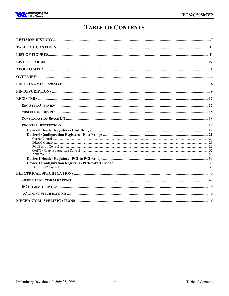

# **TABLE OF CONTENTS**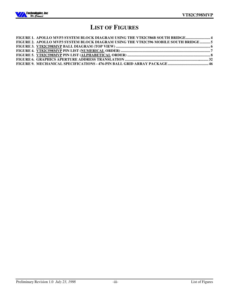

# **LIST OF FIGURES**

| FIGURE 1. APOLLO MVP3 SYSTEM BLOCK DIAGRAM USING THE VT82C586B SOUTH BRIDGE 4       |  |
|-------------------------------------------------------------------------------------|--|
| FIGURE 2. APOLLO MVP3 SYSTEM BLOCK DIAGRAM USING THE VT82C596 MOBILE SOUTH BRIDGE 5 |  |
|                                                                                     |  |
|                                                                                     |  |
|                                                                                     |  |
|                                                                                     |  |
|                                                                                     |  |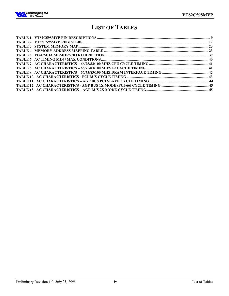

# **LIST OF TABLES**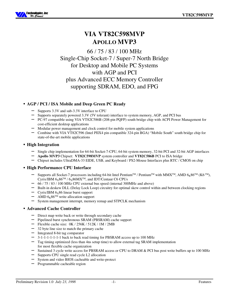

# **VIA VT82C598MVP APOLLO MVP3**

# 66 / 75 / 83 / 100 MHz Single-Chip Socket-7 / Super-7 North Bridge for Desktop and Mobile PC Systems with AGP and PCI plus Advanced ECC Memory Controller supporting SDRAM, EDO, and FPG

# • **AGP / PCI / ISA Mobile and Deep Green PC Ready**

- Supports 3.3V and sub-3.3V interface to CPU
- Supports separately powered 3.3V (5V tolerant) interface to system memory, AGP, and PCI bus
- − PC-97 compatible using VIA VT82C586B (208-pin PQFP) south bridge chip with ACPI Power Management for cost-efficient desktop applications
- Modular power management and clock control for mobile system applications
- − Combine with VIA VT82C596 (Intel PIIX4 pin compatible 324-pin BGA) "Mobile South" south bridge chip for state-of-the-art mobile applications

# • **High Integration**

- − Single chip implementation for 64-bit Socket-7-CPU, 64-bit system memory, 32-bit PCI and 32-bit AGP interfaces
- − **Apollo MVP3** Chipset: **VT82C598MVP** system controller and **VT82C586B** PCI to ISA bridge
- − Chipset includes UltraDMA-33 EIDE, USB, and Keyboard / PS2-Mouse Interfaces plus RTC / CMOS on chip

# • **High Performance CPU Interface**

- Supports all Socket-7 processors including 64-bit Intel Pentium™ / Pentium™ with MMX™, AMD 6<sub>K</sub>86™ (K6 ™), Cyrix/IBM  $6_X86^{TM}$  /  $6_X86MX^{TM}$ , and IDT/Centaur C6 CPUs
- − 66 / 75 / 83 / 100 MHz CPU external bus speed (internal 300MHz and above)
- − Built-in deskew DLL (Delay Lock Loop) circuitry for optimal skew control within and between clocking regions
- − Cyrix/IBM 6<sub>x</sub>86 linear burst support
- AMD  $6<sub>K</sub>86<sup>TM</sup>$  write allocation support
- System management interrupt, memory remap and STPCLK mechanism

### • **Advanced Cache Controller**

- − Direct map write back or write through secondary cache
- − Pipelined burst synchronous SRAM (PBSRAM) cache support
- − Flexible cache size: 0K / 256K / 512K / 1M / 2MB
- 32 byte line size to match the primary cache
- − Integrated 8-bit tag comparator
- − 3-1-1-1-1-1-1-1 back to back read timing for PBSRAM access up to 100 MHz
- − Tag timing optimized (less than 4ns setup time) to allow external tag SRAM implementation for most flexible cache organization
- Sustained 3 cycle write access for PBSRAM access or CPU to DRAM & PCI bus post write buffers up to 100 MHz
- Supports CPU single read cycle L2 allocation
- System and video BIOS cacheable and write-protect
- − Programmable cacheable region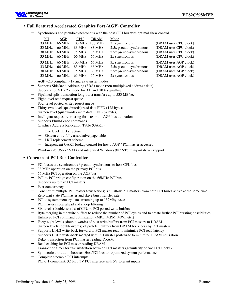

### • **Full Featured Accelerated Graphics Port (AGP) Controller**

− Synchronous and pseudo-synchronous with the host CPU bus with optimal skew control

| PCI    | AGP              | <b>CPU</b> | <b>DRAM</b>     | Mode                    |                       |
|--------|------------------|------------|-----------------|-------------------------|-----------------------|
| 33 MHz | 66 MHz           |            | 100 MHz 100 MHz | 3x synchronous          | (DRAM uses CPU clock) |
| 33 MHz | 66 MHz           | 83 MHz     | 83 MHz          | 2.5x pseudo-synchronous | (DRAM uses CPU clock) |
| 30 MHz | $60 \text{ MHz}$ | 75 MHz     | 75 MHz          | 2.5x pseudo-synchronous | (DRAM uses CPU clock) |
| 33 MHz | 66 MHz           | 66 MHz     | 66 MHz          | 2x synchronous          | (DRAM uses CPU clock) |
| 33 MHz | 66 MHz           | 100 MHz    | 66 MHz          | 3x synchronous          | (DRAM uses AGP clock) |
| 33 MHz | 66 MHz           | 83 MHz     | 66 MHz          | 2.5x pseudo-synchronous | (DRAM uses AGP clock) |
| 30 MHz | $60 \text{ MHz}$ | 75 MHz     | 66 MHz          | 2.5x pseudo-synchronous | (DRAM uses AGP clock) |
| 33 MHz | 66 MHz           | 66 MHz     | 66 MHz          | 2x synchronous          | (DRAM uses AGP clock) |

- − AGP v2.0 compliant (1x and 2x transfer modes)
- Supports SideBand Addressing (SBA) mode (non-multiplexed address / data)
- Supports 133MHz 2X mode for AD and SBA signalling
- − Pipelined split-transaction long-burst transfers up to 533 MB/sec
- − Eight level read request queue
- − Four level posted-write request queue
- − Thirty-two level (quadwords) read data FIFO (128 bytes)
- Sixteen level (quadwords) write data FIFO (64 bytes)
- Intelligent request reordering for maximum AGP bus utilization
- Supports Flush/Fence commands
- − Graphics Address Relocation Table (GART)
	- One level TLB structure
	- Sixteen entry fully associative page table
	- LRU replacement scheme
	- − Independent GART lookup control for host / AGP / PCI master accesses
- − Windows 95 OSR-2 VXD and integrated Windows 98 / NT5 miniport driver support

#### • **Concurrent PCI Bus Controller**

- − PCI buses are synchronous / pseudo-synchronous to host CPU bus
- 33 MHz operation on the primary PCI bus
- − 66 MHz PCI operation on the AGP bus
- − PCI-to-PCI bridge configuration on the 66MHz PCI bus
- − Supports up to five PCI masters
- − Peer concurrency
- − Concurrent multiple PCI master transactions; i.e., allow PCI masters from both PCI buses active at the same time
- Zero wait state PCI master and slave burst transfer rate
- PCI to system memory data streaming up to 132Mbyte/sec
- − PCI master snoop ahead and snoop filtering
- Six levels (double-words) of CPU to PCI posted write buffers
- Byte merging in the write buffers to reduce the number of PCI cycles and to create further PCI bursting possibilities
- Enhanced PCI command optimization (MRL, MRM, MWI, etc.)
- − Forty-eight levels (double-words) of post write buffers from PCI masters to DRAM
- Sixteen levels (double-words) of prefetch buffers from DRAM for access by PCI masters
- Supports L1/L2 write-back forward to PCI master read to minimize PCI read latency
- Supports L1/L2 write-back merged with PCI master post-write to minimize DRAM utilization
- Delay transaction from PCI master reading DRAM
- Read caching for PCI master reading DRAM
- Transaction timer for fair arbitration between PCI masters (granularity of two PCI clocks)
- Symmetric arbitration between Host/PCI bus for optimized system performance
- − Complete steerable PCI interrupts
- − PCI-2.1 compliant, 32 bit 3.3V PCI interface with 5V tolerant inputs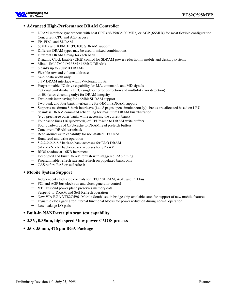

### • **Advanced High-Performance DRAM Controller**

- DRAM interface synchronous with host CPU (66/75/83/100 MHz) or AGP (66MHz) for most flexible configuration
- Concurrent CPU and AGP access
- − FP, EDO, and SDRAM
- 66MHz and 100MHz (PC100) SDRAM support
- Different DRAM types may be used in mixed combinations
- Different DRAM timing for each bank
- − Dynamic Clock Enable (CKE) control for SDRAM power reduction in mobile and desktop systems
- − Mixed 1M / 2M / 4M / 8M / 16MxN DRAMs
- − 6 banks up to 768MB DRAMs
- − Flexible row and column addresses
- − 64-bit data width only
- 3.3V DRAM interface with 5V-tolerant inputs
- Programmable I/O drive capability for MA, command, and MD signals
- − Optional bank-by-bank ECC (single-bit error correction and multi-bit error detection) or EC (error checking only) for DRAM integrity
- Two-bank interleaving for 16Mbit SDRAM support
- − Two-bank and four bank interleaving for 64Mbit SDRAM support
- − Supports maximum 8-bank interleave (i.e., 8 pages open simultaneously); banks are allocated based on LRU
- Seamless DRAM command scheduling for maximum DRAM bus utilization
- (e.g., precharge other banks while accessing the current bank)
- Four cache lines (16 quadwords) of CPU/cache to DRAM write buffers
- Four quadwords of CPU/cache to DRAM read prefetch buffers
- − Concurrent DRAM writeback
- Read around write capability for non-stalled CPU read
- − Burst read and write operation
- − 5-2-2-2-2-2-2-2 back-to-back accesses for EDO DRAM
- − 6-1-1-1-2-1-1-1 back-to-back accesses for SDRAM
- BIOS shadow at 16KB increment
- Decoupled and burst DRAM refresh with staggered RAS timing
- Programmable refresh rate and refresh on populated banks only
- CAS before RAS or self refresh

#### • **Mobile System Support**

- − Independent clock stop controls for CPU / SDRAM, AGP, and PCI bus
- PCI and AGP bus clock run and clock generator control
- − VTT suspend power plane preserves memory data
- − Suspend-to-DRAM and Self-Refresh operation
- New VIA BGA VT82C596 "Mobile South" south bridge chip available soon for support of new mobile features
- Dynamic clock gating for internal functional blocks for power reduction during normal operation
- − Low-leakage I/O pads
- **Built-in NAND-tree pin scan test capability**
- **3.3V, 0.35um, high speed / low power CMOS process**
- **35 x 35 mm, 476 pin BGA Package**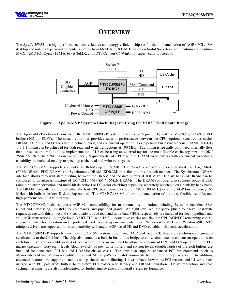

# **OVERVIEW**

The *Apollo MVP3* is a high performance, cost-effective and energy efficient chip set for the implementation of AGP / PCI / ISA desktop and notebook personal computer systems from 66 MHz to 100 MHz based on 64-bit Socket-7 (Intel Pentium and Pentium MMX; AMD K6; Cyrix / IBM  $6_x 86$  /  $6_x 86$ MX, and IDT / Centaur C6/WinChip) super-scalar processors.



**Figure 1. Apollo MVP3 System Block Diagram Using the VT82C586B South Bridge**

The Apollo-MVP3 chip set consists of the VT82C598MVP system controller (476 pin BGA) and the VT82C586B PCI to ISA bridge (208 pin PQFP). The system controller provides superior performance between the CPU, optional synchronous cache, DRAM, AGP bus, and PCI bus with pipelined, burst, and concurrent operation. For pipelined burst synchronous SRAMs, 3-1-1-1- 1-1-1-1 timing can be achieved for both read and write transactions at 100 MHz. Tag timing is specially optimized internally (less than 4 nsec setup time) to allow implementation of L2 cache using an external tag for the most flexible cache organization (0K / 256K / 512K / 1M / 2M). Four cache lines (16 quadwords) of CPU/cache to DRAM write buffers with concurrent write-back capability are included on chip to speed up cache read and write miss cycles.

The VT82C598MVP supports six banks of DRAMs up to 768MB. The DRAM controller supports standard Fast Page Mode (FPM) DRAM, EDO-DRAM, and Synchronous DRAM (SDRAM) in a flexible mix / match manner. The Synchronous DRAM interface allows zero wait state bursting between the DRAM and the data buffers at 100 MHz. The six banks of DRAM can be composed of an arbitrary mixture of 1M / 2M / 4M / 8M / 16MxN DRAMs. The DRAM controller also supports optional ECC (single-bit error correction and multi-bit detection) or EC (error checking) capability separately selectable on a bank-by-bank basis. The DRAM Controller can run at either the host CPU bus frequency  $(66 / 75 / 83 / 100$  MHz) or at the AGP bus frequency  $(66$ MHz) with built-in deskew DLL timing control. The VT82C598MVP allows implementation of the most flexible, reliable, and high-performance DRAM interface.

The VT82C598MVP also supports AGP v2.0 compatibility for maximum bus utilization including 2x mode transfers, SBA (SideBand Addressing), Flush/Fence commands, and pipelined grants. An eight level request queue plus a four level post-write request queue with thirty-two and sixteen quadwords of read and write data FIFO's respectively are included for deep pipelined and split AGP transactions. A single-level GART TLB with 16 full associative entries and flexible CPU/AGP/PCI remapping control is also provided for operation under protected mode operating environments. Both Windows-95 VXD and Windows-98 / NT5 miniport drivers are supported for interoperability with major AGP-based 3D and DVD-capable multimedia accelerators.

The VT82C598MVP supports two 32-bit 3.3 / 5V system buses (one AGP and one PCI) that are synchronous / pseudosynchronous to the CPU bus. The chip also contains a built-in bus-to-bus bridge to allow simultaneous concurrent operations on each bus. Five levels (doublewords) of post write buffers are included to allow for concurrent CPU and PCI operation. For PCI master operation, forty-eight levels (doublewords) of post write buffers and sixteen levels (doublewords) of prefetch buffers are included for concurrent PCI bus and DRAM/cache accesses. The chip also supports enhanced PCI bus commands such as Memory-Read-Line, Memory-Read-Multiple and Memory-Write-Invalid commands to minimize snoop overhead. In addition, advanced features are supported such as snoop ahead, snoop filtering, L1 write-back forward to PCI master, and L1 write-back merged with PCI post write buffers to minimize PCI master read latency and DRAM utilization. Delay transaction and read caching mechanisms are also implemented for further improvement of overall system performance.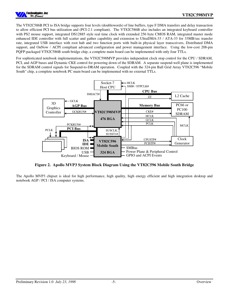

The VT82C586B PCI to ISA bridge supports four levels (doublewords) of line buffers, type F DMA transfers and delay transaction to allow efficient PCI bus utilization and (PCI-2.1 compliant). The VT82C586B also includes an integrated keyboard controller with PS2 mouse support, integrated DS12885 style real time clock with extended 256 byte CMOS RAM, integrated master mode enhanced IDE controller with full scatter and gather capability and extension to UltraDMA-33 / ATA-33 for 33MB/sec transfer rate, integrated USB interface with root hub and two function ports with built-in physical layer transceivers, Distributed DMA support, and OnNow / ACPI compliant advanced configuration and power management interface. Using the low-cost 208-pin PQFP-packaged VT82C586B south bridge chip, a complete main board can be implemented with only four TTLs.

For sophisticated notebook implementations, the VT82C598MVP provides independent clock stop control for the CPU / SDRAM, PCI, and AGP buses and Dynamic CKE control for powering down of the SDRAM. A separate suspend-well plane is implemented for the SDRAM control signals for Suspend-to-DRAM operation. Coupled with the 324-pin Ball Grid Array VT82C596 "Mobile South" chip, a complete notebook PC main board can be implemented with no external TTLs.



**Figure 2. Apollo MVP3 System Block Diagram Using the VT82C596 Mobile South Bridge**

The Apollo MVP3 chipset is ideal for high performance, high quality, high energy efficient and high integration desktop and notebook AGP / PCI / ISA computer systems.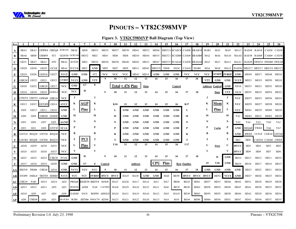# **PINOUTS – VT82C598MVP**

**Figure 3. VT82C598MVP Ball Diagram (Top View)**

|      |                 |                  |                           |                     |                 |                   |                          |                 |                                |            |                    |                |            |              | 15         | 16.          |                     |                                     |             |                        |             |                 |                 | 24                      | 25              | 26               |
|------|-----------------|------------------|---------------------------|---------------------|-----------------|-------------------|--------------------------|-----------------|--------------------------------|------------|--------------------|----------------|------------|--------------|------------|--------------|---------------------|-------------------------------------|-------------|------------------------|-------------|-----------------|-----------------|-------------------------|-----------------|------------------|
|      | SBA5            | SBA3             |                           | GPIPE# GREO# PCRUN# |                 | SBA0              | MD0                      | MD33            | MD35                           | MD37       | MD39               | MD41           | MD12       | MD46         |            | MECC4 SCASC# |                     | CAS0# SRASC#                        | MAB1        | MA5                    | MA9         | <b>MA13</b>     |                 | RAS4# RAS1#             |                 | CAS2# CAS3#      |
| В    | SBA6            | SBS#             | GRBF#                     | ST1                 |                 | GGNT# GCRUN# MD32 |                          | MD <sub>2</sub> | MD4                            | MD6        | MD8                | MD10           |            |              |            |              |                     | MD44 MD15 MECC1 SCASB# CAS4# SRASB# | MA2         | MA6                    |             |                 |                 | MA10 MAA0 RAS3# RAS0#   | $CAS6#$ $CAS7#$ |                  |
| C    | GD31            | SBA7             | SBA1                      | ST0                 | SBA2            | SUST#             | MD1                      | MD34            | MD36                           | MD38       | MD40               | MD42           |            |              |            |              |                     | MD13 MD47 MECC5 SCASA# CAS5# SRASA# | MA3         | MA7                    | MA11 MAA1   |                 |                 | RAS2# SWEC# SWEB# SWEA# |                 |                  |
| D    | GD28            | GD <sub>30</sub> | GD <sub>29</sub>          | GCLK                | SBA4            | <b>SUCLK</b>      | MD3                      | <b>GND</b>      | MD5                            | MD7        | MD9                | MD11 MD45      |            | <b>MECCO</b> | DS0#       | DS2#         |                     | CAS1# MAB0                          | MA4         | MA8                    |             | $MA12$ $RAS5#$  |                 | MECC7 MECC3 MECC6 MECC2 |                 |                  |
| Е    | GD24            | GD26             | GDS1#                     | GD <sub>27</sub>    | <b>VCCI</b>     | <b>GND</b>        | <b>GND</b>               | ST <sub>2</sub> | <b>VCC</b>                     | <b>VCC</b> | <b>VCC</b>         | MD43           | MD14       | <b>GND</b>   | <b>GND</b> | <b>GND</b>   | <b>VCC</b>          | <b>VCC</b>                          | <b>VCC</b>  | <b>MVREF</b>           | 5VREF       | <b>GND</b>      | MD49            | MD17                    | MD48            | MD16             |
|      | GBE3#           | GD <sub>25</sub> | GD21                      | GD <sub>23</sub>    | <b>GVREF</b>    | <b>VCCI</b>       | <b>GND</b>               | <b>VTT</b>      | - 9                            | 10         | 11                 | 12             | 13         | 14           | 15         | 16           | 17                  | 18                                  | VTT         | <b>GND</b>             | <b>GND</b>  | <b>VCCI</b>     | MD51            | MD19                    | MD50            | MD18             |
| G    | GD20            |                  | $GD22$ $GBE2#$            | GD17                | <b>VCC</b>      | <b>GND</b>        | G7                       | 8               |                                |            | $Total = 476$ Pins |                | Data       |              |            | Control      |                     |                                     |             | <b>Address Control</b> | <b>GND</b>  | DS1#            | MD53            | MD21                    | MD52            | MD20             |
| н    | GD16            | GD18             | GD19                      | GDSEL#              | <b>VCC</b>      | <b>VCC</b>        | н                        |                 | - 9                            | 10         | 11                 | 12             | 13         | 14           | 15         | 16           | 17                  | 18                                  |             | Data                   | <b>VTT</b>  | DS3#            | MD55            | MD23                    | MD54            | MD22             |
|      |                 |                  | GTRDY# GIRDY# GFRM# GBE1# |                     | <b>VCC</b>      |                   |                          |                 |                                |            |                    |                |            |              |            |              |                     |                                     |             |                        | J           | <b>VCC</b>      | MD57            | MD25                    | MD56            | MD24             |
| K    |                 |                  | GD13 GD15 GSTOP# GD14     |                     | <b>AVCC</b>     | K                 | <b>AGP</b>               | K               |                                | K10        | 11                 | 12             | 13         | 14           | 15         | 16           | K17                 |                                     | K           | Mem                    | К           | <b>VCC</b>      | MD59            | MD27                    | MD58            | MD <sub>26</sub> |
|      | GD9             | GD12             | GD11                      | GD <sub>10</sub>    | <b>GND</b>      | L                 | <b>Pins</b>              | L               |                                | L          | GND                | GND            | GND        | <b>GND</b>   | <b>GND</b> | <b>GND</b>   | L                   |                                     | L           | <b>Pins</b>            | L           | <b>VCC</b>      | MD61            | MD29                    | MD60            | MD28             |
| M    | GD <sub>6</sub> | GD8              | GBE0# GDS0#               |                     | <b>GND</b>      | M                 |                          | М               |                                | M          | GND                | GND            | GND        | <b>GND</b>   | <b>GND</b> | <b>GND</b>   | М                   |                                     | М           |                        | М           | TA <sub>2</sub> | MD63            | MD31                    | MD62 MD30       |                  |
|      | GD <sub>2</sub> | GD4              | GD7                       | GD5                 | AGND            | N                 |                          |                 |                                | N          | GND                | GND            | <b>GND</b> | <b>GND</b>   | <b>GND</b> | <b>GND</b>   | N                   |                                     | N           |                        | N           | TA5             | TA4             | TA3                     | TA0             | TA1              |
| P    | GD <sub>3</sub> | GD1              | GDO                       | GNT3#               | <b>HCLK</b>     |                   |                          |                 |                                | P          | GND                | <b>GND</b>     | <b>GND</b> | <b>GND</b>   | <b>GND</b> | <b>GND</b>   |                     |                                     |             | Cache                  | P           | <b>GND</b>      | REO4#           | TWE#                    | TA6             | TA7              |
| R    |                 |                  | GNT1# REO2# GNT2# REO3#   |                     | <b>VCC</b>      | R                 |                          | R               |                                | $\bf R$    | GND                | GND            | <b>GND</b> | <b>GND</b>   | <b>GND</b> | <b>GND</b>   | R                   |                                     | R           |                        | R           | <b>GND</b>      |                 | BWE# CCS1# COE1# GNT4#  |                 |                  |
|      |                 |                  | LOCK# REO0# GNT0# REO1#   |                     | <b>VCC</b>      | т                 | $PCI$                    | т               |                                | T          | GND                | <b>GND</b>     | <b>GND</b> | <b>GND</b>   | <b>GND</b> | <b>GND</b>   | T                   |                                     | т           |                        | T           | HD1             | HD0             | CADV# CADS# GWE#        |                 |                  |
|      | AD28            | AD <sub>29</sub> | AD30                      | AD31                | <b>VCC</b>      | U                 | <b>Pins</b>              | U               |                                | U10        | 11                 | 12             | 13         | 14           | 15         | 16           | U17                 |                                     |             | Data                   | U           | <b>HVCC</b>     | HD <sub>5</sub> | HD <sub>4</sub>         | HD3             | HD <sub>2</sub>  |
|      | AD24            | AD25             | AD26                      | AD27                | <b>VCC</b>      | V                 |                          |                 |                                |            |                    |                |            |              |            |              |                     |                                     |             |                        | V           | <b>HVCC</b>     | HD <sub>9</sub> | HD <sub>8</sub>         | HD7             | H <sub>D</sub> 6 |
| W    | AD21            | AD22             | AD23                      | CBE3#               | <b>PCLK</b>     | GND               | W                        |                 | - 9                            | 10         | 11                 | 12             | 13         | 14           | 15         | 16           | 17                  | 18                                  |             | W                      | GND         | HD14            | HD13            | HD12                    | HD11            | HD10             |
| Y    | AD17            | AD18             | AD19                      | AD20                | <b>GND</b>      | <b>GND</b>        | Y7                       | 8               | Control                        |            |                    | <b>Address</b> |            | <b>CPU</b>   | Pins       |              | <b>Byte Enables</b> |                                     | 19          | Y20                    | GND         | HD19            | HD18            | HD17                    | HD16            | HD15             |
| AA   |                 |                  | IRDY# FRM# CBE2# AD16     |                     | GND             | <b>VCCI</b>       | <b>VCC</b>               | <b>VCC</b>      | -9                             | 10         | 11                 | 12             | 13         | 14           | 15         | 16           | 17                  | 18                                  | GND         | GND                    | <b>GND</b>  | <b>GND</b>      | HD23            | HD22                    | HD21            | HD20             |
| AB   |                 |                  | STOP# DSEL# TRDY# SERR#   |                     | VCCI            | <b>VCC</b>        |                          |                 | VCC 5VREF HVCC HVCC            |            | HA25               | <b>HA30</b>    | <b>GND</b> | GND          | HA8        | <b>BE5#</b>  |                     | HVCC HVCC HVCC                      |             | HD52                   | <b>VCCI</b> | <b>GND</b>      | HD27            | HD26                    | HD25            | HD24             |
| AC   | CBE1#           | PAR              | AD15                      | AD14                | AD <sub>2</sub> |                   | PREO# RESET# BRDY# M/IO# |                 |                                | HA27       | <b>HA28</b>        | HA17           | HA14       | HA3          | HA7        | <b>BE6#</b>  | <b>BE1#</b>         | HD61                                | HD57        | HD53                   | HD48        | HD44            | HD31            | HD30                    | HD29            | HD28             |
| AD   | AD13            | AD <sub>12</sub> | AD11                      | AD5                 | AD1             | PGNT#             | ADS#                     |                 | NA# CACHE#                     | HA26       | HA29               | HA18           | HA15       | HA11         | HA6        | <b>BE7#</b>  | <b>BE2#</b>         | HD <sub>62</sub>                    | HD58        | HD54                   | HD49        | HD45            | HD41            | HD38                    | HD33            | HD32             |
| AE I | AD10            | AD9              | AD7                       | AD4                 | AD <sub>0</sub> | EADS#             | D/C#                     |                 | BOFF# AHOLD                    | HA24       | HA31               | <b>HA19</b>    | HA16       | HA12         | HA5        | <b>HA10</b>  | <b>BE3#</b>         | HD63                                | HD59        | HD55                   | HD50        | HD46            | HD42            | HD39                    | HD36            | HD34             |
| AF   | AD8             | CBE0#            | AD <sub>6</sub>           | AD3                 |                 |                   |                          |                 | HLOCK# W/R# HITM# SMIACT# KEN# | HA23       | HA21               | HA22           | HA20       | HA13         | HA4        | HA9          | <b>BE4#</b>         | BE0#                                | <b>HD60</b> | HD56                   | HD51        | HD47            | HD43            | HD40                    | HD37            | HD35             |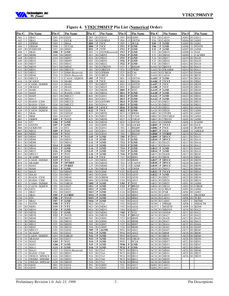

**Figure 4. VT82C598MVP Pin List (Numerical Order)**

| Pin#                               |     | <b>Pin Name</b>                         | Pin #                                                            | Pin Name                       | Pin#                               |   | <b>Pin Name</b>     | Pin#                               |                              | <b>Pin Name</b>           | Pin #             |                  | <b>Pin Names</b>                           | Pin#                         |             | <b>Pin Name</b>                  |
|------------------------------------|-----|-----------------------------------------|------------------------------------------------------------------|--------------------------------|------------------------------------|---|---------------------|------------------------------------|------------------------------|---------------------------|-------------------|------------------|--------------------------------------------|------------------------------|-------------|----------------------------------|
| A01                                |     | SBA5                                    | D03                                                              | $IO$ $GD29$                    | H03 IO GD19                        |   |                     | P <sub>0</sub> 3                   |                              | $IO$ $GD00$               | Y03               |                  | $IO$ $AD19$                                | AD03 IO AD11                 |             |                                  |
| A02                                |     | SBA3                                    | D <sub>04</sub><br>$\mathbf{I}$                                  | <b>GCLK</b>                    | H <sub>04</sub>                    |   | IO GDSEL#           | P <sub>04</sub>                    | $\mathbf{O}$                 | GNT3#                     | Y04               | IO               | AD20                                       | AD04                         | IO          | AD05                             |
| A03<br>A04                         |     | GPIPE#<br>GREO#                         | D <sub>05</sub><br>$\mathbf I$<br>$\mathbf I$<br>D <sub>06</sub> | SBA4<br><b>SUCLK</b>           | <b>H05</b><br><b>H06</b>           |   | P VCC<br>P VCC      | P <sub>05</sub><br>P11             | <b>I</b><br>$\mathbf{P}$     | <b>HCLK</b><br><b>GND</b> | Y05<br>Y06        | P<br>$\mathbf P$ | <b>GND</b><br><b>GND</b>                   | AD05<br>AD <sub>06</sub>     |             | IO AD01<br>$O$ PGNT#             |
| A05                                |     | <b>IO PCKRUN#</b>                       | D <sub>07</sub><br>Ю                                             | MD03                           | H <sub>21</sub>                    |   | P VTT               | P <sub>12</sub>                    | P                            | <b>GND</b>                | Y21               | Р                | <b>GND</b>                                 | AD07                         | IO          | ADS#                             |
| A06                                |     | SBA0                                    | <b>D08</b><br>$\bf{P}$                                           | <b>GND</b>                     | H <sub>22</sub>                    |   | O DS3#(Reserved)    | P <sub>13</sub>                    | P                            | <b>GND</b>                | Y22               | Ю                | HD19                                       | AD08                         |             | $O$ NA#                          |
| A07                                |     | IO MD00                                 | D <sub>09</sub>                                                  | IO MD05                        | H <sub>2</sub> 3                   |   | IO MD55             | P <sub>14</sub>                    | P                            | <b>GND</b>                | Y23               | IO               | HD18                                       | AD09                         | $\mathbf I$ | CACHE#                           |
| A08<br>A09                         |     | IO MD33<br>IO MD35                      | D10<br>D11                                                       | IO MD07<br>IO MD09             | H <sub>24</sub><br>H <sub>25</sub> |   | IO MD23<br>IO MD54  | P <sub>15</sub><br>P <sub>16</sub> | P<br>P                       | <b>GND</b><br><b>GND</b>  | Y24<br>Y25        |                  | IO HD17<br>IO HD16                         | <b>AD11 IO HA29</b>          |             | <b>AD10 IO HA26</b>              |
| A10                                |     | IO MD37                                 | D <sub>12</sub>                                                  | IO MD11                        | H <sub>26</sub>                    |   | IO MD22             | P22                                | P                            | <b>GND</b>                | Y <sub>26</sub>   |                  | $IO$ $HD15$                                | AD12                         |             | IO HA18                          |
| <u>A11</u>                         |     | IO MD39                                 | D13                                                              | IO MD45                        | J01                                |   | IO GTRDY#           | P <sub>23</sub>                    |                              | REO <sub>4#</sub>         | AA01              |                  | IO IRDY#                                   |                              |             | AD13 IO HA15                     |
| A12                                |     | IO MD41                                 | D <sub>14</sub>                                                  | IO MECCO                       | J <sub>02</sub>                    |   | IO GIRDY#           | P <sub>24</sub>                    | $\mathbf{O}$                 | TWE#                      | AA02              |                  | IO FRAME#                                  | AD14 IO HA11                 |             |                                  |
| A13                                |     | IO MD12                                 | D <sub>15</sub>                                                  | O DS0# (Reserved)              | J <sub>03</sub>                    |   | IO GFRM#            | P <sub>25</sub>                    |                              | IO TA6                    | AA03              |                  | IO CBE2#                                   | AD15 IO HA06                 |             |                                  |
| A14<br>A15                         |     | IO MD46<br><b>IO MECC4</b>              | D <sub>16</sub><br>$\Omega$<br>D17<br>$\mathbf{O}$               | DS2# (Reserved)<br>CAS1#/DQM1# | J04<br><b>J05</b>                  |   | IO GBE1#<br>P VCC   | P <sub>26</sub><br>R <sub>01</sub> | $\mathbf{O}$                 | IO TA7<br>GNT1#           | AA04 IO<br>AA05   | P                | AD16<br><b>GND</b>                         | AD16 IO BE7#<br>AD17 I       |             | $IO$ BE2#                        |
| A16                                |     | O SCASC#                                | D18                                                              | O MABO                         | J22                                |   | P VCC               | R <sub>02</sub>                    |                              | REO <sub>2#</sub>         | AA06              | $\mathbf{P}$     | <b>VCCI</b>                                | AD18                         |             | IO HD62                          |
| A17                                |     | $O$ $ CAS0# / DOM0#$                    | D <sub>19</sub>                                                  | O MA04                         | J23                                |   | IO MD57             | R <sub>0</sub> 3                   | $\circ$                      | GNT2#                     | AA07              | P                | <b>VCC</b>                                 |                              |             | AD19 IO HD58                     |
| A18                                |     | O SRASC#                                | D <sub>20</sub>                                                  | O MA08                         | J24                                |   | IO MD25             | R <sub>04</sub>                    | $\bf{I}$                     | REO <sub>3</sub> #        | AA08              |                  | P VCC                                      | AD20 IO HD54                 |             |                                  |
| A19<br>A20                         |     | O_MAB1<br>O MA05                        | D21<br>D <sub>22</sub>                                           | O MA12<br>O   RAS5# / CS5#     | J25<br>J26                         |   | IO MD56<br>IO MD24  | <b>R05</b><br><b>R11</b>           | P<br>P                       | <b>VCC</b><br><b>GND</b>  | $A A19$ P<br>AA20 | P                | <b>GND</b><br><b>GND</b>                   | AD22                         |             | AD21 IO HD49<br>IO HD45          |
| <u>A21</u>                         |     | O MA09                                  | D23                                                              | IO MECC7                       | K <sub>01</sub>                    |   | IO GD13             | R12                                | P                            | <b>GND</b>                | AA21              | P                | <b>GND</b>                                 | AD23                         |             | IO HD41                          |
| A22                                |     | O MA13                                  | D24                                                              | IO MECC3                       | K02                                |   | $IO$ $GD15$         | <b>R13</b>                         | P                            | <b>GND</b>                | <b>AA22</b>       | P                | <b>GND</b>                                 | AD24                         |             | IO HD38                          |
| A23                                |     | $O$ RAS4# / CS4#                        | D25                                                              | IO MECC6                       | K03                                |   | IO GSTOP#           | <b>R14</b>                         | P                            | <b>GND</b>                | AA23              |                  | IO HD23                                    | AD25                         |             | IO HD33                          |
| A24                                |     | $O$ RAS1#/CS1#<br>$O$ $CAS2# / DOM2#$   | D <sub>26</sub><br>E01<br>Ю                                      | IO MECC2                       | K04                                |   | $IO$ $GD14$         | <b>R15</b>                         | P<br>P                       | <b>GND</b><br><b>GND</b>  |                   |                  | AA24 IO HD22                               | AD26 IO HD32                 |             |                                  |
| A25<br>A26                         |     | $O$ $CAS3# / DOM3#$                     | E02                                                              | GD24<br>IO GD26                | K05<br>K <sub>22</sub>             |   | P AVCC<br>P VCC     | R16<br>R22                         | P                            | <b>GND</b>                | AA25<br>AA26      | IO               | HD21<br>IO HD <sub>20</sub>                | AE01<br>AE02                 | IO<br>IO    | AD10<br>AD <sub>09</sub>         |
| <b>B01</b>                         |     | SBA6                                    | E03<br>Ю                                                         | GDS1#                          | K23                                |   | IO MD59             | R23                                | $\mathbf{O}$                 | BWE#                      | AB01              | IO               | STOP#                                      | AE03                         | IO          | AD07                             |
| <b>B02</b>                         |     | SBS#                                    | E04                                                              | $IO$ $GD27$                    | K24                                |   | IO MD27             | R24                                | $\mathbf{O}$                 | CCS1#                     | AB02              |                  | IO DEVSEL#                                 | AE04 IO AD04                 |             |                                  |
| <b>B03</b>                         |     | GRBF#                                   | E05<br>P                                                         | <b>VCCI</b>                    | K25                                |   | IO MD58             | R <sub>25</sub>                    | $\mathbf{O}$                 | COE1#                     | AB03              |                  | IO TRDY#                                   | AE05                         |             | $IO$ $AD00$                      |
| <b>B04</b><br><b>B05</b>           |     | O ST <sub>1</sub><br>O GGNT#            | E06<br>P<br>E07<br>$\bf{P}$                                      | <b>GND</b><br><b>GND</b>       | K26<br>L <sub>01</sub>             |   | IO MD26<br>IO GD09  | R <sub>26</sub><br><b>T01</b>      | $\mathbf{O}$                 | GNT4#<br>IO LOCK#         | AB04<br>AB05      | IO<br>P          | SERR#<br><b>VCCI</b>                       | AE06<br>AE07                 |             | O EADS#<br>$IO$ $D/C#$           |
| <b>B06</b>                         |     | IO GCKRUN#                              | <b>E08</b><br>$\Omega$                                           | ST <sub>2</sub>                | L <sub>02</sub>                    |   | IO GD12             | T <sub>02</sub>                    | $\mathbf{I}$                 | REO <sub>0#</sub>         | AB06              | P                | <b>VCC</b>                                 | AE08                         |             | O BOFF#                          |
| <b>B07</b>                         |     | IO MD32                                 | E09                                                              | P VCC                          | L <sub>03</sub>                    |   | $IO$ $GD11$         | T <sub>0</sub> 3                   |                              | $O$ GNT0#                 | AB07              |                  | P VCC                                      | AE09                         |             | O AHOLD                          |
| <b>B08</b>                         |     | IO MD02                                 | $\mathbf{P}$<br>E10                                              | <b>VCC</b>                     | L04                                |   | $IO$ $GD10$         | T04                                | $\mathbf{I}$                 | REO1#                     | AB08              | $\mathbf{P}$     | 5VREF                                      | AE10 IO HA24                 |             |                                  |
| <b>B09</b><br><b>B10</b>           |     | IO MD04<br>IO MD06                      | E11<br>P<br>E12<br>Ю                                             | <b>VCC</b><br>MD43             | L <sub>05</sub><br>L11             |   | P GND<br>P GND      | <b>T05</b><br><b>T11</b>           | P<br>P                       | <b>VCC</b><br><b>GND</b>  | AB09  <br>AB10    | P<br>P           | <b>HVCC</b><br><b>HVCC</b>                 | AE11 IO HA31<br>AE12         |             | IO HA19                          |
| <b>B</b> 11                        |     | IO MD08                                 | E13<br>Ю                                                         | MD14                           | L12                                |   | P GND               | T <sub>12</sub>                    | P                            | <b>GND</b>                | AB11              |                  | IO HA25                                    |                              |             | AE13 IO HA16                     |
| <b>B12</b>                         |     | IO MD10                                 | E14<br>P                                                         | <b>GND</b>                     | L13                                |   | P GND               | T <sub>13</sub>                    | P                            | <b>GND</b>                | AB12              |                  | IO HA30                                    | AE14 IO HA12                 |             |                                  |
| <b>B13</b>                         |     | IO MD44                                 | E15<br>$\mathbf{P}$                                              | <b>GND</b>                     | L14                                |   | P GND               | T14                                | P                            | <b>GND</b>                | AB13              | $\mathbf{P}$     | <b>GND</b>                                 | AE15 IO HA05                 |             |                                  |
| <b>B14</b><br><b>B15</b>           |     | $IO$ $MD15$<br>IO MECC1                 | E16<br>P<br>E17<br>$\bf{P}$                                      | <b>GND</b><br><b>VCC</b>       | L15<br>L <sub>16</sub>             | P | <b>GND</b><br>P GND | T15<br>T16                         | P<br>P                       | <b>GND</b><br><b>GND</b>  | AB14<br>AB15      | P                | <b>GND</b><br>IO HA08                      | AE17                         |             | <b>AE16 IO HA10</b><br>$IO$ BE3# |
| <b>B16</b>                         | O   | SCASB#                                  | E18<br>P                                                         | <b>VCC</b>                     | L22                                |   | P VCC               | T <sub>22</sub>                    | Ю                            | HD01                      | AB16              | IO               | <b>BE5#</b>                                | AE18 IO HD63                 |             |                                  |
| <b>B17</b>                         |     | $O$ $ CAS4# / DOM4#$                    | E <sub>19</sub>                                                  | P VCC                          | L23                                |   | IO MD61             | T <sub>23</sub>                    |                              | IO HD00                   | <b>AB17</b>       |                  | P HVCC                                     | AE19 IO HD59                 |             |                                  |
| <b>B18</b>                         |     | O SRASB#                                | E20<br>$\mathbf{P}$                                              | <b>MVREF</b>                   | L24                                |   | IO MD29             | T <sub>24</sub>                    | $\circ$                      | CADV#                     | <b>AB18</b>       |                  | P HVCC                                     | AE20 IO HD55                 |             |                                  |
| <b>B</b> 19                        |     | O MA02                                  | E21<br>P                                                         | 5VREF                          | L25                                |   | IO MD60<br>IO MD28  | T <sub>25</sub><br>T <sub>26</sub> | $\mathbf{O}$<br>$\mathbf{O}$ | CADS#                     | AB19              | P                | <b>HVCC</b><br>IO HD52                     | AE21<br>AE22                 |             | IO HD50<br>IO HD46               |
| <b>B20</b><br><b>B21</b>           |     | <b>O</b> MA06<br>$O$ MA10               | E <sub>22</sub><br>E23                                           | P GND<br>IO MD49               | L26<br>M <sub>01</sub>             |   | IO GD06             | U <sub>01</sub>                    | IO                           | GWE#<br>AD28              | AB20<br>AB21      | P                | <b>VCCI</b>                                | AE23                         |             | IO HD42                          |
| <b>B22</b>                         |     | O MAA0                                  | E24                                                              | IO MD17                        | M02                                |   | IO GD08             | U02                                |                              | IO AD29                   | AB22              | P                | <b>GND</b>                                 | AE24                         |             | IO HD39                          |
| <b>B23</b>                         |     | O RAS3#/CS3#                            | E25                                                              | IO MD48                        | M <sub>03</sub>                    |   | IO GBE0#            | U03                                |                              | IO AD30                   | AB23              |                  | IO HD27                                    | <b>AE25 IO HD36</b>          |             |                                  |
| <b>B24</b><br><b>B25</b>           |     | $O$ RAS0# / CS0#<br>$O$ $CAS6# / DOM6#$ | E26                                                              | IO MD16                        | M04<br>M05                         |   | IO GDS0#<br>P GND   | U <sub>04</sub><br>U05             | P                            | $IO$ $AD31$<br><b>VCC</b> | AB24<br>AB25      | Ю                | HD26                                       | AE26                         | IO          | IO HD34                          |
| <b>B26</b>                         |     | $O$ $CAS7# / DOM7#$                     | F <sub>0</sub> 1<br>F02                                          | IO GBE3#<br>$IO$ $GD25$        | M11                                |   | P GND               | U <sub>22</sub>                    | P                            | <b>HVCC</b>               | AB26              | IO               | IO HD25<br>HD24                            | AF01<br>AF <sub>02</sub>     |             | AD <sub>08</sub><br>IO CBE0#     |
| CO <sub>1</sub>                    |     | IO GD31                                 | F03                                                              | IO GD21                        | M12                                |   | P GND               | U <sub>23</sub>                    |                              | IO HD05                   | AC01              |                  | $IO$ $CBE1#$                               | AF <sub>03</sub>             |             | IO AD06                          |
| CO <sub>2</sub>                    |     | SBA7                                    | F04                                                              | IO GD23                        | M13                                |   | $P$ GND             | U24                                |                              | IO HD04                   | AC02              |                  | IO PAR                                     | AF <sub>04</sub>             |             | IO AD03                          |
| CO <sub>3</sub>                    | Ι.  | SBA1                                    | <b>F05</b>                                                       | P GVREF                        | $M14$   P $GND$                    |   |                     | U25                                |                              | IO HD03                   | $AC03$ IO $AD15$  |                  |                                            |                              |             | AF05   I HLOCK#                  |
| C <sub>04</sub><br>CO <sub>5</sub> | - T | O STO<br>SBA <sub>2</sub>               | <b>F06</b><br><b>F07</b>                                         | P VCCI<br>P GND                | $M15$ P GND<br>$M16$ P GND         |   |                     | V01                                |                              | U26 IO HD02<br>IO AD24    |                   |                  | AC04 IO AD14<br>AC05 IO AD02               | AF06 IO W/R#                 |             | AF07 I HITM#                     |
| C <sub>06</sub>                    |     | I SUST#                                 | <b>F08</b>                                                       | P VTT                          | M22 IO TA2                         |   |                     | V <sub>02</sub>                    |                              | IO AD25                   | AC06              |                  | I PREO#                                    |                              |             | AF08 I SMIACT#                   |
| CO7                                |     | IO MD01                                 | F <sub>19</sub>                                                  | P VTT                          | M23 IO MD63                        |   |                     | V <sub>03</sub>                    |                              | IO AD26                   | AC07              |                  | I RESET#                                   |                              |             | AF09 O KEN#                      |
|                                    |     | C08 IO MD34                             | F20                                                              | P GND                          | M24 IO MD31                        |   |                     | V04                                |                              | IO AD27                   |                   |                  | AC08 IO BRDY#                              | AF11 IO HA21                 |             | AF10 IO HA23                     |
| C09                                |     | IO MD36<br>$C10$ IO MD38                | F21<br>F22                                                       | P GND<br>P VCCI                | M25 IO MD62<br>M26 IO MD30         |   |                     | V <sub>05</sub><br>V22             |                              | P VCC<br>P HVCC           |                   |                  | AC09 IO M/IO#<br>AC10 IO HA27              | AF12 IO HA22                 |             |                                  |
|                                    |     | C11 IO MD40                             | F23                                                              | IO MD51                        | N01                                |   | IO GD02             | V <sub>23</sub>                    |                              | IO HD09                   |                   |                  | AC11 IO HA28                               |                              |             | <b>AF13 IO HA20</b>              |
| C12                                |     | IO MD42                                 | F24                                                              | IO MD19                        | N <sub>0</sub> 2                   |   | IO GD04             | V24                                |                              | IO HD08                   |                   |                  | $AC12$ IO $HA17$                           | AF14 IO HA13                 |             |                                  |
|                                    |     | $C13$ IO MD13                           | F25                                                              | IO MD50                        | N03                                |   | IO GD07             | V <sub>25</sub>                    |                              | IO HD07                   |                   |                  | AC13 IO HA14                               | AF15 IO HA04                 |             |                                  |
| C14<br>C15                         |     | IO MD47<br>IO MECC5                     | F26<br>G01                                                       | IO MD18<br>IO GD <sub>20</sub> | N04<br>N <sub>05</sub>             |   | IO GD05<br>P AGND   | V26<br>W <sub>01</sub>             |                              | IO HD06<br>$IO$ $AD21$    |                   |                  | <b>AC14 IO HA03</b><br><b>AC15 IO HA07</b> | AF16 IO HA09<br>AF17 IO BE4# |             |                                  |
|                                    |     | $C16$ O SCASA#                          | G02                                                              | $IO$ $GD22$                    | N11                                |   | P GND               | W02                                |                              | IO AD22                   |                   |                  | AC16 IO BE6#                               | AF18 IO BE0#                 |             |                                  |
| C17                                |     | $O$ $CAS5# / DOM5#$                     | G03                                                              | IO GBE2#                       | <b>N12</b>                         |   | P GND               | W03                                |                              | IO AD23                   |                   |                  | <b>AC17 IO BE1#</b>                        |                              |             | AF19 IO HD60                     |
| C18                                |     | O SRASA#                                | G04                                                              | IO GD17                        | N13                                |   | P GND               | W04                                |                              | IO CBE3#                  |                   |                  | AC18 IO HD61                               |                              |             | AF20 IO HD56                     |
| C19<br>C20                         |     | O MA03<br>O MA07                        | G05<br>G06                                                       | P VCC<br>P GND                 | N14<br>N15                         |   | P GND<br>P GND      | W05<br><b>W06</b>                  | $\bf{I}$                     | <b>PCLK</b><br>P GND      |                   |                  | AC19 IO HD57<br>AC20 IO HD53               | AF21 IO HD51                 |             | AF22 IO HD47                     |
| C <sub>21</sub>                    |     | O MA11                                  | G21                                                              | P GND                          | N16                                |   | P GND               | <b>W21</b>                         |                              | P GND                     | AC21              |                  | IO HD48                                    |                              |             | AF23 IO HD43                     |
| C22                                |     | O MAA1                                  | G22                                                              | $O$ DS1# (Reserved)            | N22                                |   | IO TA5              | W22                                |                              | IO HD14                   | AC22              |                  | IO HD44                                    |                              |             | AF24 IO HD40                     |
| C <sub>23</sub>                    |     | O $RAS2# / CS2#$                        | G23                                                              | IO MD53                        | N23 IO TA4                         |   |                     | W23                                |                              | IO HD13                   | AC23              |                  | IO HD31                                    | AF25 IO HD37                 |             |                                  |
| C <sub>24</sub><br>C <sub>25</sub> |     | O SWEC# / MWEC#<br>O SWEB#/MWEB#        | G24<br>G <sub>25</sub>                                           | IO MD21<br>IO MD52             | N24<br>N25 10 TA0                  |   | IO TA3              | W24<br>W25                         |                              | IO HD12<br>IO HD11        |                   |                  | <b>AC24 IO HD30</b><br>AC25 IO HD29        |                              |             | AF26 IO HD35                     |
| C <sub>26</sub>                    |     | O SWEA# / MWEA#                         | G26                                                              | IO MD20                        | $N26$ IO TA1                       |   |                     | W26                                |                              | IO HD <sub>10</sub>       |                   |                  | AC26 IO HD28                               |                              |             |                                  |
| D01                                |     | IO GD28                                 | H01                                                              | IO GD16                        | <b>P01</b>                         |   | IO GD03             | Y01                                |                              | IO AD17                   |                   |                  | AD01 IO AD13                               |                              |             |                                  |
|                                    |     | D02 IO GD30                             | H02 IO GD18                                                      |                                | P02 10 GD01                        |   |                     |                                    |                              | Y02 IO AD18               | AD02 IO AD12      |                  |                                            |                              |             |                                  |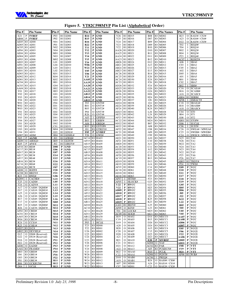

|  | Figure 5. VT82C598MVP Pin List (Alphabetical Order) |  |  |
|--|-----------------------------------------------------|--|--|
|--|-----------------------------------------------------|--|--|

| Pin #                              |                | <b>Pin Name</b>                        | Pin #                               |              | <b>Pin Name</b>          | Pin #                              |                   | Pin Name                   | Pin #                    |               | <b>Pin Name</b>            | Pin #                              |              | <b>Pin Names</b>                     | Pin #                              |                      | <b>Pin Name</b>                   |
|------------------------------------|----------------|----------------------------------------|-------------------------------------|--------------|--------------------------|------------------------------------|-------------------|----------------------------|--------------------------|---------------|----------------------------|------------------------------------|--------------|--------------------------------------|------------------------------------|----------------------|-----------------------------------|
| E21                                | P              | 5VREF                                  | P <sub>0</sub> 3                    | IО           | GD <sub>00</sub>         | <b>R14</b>                         | P                 | GND                        | Y26                      | IO            | HD15                       | <b>B08</b>                         | IO           | MD02                                 | <b>B23</b>                         | O                    | RAS3#/CS3#                        |
| AB08                               | P              | 5VREF                                  | P <sub>0</sub> 2                    | IO           | GD01                     | R15                                | P                 | <b>GND</b>                 | Y25                      | Ю             | HD16                       | D <sub>07</sub>                    | Ю            | MD03                                 | A23                                | O                    | RAS4# / CS4#                      |
| AE05<br>AD05                       | Ю<br>IO        | AD <sub>00</sub><br>AD <sub>01</sub>   | N <sub>0</sub> 1<br><b>P01</b>      | Ю<br>IO      | GD <sub>02</sub><br>GD03 | <b>R16</b><br><b>R22</b>           | P<br>P            | <b>GND</b><br>GND          | Y24<br>Y23               | Ю<br>Ю        | HD17<br>HD18               | <b>B09</b><br>D <sub>09</sub>      | IO<br>Ю      | MD <sub>04</sub><br>MD <sub>05</sub> | D22<br>T <sub>02</sub>             | $\Omega$<br><b>I</b> | RAS5# / CS5#<br>REO <sub>0#</sub> |
| AC05                               | Ю              | AD02                                   | N <sub>02</sub>                     | Ю            | GD <sub>04</sub>         | <b>T11</b>                         | P                 | GND                        | Y22                      | Ю             | HD19                       | <b>B10</b>                         | Ю            | MD <sub>06</sub>                     | T <sub>04</sub>                    | Ι.                   | REQ1#                             |
| AF04                               | Ю              | AD <sub>03</sub>                       | N <sub>04</sub>                     | Ю            | GD05                     | T <sub>12</sub>                    | P                 | GND                        | AA26                     | Ю             | HD20                       | D <sub>10</sub>                    | Ю            | MD07                                 | R <sub>02</sub>                    | Ι.                   | REQ2#                             |
| AE04                               | IO             | AD <sub>04</sub>                       | M <sub>01</sub>                     | Ю            | GD <sub>06</sub>         | T <sub>13</sub>                    | P                 | <b>GND</b>                 | AA25                     | Ю             | HD21                       | <b>B11</b>                         | Ю            | <b>MD08</b>                          | R <sub>04</sub>                    | Ι.                   | REQ3#                             |
| AD04                               | Ю<br>Ю         | AD <sub>05</sub><br>AD <sub>06</sub>   | N <sub>03</sub><br>M <sub>02</sub>  | Ю<br>Ю       | GD07<br>GD <sub>08</sub> | T14<br>T <sub>15</sub>             | P<br>P            | GND<br>GND                 | AA24<br>AA23             | IO<br>Ю       | HD22<br>HD23               | D11<br><b>B12</b>                  | Ю<br>ю       | MD <sub>09</sub><br>MD10             | P <sub>2</sub> 3<br>AC07           | т                    | REQ4#<br>RESET#                   |
| AF03<br>AE03                       | Ю              | AD07                                   | L <sub>01</sub>                     | Ю            | GD <sub>09</sub>         | T16                                | P                 | GND                        | AB26                     | Ю             | HD24                       | D <sub>12</sub>                    | Ю            | MD11                                 | A06                                | 1                    | SB <sub>A0</sub>                  |
| AF01                               | Ю              | AD <sub>08</sub>                       | L <sub>04</sub>                     | Ю            | GD10                     | <b>W06</b>                         | P                 | GND                        | AB21                     | Ю             | HD25                       | A13                                | Ю            | MD12                                 | CO <sub>3</sub>                    | Ι.                   | SBA1                              |
| AE02                               | Ю              | AD <sub>09</sub>                       | L <sub>03</sub>                     | Ю            | GD11                     | W <sub>21</sub>                    | P                 | GND                        | AB24                     | Ю             | HD26                       | C13                                | Ю            | MD13                                 | CO <sub>5</sub>                    | L                    | SB <sub>A2</sub>                  |
| AE01                               | Ю              | AD10                                   | L <sub>02</sub>                     | Ю            | GD12                     | Y05                                | P                 | GND                        | AB <sub>23</sub>         | Ю             | HD27                       | E13                                | Ю            | MD14                                 | A02                                | Ι                    | SBA3                              |
| AD03<br>AD02                       | Ю<br>Ю         | AD11<br>AD <sub>12</sub>               | K <sub>01</sub><br>K04              | Ю<br>Ю       | GD13<br>GD14             | <b>Y06</b><br>Y21                  | P<br>P            | <b>GND</b><br>GND          | AC26<br>AC25             | IO<br>Ю       | HD28<br>HD29               | <b>B</b> 14<br>E <sub>26</sub>     | Ю<br>Ю       | MD15<br>MD <sub>16</sub>             | D <sub>05</sub><br>A01             | 1<br>1               | SBA4<br>SBA5                      |
| AD01                               | Ю              | AD <sub>13</sub>                       | K02                                 | Ю            | GD15                     | AA05                               | P                 | GND                        | AC24                     | Ю             | HD <sub>30</sub>           | E24                                | Ю            | MD17                                 | <b>B01</b>                         | Ι.                   | SBA6                              |
| AC04                               | Ю              | AD <sub>14</sub>                       | H <sub>01</sub>                     | Ю            | GD <sub>16</sub>         | AA19                               | P                 | <b>GND</b>                 | AC23                     | IO            | HD31                       | F <sub>26</sub>                    | Ю            | MD18                                 | CO <sub>2</sub>                    | L                    | SBA7                              |
| AC03                               | IO             | AD15                                   | G <sub>04</sub>                     | Ю            | GD17                     | <b>AA20</b>                        | P                 | GND                        | AD <sub>26</sub>         | IO            | HD32                       | F24                                | Ю            | MD19                                 | <b>B02</b>                         |                      | SBS#                              |
| AA04                               | Ю              | AD <sub>16</sub>                       | H <sub>02</sub>                     | Ю            | GD18                     | AA21                               | P                 | GND                        | AD25                     | Ю             | HD33                       | G26                                | Ю            | MD20                                 | C16                                | O                    | SCASA#                            |
| Y01                                | Ю<br>Ю         | AD17                                   | H <sub>0</sub> 3<br>G <sub>01</sub> | Ю<br>Ю       | GD19<br>GD <sub>20</sub> | AA22                               | P                 | GND                        | AE26<br>AF <sub>26</sub> | Ю<br>Ю        | HD34<br>HD35               | G24<br>H <sub>26</sub>             | Ю<br>Ю       | MD21<br>MD22                         | <b>B</b> 16                        | 0<br>О               | SCASB#<br>SCASC#                  |
| Y02<br>Y03                         | IO             | AD18<br>AD19                           | F <sub>0</sub> 3                    | Ю            | GD <sub>21</sub>         | AB13<br>AB14                       | P<br>$\mathbf P$  | GND<br>GND                 | AE25                     | IO            | HD36                       | H <sub>24</sub>                    | Ю            | MD23                                 | A16<br>AB04                        | IO                   | SERR#                             |
| Y04                                | Ю              | AD20                                   | G02                                 | Ю            | GD <sub>22</sub>         | <b>AB22</b>                        | P                 | GND                        | AF25                     | Ю             | HD37                       | J26                                | Ю            | MD24                                 | AF08                               | Ι.                   | SMIACT#                           |
| W01                                | IO             | AD21                                   | F <sub>04</sub>                     | Ю            | GD <sub>23</sub>         | T <sub>0</sub> 3                   | O                 | GNT0#                      | AD <sub>24</sub>         | IO            | HD38                       | J24                                | Ю            | MD25                                 | C18                                | O                    | SRASA#                            |
| W <sub>02</sub>                    | IО             | AD <sub>22</sub>                       | E01                                 | Ю            | GD <sub>24</sub>         | R <sub>01</sub>                    | O                 | GNT1#                      | AE24                     | Ю             | HD39                       | K26                                | Ю            | MD26                                 | <b>B18</b>                         | O                    | SRASB#                            |
| W03                                | IО             | AD23                                   | F02                                 | IO           | GD <sub>25</sub>         | R <sub>03</sub>                    | O                 | GNT2#                      | AF24                     | Ю             | HD40                       | K24                                | Ю            | MD27                                 | A18                                | O                    | SRASC#                            |
| V <sub>01</sub><br>V <sub>02</sub> | IO<br>Ю        | AD24<br>AD25                           | E02<br>E04                          | Ю<br>Ю       | GD <sub>26</sub><br>GD27 | P <sub>04</sub><br>R <sub>26</sub> | $\mathbf{O}$<br>O | GNT3#<br>GNT4#             | AD23<br>AE23             | IO<br>IO      | HD41<br>HD42               | L26<br>L24                         | Ю<br>Ю       | MD28<br>MD29                         | CO <sub>4</sub><br><b>B04</b>      | O<br>O               | ST <sub>0</sub><br>ST1            |
| V <sub>03</sub>                    | IO             | AD26                                   | D <sub>01</sub>                     | Ю            | GD <sub>28</sub>         | A03                                | L                 | GPIPE#                     | AF <sub>23</sub>         | IO            | HD43                       | M26                                | IO           | MD30                                 | E <sub>08</sub>                    | $\Omega$             | ST <sub>2</sub>                   |
| V <sub>04</sub>                    | IO             | AD27                                   | D <sub>0</sub> 3                    | Ю            | GD <sub>29</sub>         | <b>B03</b>                         | $\bf{I}$          | GRBF#                      | AC22                     | IO            | HD44                       | M24                                | Ю            | MD31                                 | AB01                               | Ю                    | STOP#                             |
| U <sub>01</sub>                    | IO             | AD28                                   | D02                                 | Ю            | GD <sub>30</sub>         | A <sub>04</sub>                    | $\bf{I}$          | GREO#                      | AD <sub>22</sub>         | IO            | HD45                       | <b>B07</b>                         | Ю            | MD32                                 | D <sub>06</sub>                    | $\mathbf{I}$         | <b>SUCLK</b>                      |
| U <sub>02</sub>                    | IO             | AD29                                   | CO <sub>1</sub>                     | Ю            | GD31                     | K03                                | Ю                 | GSTOP#                     | AE22                     | Ю             | <b>HD46</b>                | A08                                | Ю            | MD33                                 | C <sub>06</sub>                    | L                    | SUST#                             |
| U <sub>03</sub>                    | Ю              | AD30                                   | M <sub>04</sub>                     | Ю            | GDS0#                    | J <sub>01</sub>                    | Ю                 | GTRDY#                     | AF22                     | Ю             | HD47                       | CO8                                | Ю            | MD34                                 | C <sub>26</sub>                    | O                    | SWEA# / MWEA#                     |
| U <sub>04</sub><br>AD07            | IO<br>Ю        | AD31<br>ADS#                           | E <sub>0</sub> 3<br>H <sub>04</sub> | Ю<br>IO      | GDS1#<br>GDSEL#          | <b>F05</b><br>T <sub>26</sub>      | P<br>$\mathbf{O}$ | <b>GVREF</b><br>GWE#       | AC21<br>AD21             | IO<br>Ю       | HD48<br>HD49               | A09<br>CO <sub>9</sub>             | Ю<br>Ю       | MD35<br>MD36                         | C <sub>25</sub><br>C <sub>24</sub> | O<br>O               | SWEB# / MWEB#<br>SWEC# / MWEC#    |
| N05                                | P              | <b>AGND</b>                            | J03                                 |              | IO GFRM#                 | AC14                               | IO                | HA03                       | AE21                     | Ю             | HD50                       | A10                                | Ю            | MD37                                 | N <sub>25</sub>                    | Ю                    | TA <sub>0</sub>                   |
| AE09                               | O              | <b>AHOLD</b>                           | <b>B05</b>                          | $\mathbf{O}$ | GGNT#                    | AF15                               | IO                | <b>HA04</b>                | AF21                     | IO            | HD51                       | C10                                | Ю            | MD38                                 | N <sub>26</sub>                    | Ю                    | TA1                               |
| K05                                | P              | <b>AVCC</b>                            | $J_{02}$                            | Ю            | GIRDY#                   | AE15                               | Ю                 | <b>HA05</b>                | AB <sub>20</sub>         | Ю             | HD52                       | A11                                | Ю            | MD39                                 | M22                                | Ю                    | TA <sub>2</sub>                   |
| AF18                               | Ю              | BE0#                                   | <b>D08</b>                          | P            | GND                      | AD15                               | IO                | <b>HA06</b>                | AC20                     | Ю             | HD53                       | C11                                | Ю            | MD40                                 | N <sub>24</sub>                    | Ю                    | TA3                               |
| AC17<br>AD17                       | Ю<br>IО        | <b>BE1#</b><br><b>BE2#</b>             | <b>E06</b><br>E07                   | P<br>P       | <b>GND</b><br>GND        | AC15<br>AB15                       | Ю<br>IO           | <b>HA07</b><br><b>HA08</b> | AD20<br>AE20             | Ю<br>IO       | HD54<br>HD55               | A12<br>C12                         | Ю<br>Ю       | MD41<br>MD42                         | N <sub>23</sub><br>N22             | Ю<br>Ю               | TA4<br>TA5                        |
| AE17                               | IО             | <b>BE3#</b>                            | E14                                 | P            | GND                      | AF <sub>16</sub>                   | Ю                 | <b>HA09</b>                | AF20                     | IO            | HD56                       | E12                                | Ю            | MD43                                 | P <sub>25</sub>                    | Ю                    | TA6                               |
| AF17                               | Ю              | <b>BE4#</b>                            | E <sub>15</sub>                     | P            | GND                      | AE16                               | IO                | <b>HA10</b>                | AC19                     | Ю             | HD57                       | <b>B13</b>                         | Ю            | MD <sub>44</sub>                     | P <sub>26</sub>                    | Ю                    | TA7                               |
| AB 16                              | Ю              | <b>BE5#</b>                            | E16                                 | P            | <b>GND</b>               | AD14                               | IO                | <b>HA11</b>                | AD19                     | Ю             | <b>HD58</b>                | D <sub>13</sub>                    | Ю            | MD45                                 | AB03                               | Ю                    | TRDY#                             |
| AC16                               |                | IO BE6#                                | E22                                 | P            | GND                      | AE14                               |                   | IO HA12                    | AE19                     | IO            | HD59                       | A14                                | Ю            | MD46                                 | P <sub>24</sub>                    | О                    | TWE#                              |
| AD16<br>AE08                       | 0              | $IO$ BE7#<br>BOFF#                     | <b>F07</b><br>F20                   | P<br>P       | GND<br>GND               | AF14<br>AC13                       | Ю                 | <b>HA13</b><br>IO HA14     | AF19<br>AC18             | Ю<br>IO       | <b>HD60</b><br>HD61        | C14<br>E25                         | Ю<br>Ю       | MD47<br>MD48                         | E09<br>E10                         | P<br>P               | <b>VCC</b><br><b>VCC</b>          |
| AC08                               |                | IO BRDY#                               | <b>F21</b>                          | P            | GND                      | AD13                               | Ю                 | <b>HA15</b>                | AD18                     | Ю             | HD62                       | E23                                | Ю            | MD49                                 | E11                                | P                    | <b>VCC</b>                        |
| R23                                | $\overline{O}$ | BWE#                                   | <b>G06</b>                          | P            | GND                      | AE13                               | IO                | <b>HA16</b>                | <b>AE18</b>              | Ю             | HD63                       | F25                                | Ю            | MD50                                 | E17                                | P                    | <b>VCC</b>                        |
| AD09                               | 1              | CACHE#                                 | G <sub>21</sub>                     | P            | <b>GND</b>               | AC12                               |                   | IO HA17                    | AF07                     | 1             | HITM#                      | F23                                | Ю            | MD51                                 | E18                                | P                    | <b>VCC</b>                        |
| T25                                | $\overline{O}$ | CADS#<br>CADV#                         | L <sub>05</sub>                     | P            | GND                      | AD <sub>12</sub>                   |                   | IO HA18                    | AF <sub>05</sub>         | L             | HLOCK#                     | G <sub>25</sub>                    | Ю            | MD52                                 | E19                                | P                    | <b>VCC</b>                        |
| T24<br>A17                         | $\Omega$<br>О  | CAS0# / DQM0#                          | L11<br>L12                          | P<br>P       | GND<br>GND               | AE12<br>AF <sub>13</sub>           | Ю<br>Ю            | <b>HA19</b><br><b>HA20</b> | U22<br>V <sub>22</sub>   | P<br>P        | <b>HVCC</b><br><b>HVCC</b> | G23<br>H <sub>25</sub>             | Ю<br>Ю       | MD53<br>MD54                         | G05<br><b>H05</b>                  | P<br>P               | <b>VCC</b><br><b>VCC</b>          |
| D17                                | О              | CAS1# / DQM1#                          | L13                                 | P            | GND                      | AF11                               |                   | IO HA21                    | AB09                     | P             | <b>HVCC</b>                | H <sub>23</sub>                    | Ю            | MD55                                 | H <sub>06</sub>                    | P                    | <b>VCC</b>                        |
| A25                                | $\mathbf{O}$   | CAS2# / DQM2#                          | L14                                 | P            | <b>GND</b>               | AF12 IO HA22                       |                   |                            | AB10                     |               | P HVCC                     | J25                                |              | IO MD56                              | J05                                | P                    | <b>VCC</b>                        |
| A26                                |                | $O$ $ CAS3# / DQM3#$                   | L15                                 | P            | <b>GND</b>               | AF10 IO HA23                       |                   |                            | <b>AB17</b>              |               | P HVCC                     | J23                                |              | IO MD57                              | J22                                | P                    | <b>VCC</b>                        |
| <b>B17</b><br>C17                  | O              | CAS4# / DQM4#<br>CAS5# / DOM5#         | L16<br>M05                          | P            | <b>GND</b>               |                                    |                   | AE10 IO HA24<br>IO HA25    | <b>AB18</b>              | P<br>P        | <b>HVCC</b><br><b>HVCC</b> | K25<br>K23                         | Ю            | <b>MD58</b><br>MD59                  | K22<br>L22                         | P<br>P               | <b>VCC</b>                        |
| <b>B25</b>                         | O<br>O         | CAS6# / DOM6#                          | M11                                 | P<br>P       | GND<br><b>GND</b>        | AB11<br>AD10                       |                   | IO HA26                    | AB19<br>AA01             | IO            | IRDY#                      | L25                                | Ю<br>Ю       | <b>MD60</b>                          | <b>R05</b>                         | P                    | <b>VCC</b><br><b>VCC</b>          |
| <b>B26</b>                         | $\Omega$       | CAS7# / DOM7#                          | M12                                 | P            | <b>GND</b>               | AC10                               |                   | IO HA27                    | AF09                     | $\mathbf{O}$  | KEN#                       | L23                                | Ю            | <b>MD61</b>                          | <b>T05</b>                         | P                    | <b>VCC</b>                        |
| AF02                               | Ю              | CBE0#                                  | M13                                 | P            | <b>GND</b>               | AC11                               |                   | IO HA28                    | <b>T01</b>               |               | IO LOCK#                   | M25                                | Ю            | <b>MD62</b>                          | U <sub>05</sub>                    | P                    | <b>VCC</b>                        |
| AC01                               |                | IO CBE1#                               | M14                                 | P            | GND                      | AD11                               |                   | IO HA29                    | AC09                     | IO            | M/IO#                      | M23                                | <b>IO</b>    | MD63                                 | <b>V05</b>                         | P                    | <b>VCC</b>                        |
| AA03                               |                | IO CBE2#                               | M15                                 | P            | <b>GND</b>               | AB12                               |                   | IO HA30                    | <b>B19</b><br>C19        | $\Omega$      | <b>MA02</b><br>MA03        | D14                                | Ю            | <b>MECC0</b><br>MECC1                | AA07                               | P                    | <b>VCC</b><br><b>VCC</b>          |
| W04<br>R24                         |                | IO CBE3#<br>$O$ $CCS1#$                | M16<br>N11                          | P<br>P       | <b>GND</b><br><b>GND</b> | AE11<br>P <sub>05</sub>            | $\bf{I}$          | IO HA31<br><b>HCLK</b>     | D19                      | O<br>0        | <b>MA04</b>                | B <sub>15</sub><br>D <sub>26</sub> | Ю            | IO MECC2                             | <b>AA08</b><br><b>AB06</b>         | P<br>P               | <b>VCC</b>                        |
| R25                                |                | $O$ $COE1#$                            | N12                                 | P            | GND                      | T <sub>23</sub>                    | Ю                 | HD00                       | A20                      | О             | MA05                       | D <sub>24</sub>                    |              | IO MECC3                             | <b>AB07</b>                        | P                    | <b>VCC</b>                        |
| AE07                               |                | $IO$ $D/C#$                            | N <sub>13</sub>                     | P            | <b>GND</b>               | T <sub>22</sub>                    |                   | IO HD01                    | <b>B20</b>               | 0             | <b>MA06</b>                | A15                                |              | IO MECC4                             | <b>E05</b>                         | P                    | <b>VCCI</b>                       |
| AB02                               |                | IO DEVSEL#                             | N14                                 | P            | <b>GND</b>               | U26                                |                   | IO HD02                    | C <sub>20</sub>          | 0             | <b>MA07</b>                | C15                                |              | IO MECC5                             | <b>F06</b>                         | P                    | <b>VCCI</b>                       |
| D15                                |                | O DS0# (Reserved)                      | N <sub>15</sub>                     | P            | GND                      | U25<br>U24                         | Ю                 | HD03<br>IO HD04            | D <sub>20</sub>          | О             | <b>MA08</b>                | D25<br>D23                         | Ю            | MECC6                                | F22                                | P                    | <b>VCCI</b>                       |
| G22<br>D <sub>16</sub>             | $\mathbf{O}$   | $O$ DS1# (Reserved)<br>DS2# (Reserved) | <b>N16</b><br>P11                   | P<br>P       | <b>GND</b><br><b>GND</b> | U23                                |                   | IO HD05                    | A21<br><b>B21</b>        | О<br>О        | <b>MA09</b><br><b>MA10</b> | E20                                | P            | IO MECC7<br><b>MVREF</b>             | AA06<br>AB05                       | P<br>P               | <b>VCCI</b><br><b>VCCI</b>        |
| H <sub>22</sub>                    | $\Omega$       | DS3# (Reserved)                        | P <sub>12</sub>                     | P            | <b>GND</b>               | V26                                | Ю                 | HD <sub>06</sub>           | C <sub>21</sub>          | 0             | MA11                       | AD08                               | $\mathbf{O}$ | NA#                                  | AB21                               | P                    | <b>VCCI</b>                       |
| AE06                               |                | O EADS#                                | P <sub>13</sub>                     | P            | <b>GND</b>               | V <sub>25</sub>                    |                   | IO HD07                    | D <sub>21</sub>          | 0             | <b>MA12</b>                | AC02                               |              | IO PAR                               | <b>F08</b>                         | P                    | <b>VTT</b>                        |
| AA02                               |                | IO FRAME#                              | P <sub>14</sub>                     | P            | GND                      | V24                                |                   | IO HD08                    | A22                      | $\circ$       | <b>MA13</b>                | A05                                |              | <b>IO PCKRUN#</b>                    | <b>F19</b>                         | P                    | <b>VTT</b>                        |
| M03                                |                | IO GBE0#                               | P <sub>15</sub>                     | P            | <b>GND</b>               | V <sub>23</sub>                    |                   | IO HD09                    | <b>B22</b>               | O             | MAA0                       | W05                                | Ι.           | <b>PCLK</b>                          | H21                                | P                    | <b>VTT</b>                        |
| J04<br>G03                         |                | IO GBE1#<br>IO GBE2#                   | P <sub>16</sub><br>P <sub>22</sub>  | P<br>P       | <b>GND</b><br>GND        | W26<br>W25                         |                   | $IO$ $HD10$<br>$IO$ $HD11$ | C22<br>D18               | $\mathbf{O}$  | O MAA1<br>MAB <sub>0</sub> | AD06<br>AC06                       | $\bf{I}$     | O PGNT#<br>PREQ#                     | AF06                               |                      | $IO$ W/R#                         |
| F <sub>0</sub> 1                   |                | IO GBE3#                               | R11                                 | P            | <b>GND</b>               | W24                                |                   | $IO$ $HD12$                | A19                      | $\mathcal{O}$ | MAB1                       | <b>B24</b>                         | $\circ$      | <b>RAS0# / CS0#</b>                  |                                    |                      |                                   |
| <b>B06</b>                         |                | IO GCKRUN#                             | <b>R12</b>                          | P            | <b>GND</b>               | W23                                |                   | IO HD13                    | $\rm A07$                |               | IO MD00                    | A24                                | $\mathbf{O}$ | RAS1# / CS1#                         |                                    |                      |                                   |
| D04                                | $\mathbf{I}$   | <b>GCLK</b>                            | <b>R13</b>                          | P            | <b>GND</b>               | W22                                |                   | IO HD14                    | CO7                      |               | IO MD01                    | C <sub>23</sub>                    | $\Omega$     | RAS2# / CS2#                         |                                    |                      |                                   |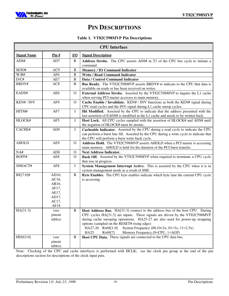

# **PIN DESCRIPTIONS**

### **Table 1. VT82C598MVP Pin Descriptions**

|                    |                                |                | <b>CPU</b> Interface                                                                                                             |
|--------------------|--------------------------------|----------------|----------------------------------------------------------------------------------------------------------------------------------|
| <b>Signal Name</b> | $\frac{\text{Pin H}}{\text{}}$ | I/O            | <b>Signal Description</b>                                                                                                        |
| ADS#               | AD7                            | B              | Address Strobe. The CPU asserts ADS# in T1 of the CPU bus cycle to initiate a                                                    |
|                    |                                |                | command                                                                                                                          |
| M/IO#              | AC <sub>9</sub>                | B              | <b>Memory / IO Command Indicator</b>                                                                                             |
| W/R#               | AF <sub>6</sub>                | B              | <b>Write / Read Command Indicator</b>                                                                                            |
| D/C#               | AE7                            | $\overline{B}$ | Data / Control Command Indicator                                                                                                 |
| BRDY#              | AC8                            | B              | Bus Ready. The VT82C598MVP asserts BRDY# to indicate to the CPU that data is                                                     |
|                    |                                |                | available on reads or has been received on writes.                                                                               |
| EADS#              | AE6                            | $\mathbf{O}$   | External Address Strobe. Asserted by the VT82C598MVP to inquire the L1 cache<br>when serving PCI master accesses to main memory. |
| KEN# / INV         | AF9                            | $\mathbf{O}$   | Cache Enable / Invalidate. KEN# / INV functions as both the KEN# signal during                                                   |
|                    |                                |                | CPU read cycles and the INV signal during L1 cache snoop cycles.                                                                 |
| HITM#              | AF7                            | $\bf{I}$       | Hit Modified. Asserted by the CPU to indicate that the address presented with the                                                |
|                    |                                |                | last assertion of EADS# is modified in the L1 cache and needs to be written back.                                                |
| HLOCK#             | AF5                            | $\bf{I}$       | Host Lock. All CPU cycles sampled with the assertion of HLOCK# and ADS# until                                                    |
|                    |                                |                | the negation of HLOCK# must be atomic.                                                                                           |
| CACHE#             | AD9                            | $\mathbf I$    | Cacheable Indicator. Asserted by the CPU during a read cycle to indicate the CPU                                                 |
|                    |                                |                | can perform a burst line fill. Asserted by the CPU during a write cycle to indicate that                                         |
|                    |                                |                | the CPU will perform a burst write-back cycle.                                                                                   |
| <b>AHOLD</b>       | AE9                            | $\mathbf{O}$   | Address Hold. The VT82C598MVP asserts AHOLD when a PCI master is accessing                                                       |
|                    |                                |                | main memory. AHOLD is held for the duration of the PCI burst transfer.                                                           |
| NA#                | AD <sub>8</sub>                | $\mathbf{O}$   | <b>Next Address Indicator.</b>                                                                                                   |
| BOFF#              | AE <sub>8</sub>                | $\Omega$       | Back Off. Asserted by the VT82C598MVP when required to terminate a CPU cycle<br>that was in progress.                            |
| SMIACT#            | AF <sub>8</sub>                | Ι              | System Management Interrupt Active. This is asserted by the CPU when it is in                                                    |
|                    |                                |                | system management mode as a result of SMI.                                                                                       |
| BE[7:0]#           | AD16,                          | B              | Byte Enables. The CPU byte enables indicate which byte lane the current CPU cycle                                                |
|                    | AC16,                          |                | is accessing.                                                                                                                    |
|                    | AB16,                          |                |                                                                                                                                  |
|                    | AF17,                          |                |                                                                                                                                  |
|                    | AE17,                          |                |                                                                                                                                  |
|                    | AD17,                          |                |                                                                                                                                  |
|                    | AC17,                          |                |                                                                                                                                  |
|                    | AF18                           |                |                                                                                                                                  |
| HA[31:3]           | (see                           | B              | Host Address Bus. HA[31:3] connect to the address bus of the host CPU. During                                                    |
|                    | pinout                         |                | CPU cycles HA[31:3] are inputs. These signals are driven by the VT82C598MVP                                                      |
|                    | tables)                        |                | during cache snooping operations. HA25-27 are also used for power-up strapping<br>options (sampled on the RESET# rising edge):   |
|                    |                                |                | HA27-26 Rx68[1-0]<br>System Frequency $(00, 10=2x, 01=3x, 11=2.5x)$                                                              |
|                    |                                |                | <b>HA25</b><br>Memory Frequency (0=CPU, 1=AGP)<br>Rx69[7]                                                                        |
| HD[63:0]           | (see                           | $\bf{B}$       | Host CPU Data. These signals are connected to the CPU data bus.                                                                  |
|                    | pinout                         |                |                                                                                                                                  |
|                    | tables)                        |                |                                                                                                                                  |

Note: Clocking of the CPU and cache interfaces is performed with HCLK; see the clock pin group at the end of the pin descriptions section for descriptions of the clock input pins.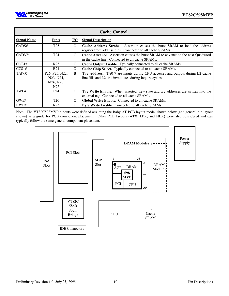

|                    | <b>Cache Control</b>                                                                               |            |                                                                                                                                                   |  |  |  |  |  |  |  |  |  |
|--------------------|----------------------------------------------------------------------------------------------------|------------|---------------------------------------------------------------------------------------------------------------------------------------------------|--|--|--|--|--|--|--|--|--|
| <b>Signal Name</b> | $\frac{\text{Pin H}}{\text{H}}$                                                                    | <u>I/O</u> | <b>Signal Description</b>                                                                                                                         |  |  |  |  |  |  |  |  |  |
| CADS#              | T <sub>25</sub>                                                                                    | $\Omega$   | <b>Cache Address Strobe.</b> Assertion causes the burst SRAM to load the address<br>register from address pins. Connected to all cache SRAMs.     |  |  |  |  |  |  |  |  |  |
| CADV#              | T <sub>24</sub>                                                                                    | $\Omega$   | Cache Advance. Assertion causes the burst SRAM to advance to the next Quadword<br>in the cache line. Connected to all cache SRAMs.                |  |  |  |  |  |  |  |  |  |
| COE1#              | R <sub>25</sub>                                                                                    | $\Omega$   | <b>Cache Output Enable.</b> Typically connected to all cache SRAMs.                                                                               |  |  |  |  |  |  |  |  |  |
| CCS1#              | R <sub>24</sub>                                                                                    | $\Omega$   | Cache Chip Select. Typically connected to all cache SRAMs.                                                                                        |  |  |  |  |  |  |  |  |  |
| TA[7:0]            | P <sub>26</sub> , P <sub>25</sub> , N <sub>22</sub> ,<br>N23, N24,<br>M26, N26,<br>N <sub>25</sub> | B          | <b>Tag Address.</b> TA0-7 are inputs during CPU accesses and outputs during L2 cache<br>line fills and L2 line invalidates during inquire cycles. |  |  |  |  |  |  |  |  |  |
| TWE#               | P <sub>24</sub>                                                                                    | $\Omega$   | Tag Write Enable. When asserted, new state and tag addresses are written into the<br>external tag. Connected to all cache SRAMs.                  |  |  |  |  |  |  |  |  |  |
| GWE#               | T <sub>26</sub>                                                                                    | $\Omega$   | Global Write Enable. Connected to all cache SRAMs.                                                                                                |  |  |  |  |  |  |  |  |  |
| BWE#               | R <sub>23</sub>                                                                                    | $\Omega$   | <b>Byte Write Enable.</b> Connected to all cache SRAMs.                                                                                           |  |  |  |  |  |  |  |  |  |

Note: The VT82C598MVP pinouts were defined assuming the Baby AT PCB layout model shown below (and general pin layout shown) as a guide for PCB component placement. Other PCB layouts (ATX, LPX, and NLX) were also considered and can typically follow the same general component placement.

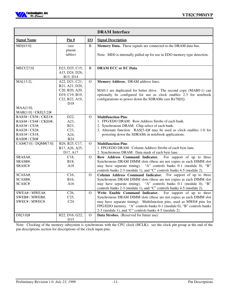

|                                   |                            |                                     | <b>DRAM</b> Interface                                                                                                                  |
|-----------------------------------|----------------------------|-------------------------------------|----------------------------------------------------------------------------------------------------------------------------------------|
| <b>Signal Name</b>                | <u>Pin #</u>               | $\underline{\mathbf{I}/\mathbf{O}}$ | <b>Signal Description</b>                                                                                                              |
| MD[63:0]                          | (see                       | B                                   | Memory Data. These signals are connected to the DRAM data bus.                                                                         |
|                                   | pinout                     |                                     |                                                                                                                                        |
|                                   | tables)                    |                                     | Note: MD0 is internally pulled up for use in EDO memory type detection.                                                                |
|                                   |                            |                                     |                                                                                                                                        |
| MECC[7:0]                         | D23, D25, C15,             | B                                   | <b>DRAM ECC or EC Data</b>                                                                                                             |
|                                   | A15, D24, D26,             |                                     |                                                                                                                                        |
| MA[13:2],                         | B15, D14<br>A22, D21, C21, | $\mathbf{O}$                        | Memory Address. DRAM address lines.                                                                                                    |
|                                   | B21, A21, D20,             |                                     |                                                                                                                                        |
|                                   | C20, B20, A20,             |                                     | MA0-1 are duplicated for better drive. The second copy (MAB0-1) can                                                                    |
|                                   | D19, C19, B19,             |                                     | optionally be configured for use as clock enables 2-3 for notebook                                                                     |
|                                   | C22, B22, A19,             |                                     | configurations to power down the SDRAMs (see Rx78[0]).                                                                                 |
|                                   | D <sub>18</sub>            |                                     |                                                                                                                                        |
| MAA[1:0],<br>MAB[1:0] / CKE[3:2]# |                            |                                     |                                                                                                                                        |
| RAS5# / CS5# / CKE1#,             | D22,                       | $\Omega$                            | <b>Multifunction Pins</b>                                                                                                              |
| RAS4# / CS4# / CKE0#,             | A23,                       |                                     | 1. FPG/EDO DRAM: Row Address Strobe of each bank.                                                                                      |
| RAS3#/CS3#,                       | B23,                       |                                     | 2. Synchronous DRAM: Chip select of each bank.                                                                                         |
| RAS2#/CS2#,                       | C23                        |                                     | 3. Alternate function: RAS[5-4]# may be used as clock enables 1-0 for                                                                  |
| $RAS1\# / CS1\#,$                 | A24,                       |                                     | powering down the SDRAMs in notebook applications.                                                                                     |
| $\text{RAS0}\#$ / $\text{CS0}\#$  | <b>B24</b>                 |                                     |                                                                                                                                        |
| CAS#[7:0] / DQM#[7:0]             | B26, B25, C17,             | $\overline{O}$                      | <b>Multifunction Pins</b>                                                                                                              |
|                                   | B17, A26, A25,<br>D17, A17 |                                     | 1. FPG/EDO DRAM: Column Address Strobe of each byte lane.<br>2. Synchronous DRAM: Data mask of each byte lane.                         |
| SRASA#,                           | C18,                       | $\Omega$                            | Row Address Command Indicator.<br>For support of up to three                                                                           |
| SRASB#,                           | B18,                       |                                     | Synchronous DRAM DIMM slots (these are not copies as each DIMM slot                                                                    |
| SRASC#                            | A18                        |                                     | may have separate timing). "A" controls banks 0-1 (module 0), "B"                                                                      |
|                                   |                            |                                     | controls banks 2-3 (module 1), and "C" controls banks 4-5 (module 2).                                                                  |
| SCASA#,                           | C16,                       | Ω                                   | Column Address Command Indicator. For support of up to three                                                                           |
| SCASB#,                           | B16,                       |                                     | Synchronous DRAM DIMM slots (these are not copies as each DIMM slot                                                                    |
| SCASC#                            | A16                        |                                     | may have separate timing). "A" controls banks 0-1 (module 0), "B"                                                                      |
| SWEA# / MWEA#,                    | C <sub>26</sub> ,          | $\Omega$                            | controls banks 2-3 (module 1), and "C" controls banks 4-5 (module 2).<br>Write Enable Command Indicator.<br>For support of up to three |
| SWEB# / MWEB#,                    | C25,                       |                                     | Synchronous DRAM DIMM slots (these are not copies as each DIMM slot                                                                    |
| SWEC# / MWEC#                     | C <sub>24</sub>            |                                     | may have separate timing). Multifunction pins, used as MWE# pins for                                                                   |
|                                   |                            |                                     | FPG/EDO memory. "A" controls banks 0-1 (module 0), "B" controls banks                                                                  |
|                                   |                            |                                     | 2-3 (module 1), and "C" controls banks 4-5 (module 2).                                                                                 |
| $DS[3:0]$ #                       | H22, D16, G22,             | $\overline{O}$                      | Data Strobes. (Reserved for future use)                                                                                                |
|                                   | D15                        |                                     |                                                                                                                                        |

Note: Clocking of the memory subsystem is synchronous with the CPU clock (HCLK); see the clock pin group at the end of the pin descriptions section for descriptions of the clock input pins.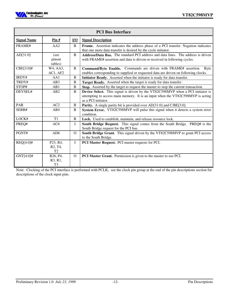

| <b>PCI Bus Interface</b> |                                                                                           |          |                                                                                                                                                                                           |
|--------------------------|-------------------------------------------------------------------------------------------|----------|-------------------------------------------------------------------------------------------------------------------------------------------------------------------------------------------|
| <b>Signal Name</b>       | $\overline{\text{Pin}\#}$                                                                 | $IVO$    | <b>Signal Description</b>                                                                                                                                                                 |
| FRAME#                   | AA2                                                                                       | B        | Frame. Assertion indicates the address phase of a PCI transfer. Negation indicates<br>that one more data transfer is desired by the cycle initiator.                                      |
| AD[31:0]                 | (see<br>pinout<br>tables)                                                                 | B        | Address/Data Bus. The standard PCI address and data lines. The address is driven<br>with FRAME# assertion and data is driven or received in following cycles.                             |
| $CBE[3:0]$ #             | W4, AA3,<br>AC1, AF2                                                                      | B        | Command/Byte Enable. Commands are driven with FRAME# assertion. Byte<br>enables corresponding to supplied or requested data are driven on following clocks.                               |
| IRDY#                    | AA1                                                                                       | B        | Initiator Ready. Asserted when the initiator is ready for data transfer.                                                                                                                  |
| TRDY#                    | AB3                                                                                       | B        | Target Ready. Asserted when the target is ready for data transfer.                                                                                                                        |
| STOP#                    | AB1                                                                                       | B        | Stop. Asserted by the target to request the master to stop the current transaction.                                                                                                       |
| DEVSEL#                  | AB2                                                                                       | B        | Device Select. This signal is driven by the VT82C598MVP when a PCI initiator is<br>attempting to access main memory. It is an input when the VT82C598MVP is acting<br>as a PCI initiator. |
| <b>PAR</b>               | AC2                                                                                       | B        | Parity. A single parity bit is provided over AD[31:0] and C/BE[3:0].                                                                                                                      |
| SERR#                    | AB4                                                                                       | B        | System Error. VT82C598MVP will pulse this signal when it detects a system error<br>condition.                                                                                             |
| LOCK#                    | T1                                                                                        | B        | Lock. Used to establish, maintain, and release resource lock.                                                                                                                             |
| PREQ#                    | AC <sub>6</sub>                                                                           | L        | South Bridge Request. This signal comes from the South Bridge. PREQ# is the<br>South Bridge request for the PCI bus.                                                                      |
| PGNT#                    | AD6                                                                                       | $\Omega$ | South Bridge Grant. This signal driven by the VT82C598MVP to grant PCI access<br>to the South Bridge.                                                                                     |
| REQ[4:0]#                | P <sub>23</sub> , R <sub>4</sub> ,<br>R <sub>2</sub> , T <sub>4</sub> ,<br>T <sub>2</sub> | L        | PCI Master Request. PCI master requests for PCI.                                                                                                                                          |
| $GNT[4:0]$ #             | R <sub>26</sub> , P <sub>4</sub><br>R3, R1,<br>T <sub>3</sub>                             | $\Omega$ | PCI Master Grant. Permission is given to the master to use PCI.                                                                                                                           |

Note: Clocking of the PCI interface is performed with PCLK; see the clock pin group at the end of the pin descriptions section for descriptions of the clock input pins.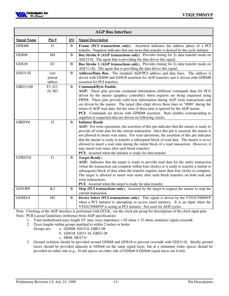

| <b>AGP Bus Interface</b> |                           |                  |                                                                                                                                                                                                                                                                                                                                                                                                                                                                                                                                                                                                                                      |  |
|--------------------------|---------------------------|------------------|--------------------------------------------------------------------------------------------------------------------------------------------------------------------------------------------------------------------------------------------------------------------------------------------------------------------------------------------------------------------------------------------------------------------------------------------------------------------------------------------------------------------------------------------------------------------------------------------------------------------------------------|--|
| <b>Signal Name</b>       | Pin #                     | $\overline{I/O}$ | <b>Signal Description</b>                                                                                                                                                                                                                                                                                                                                                                                                                                                                                                                                                                                                            |  |
| GFRM#                    | J <sub>3</sub>            | B                | Frame (PCI transactions only). Assertion indicates the address phase of a PCI<br>transfer. Negation indicates that one more data transfer is desired by the cycle initiator.                                                                                                                                                                                                                                                                                                                                                                                                                                                         |  |
| GDS0#                    | M <sub>4</sub>            | B                | Bus Strobe 0 (AGP transactions only). Provides timing for 2x data transfer mode on<br>AD[15:0]. The agent that is providing the data drives this signal.                                                                                                                                                                                                                                                                                                                                                                                                                                                                             |  |
| GDS1#                    | E <sub>3</sub>            | B                | Bus Strobe 1 (AGP transactions only). Provides timing for 2x data transfer mode on<br>AD[31:16]. The agent that is providing the data drives this signal.                                                                                                                                                                                                                                                                                                                                                                                                                                                                            |  |
| GD[31:0]                 | (see<br>pinout<br>tables) | $\, {\bf B}$     | Address/Data Bus. The standard AGP/PCI address and data lines. The address is<br>driven with GDS0# and GDS1# assertion for AGP transfers and is driven with GFRM#<br>assertion for PCI transfers.                                                                                                                                                                                                                                                                                                                                                                                                                                    |  |
| GBE[3:0]#                | F1, G3,<br>J4, M3         | B                | <b>Command/Byte Enable.</b><br>AGP: These pins provide command information (different commands than for PCI)<br>driven by the master (graphics controller) when requests are being enqueued using<br>PIPE#. These pins provide valid byte information during AGP write transactions and<br>are driven by the master. The target (this chip) drives these lines to "0000" during the<br>return of AGP read data, but the state of these pins is ignored by the AGP master.<br>PCI: Commands are driven with GFRM# assertion. Byte enables corresponding to<br>supplied or requested data are driven on following clocks.              |  |
| GIRDY#                   | J2                        | B                | <b>Initiator Ready</b><br>AGP: For write operations, the assertion of this pin indicates that the master is ready to<br>provide all write data for the current transaction. Once this pin is asserted, the master is<br>not allowed to insert wait states. For read operations, the assertion of this pin indicates<br>that the master is ready to transfer a subsequent block of read data. The master is never<br>allowed to insert a wait state during the initial block of a read transaction. However, it<br>may insert wait states after each block transfers.<br>PCI: Asserted when the initiator is ready for data transfer. |  |
| GTRDY#                   | J1                        | $\bf{B}$         | <b>Target Ready:</b><br>AGP: Indicates that the target is ready to provide read data for the entire transaction<br>(when the transaction can complete within four clocks) or is ready to transfer a (initial or<br>subsequent) block of data when the transfer requires more than four clocks to complete.<br>The target is allowed to insert wait states after each block transfers on both read and<br>write transactions.<br>PCI: Asserted when the target is ready for data transfer.                                                                                                                                            |  |
| GSTOP#                   | K <sub>3</sub>            | B                | Stop (PCI transactions only). Asserted by the target to request the master to stop the<br>current transaction.                                                                                                                                                                                                                                                                                                                                                                                                                                                                                                                       |  |
| GDSEL#                   | H4                        | $\bf{B}$         | Device Select (PCI transactions only). This signal is driven by the VT82C598MVP<br>when a PCI initiator is attempting to access main memory. It is an input when the<br>VT82C598MVP is acting as PCI initiator. Not used for AGP cycles.                                                                                                                                                                                                                                                                                                                                                                                             |  |

Note: Clocking of the AGP interface is performed with GCLK; see the clock pin group for descriptions of the clock input pins. Note: PCB Layout Guidelines (reference from AGP specification)

- 1. Total motherboard trace length 10" max, trace impedance = 65 ohms  $\pm$  15 ohms, minimize signal crosstalk
- 2. Trace lengths within groups matched to within 2 inches or better
	- Groups are: a. GDS0#, GD15-0, GBE1-0#
		- b. GDS1#, GD31-16, GBE3-2#
			- c. SBS#, SBA7-0
- 3. Ground isolation should be provided around GDS0# and GDS1# to prevent crosstalk with GD[31:0]. Ideally ground traces should be provided adjacent to GDSn# on the same signal layer, but at a minimum wider spaces should be provided on either side (e.g., 16 mil spaces on either side of GDSn# if GDSn# signal traces are 8 mil).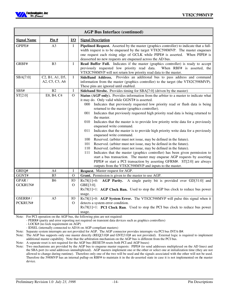

| <b>AGP Bus Interface (continued)</b> |                                                                                       |                                     |                                                                                                                                                                                                                                                                                                                                                                                                                                                                                                                                                                                                                                                                                                                                                                                                                                                                                                                                                                                                                                                                                                                                                                                     |  |
|--------------------------------------|---------------------------------------------------------------------------------------|-------------------------------------|-------------------------------------------------------------------------------------------------------------------------------------------------------------------------------------------------------------------------------------------------------------------------------------------------------------------------------------------------------------------------------------------------------------------------------------------------------------------------------------------------------------------------------------------------------------------------------------------------------------------------------------------------------------------------------------------------------------------------------------------------------------------------------------------------------------------------------------------------------------------------------------------------------------------------------------------------------------------------------------------------------------------------------------------------------------------------------------------------------------------------------------------------------------------------------------|--|
| <b>Signal Name</b>                   | Pin#                                                                                  | $\underline{\mathbf{I}/\mathbf{O}}$ | <b>Signal Description</b>                                                                                                                                                                                                                                                                                                                                                                                                                                                                                                                                                                                                                                                                                                                                                                                                                                                                                                                                                                                                                                                                                                                                                           |  |
| GPIPE#                               | A3                                                                                    | L                                   | Pipelined Request. Asserted by the master (graphics controller) to indicate that a full-<br>width request is to be enqueued by the target VT82C598MVP. The master enqueues<br>one request each rising edge of GCLK while PIPE# is asserted. When PIPE# is<br>deasserted no new requests are enqueued across the AD bus.                                                                                                                                                                                                                                                                                                                                                                                                                                                                                                                                                                                                                                                                                                                                                                                                                                                             |  |
| GRBF#                                | B <sub>3</sub>                                                                        | Ι                                   | Read Buffer Full. Indicates if the master (graphics controller) is ready to accept<br>previously requested low priority read data.<br>When RBF# is asserted, the<br>VT82C598MVP will not return low priority read data to the master.                                                                                                                                                                                                                                                                                                                                                                                                                                                                                                                                                                                                                                                                                                                                                                                                                                                                                                                                               |  |
| SBA[7:0]                             | C <sub>2</sub> , B <sub>1</sub> , A <sub>1</sub> , D <sub>5</sub> ,<br>A2, C5, C3, A6 | $\mathbf I$                         | SideBand Address. Provides an additional bus to pass address and command<br>information from the master (graphics controller) to the target (the VT82C598MVP).<br>These pins are ignored until enabled.                                                                                                                                                                                                                                                                                                                                                                                                                                                                                                                                                                                                                                                                                                                                                                                                                                                                                                                                                                             |  |
| SBS#                                 | B2                                                                                    | $\mathbf I$                         | Sideband Strobe. Provides timing for SBA[7:0] (driven by the master)                                                                                                                                                                                                                                                                                                                                                                                                                                                                                                                                                                                                                                                                                                                                                                                                                                                                                                                                                                                                                                                                                                                |  |
| ST[2:0]                              | E8, B4, C4                                                                            | $\Omega$                            | Status (AGP only). Provides information from the arbiter to a master to indicate what<br>it may do. Only valid while GGNT# is asserted.<br>Indicates that previously requested low priority read or flush data is being<br>000<br>returned to the master (graphics controller).<br>Indicates that previously requested high priority read data is being returned to<br>001<br>the master.<br>010<br>Indicates that the master is to provide low priority write data for a previously<br>enqueued write command.<br>Indicates that the master is to provide high priority write data for a previously<br>011<br>enqueued write command.<br>Reserved. (arbiter must not issue, may be defined in the future).<br>100<br>Reserved. (arbiter must not issue, may be defined in the future).<br>101<br>Reserved. (arbiter must not issue, may be defined in the future).<br>110<br>Indicates that the master (graphics controller) has been given permission to<br>111<br>start a bus transaction. The master may enqueue AGP requests by asserting<br>PIPE# or start a PCI transaction by asserting GFRM#. ST[2:0] are always<br>outputs from the VT82C598MVP and inputs to the master. |  |
| GREQ#                                | A4                                                                                    | I                                   | Request. Master request for AGP.                                                                                                                                                                                                                                                                                                                                                                                                                                                                                                                                                                                                                                                                                                                                                                                                                                                                                                                                                                                                                                                                                                                                                    |  |
| GGNT#                                | B <sub>5</sub>                                                                        | $\mathbf O$                         | Grant. Permission is given to the master to use AGP.                                                                                                                                                                                                                                                                                                                                                                                                                                                                                                                                                                                                                                                                                                                                                                                                                                                                                                                                                                                                                                                                                                                                |  |
| GPAR /<br>GCKRUN#                    | <b>B6</b>                                                                             | IO<br>$\mathbf{O}$                  | Rx78[1]=0: AGP Parity. A single parity bit is provided over GD[31:0] and<br>GBE[3:0].<br>$Rx78[1]=1$ : AGP Clock Run. Used to stop the AGP bus clock to reduce bus power<br>usage.                                                                                                                                                                                                                                                                                                                                                                                                                                                                                                                                                                                                                                                                                                                                                                                                                                                                                                                                                                                                  |  |
| GSERR#/<br>PCKRUN#                   | A <sub>5</sub>                                                                        | IO<br>$\mathbf{O}$                  | Rx78[1]=0: AGP System Error. The VT82C598MVP will pulse this signal when it<br>detects a system error condition.<br>$Rx78[1]=1$ : <b>PCI Clock Run</b> . Used to stop the PCI bus clock to reduce bus power<br>usage.                                                                                                                                                                                                                                                                                                                                                                                                                                                                                                                                                                                                                                                                                                                                                                                                                                                                                                                                                               |  |

Note: For PCI operation on the AGP bus, the following pins are not required:

- PERR# (parity and error reporting not required on transient data devices such as graphics controllers)

- LOCK# (no lock requirement on AGP)

- IDSEL (internally connected to AD16 on AGP-compliant masters)

Note: Separate system interrupts are not provided for AGP. The AGP connector provides interrupts via PCI bus INTA-B#.

Note: The AGP bus supports only one master directly (REQ[3:0]# and GNT[3:0]# are not provided). External logic is required to implement additional master capability. Note that the arbitration mechanism on the AGP bus is different from the PCI bus.

Note: A separate reset is not required for the AGP bus (RESET# resets both PCI and AGP buses)

Note: Two mechanisms are provided by the AGP bus to enqueue master requests: PIPE# (to send addresses multiplexed on the AD lines) and the SBA port (to send addresses unmultiplexed). AGP masters implement one or the other or select one at initialization time (they are not allowed to change during runtime). Therefore only one of the two will be used and the signals associated with the other will not be used. Therefore the 598MVP has an internal pullup on RBF# to maintain it in the de-asserted state in case it is not implemented on the master device.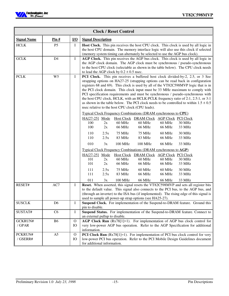

| <b>Clock / Reset Control</b> |                                 |                    |                                                                                                                                                                                                                                                                                                                                                                                                                                                                                                                                                                                                                                                                                                                                                                                                                                                                                                                                                                                                                                                                                                                                                                                                                                                                                                                                                                                                                                                                                                            |  |  |  |
|------------------------------|---------------------------------|--------------------|------------------------------------------------------------------------------------------------------------------------------------------------------------------------------------------------------------------------------------------------------------------------------------------------------------------------------------------------------------------------------------------------------------------------------------------------------------------------------------------------------------------------------------------------------------------------------------------------------------------------------------------------------------------------------------------------------------------------------------------------------------------------------------------------------------------------------------------------------------------------------------------------------------------------------------------------------------------------------------------------------------------------------------------------------------------------------------------------------------------------------------------------------------------------------------------------------------------------------------------------------------------------------------------------------------------------------------------------------------------------------------------------------------------------------------------------------------------------------------------------------------|--|--|--|
| <b>Signal Name</b>           | $\frac{\text{Pin H}}{\text{H}}$ | $IVO$              | <b>Signal Description</b>                                                                                                                                                                                                                                                                                                                                                                                                                                                                                                                                                                                                                                                                                                                                                                                                                                                                                                                                                                                                                                                                                                                                                                                                                                                                                                                                                                                                                                                                                  |  |  |  |
| HCLK                         | P <sub>5</sub>                  | I                  | Host Clock. This pin receives the host CPU clock. This clock is used by all logic in<br>the host CPU domain. The memory interface logic will also use this clock if selected<br>(memory system timing can alternately be selected to use the AGP bus clock).                                                                                                                                                                                                                                                                                                                                                                                                                                                                                                                                                                                                                                                                                                                                                                                                                                                                                                                                                                                                                                                                                                                                                                                                                                               |  |  |  |
| ${\rm GCLK}$                 | D4                              | $\bf{I}$           | AGP Clock. This pin receives the AGP bus clock. This clock is used by all logic in<br>the AGP clock domain. The AGP clock must be synchronous / pseudo-synchronous<br>to the host CPU clock (selectable as shown in the table below). The CPU clock needs<br>to lead the AGP clock by $0.2 \pm 0.5$ nsec.                                                                                                                                                                                                                                                                                                                                                                                                                                                                                                                                                                                                                                                                                                                                                                                                                                                                                                                                                                                                                                                                                                                                                                                                  |  |  |  |
| <b>PCLK</b>                  | W <sub>5</sub>                  | $\bf I$            | PCI Clock. This pin receives a buffered host clock divided-by-2, 2.5, or 3 See<br>strapping options on HA27-25 (strapping options can be read back in configuration<br>registers 68 and 69). This clock is used by all of the VT82C598MVP logic that is in<br>the PCI clock domain. This clock input must be 33 MHz maximum to comply with<br>PCI specification requirements and must be synchronous / pseudo-synchronous with<br>the host CPU clock, HCLK, with an HCLK: PCLK frequency ratio of 2:1, 2.5:1, or 3:1<br>as shown in the table below. The PCI clock needs to be controlled to within $1.5 \pm 0.5$<br>nsec relative to the host CPU clock (CPU leads).<br><b>Typical Clock Frequency Combinations (DRAM synchronous to CPU)</b><br>HA[27-25] Mode Host Clock DRAM Clock AGP Clock PCI Clock<br>60 MHz<br>100<br>60 MHz<br>60 MHz<br>30 MHz<br>2x<br>100<br>66 MHz<br><b>66 MHz</b><br>66 MHz<br>2x<br>33 MHz<br><b>75 MHz</b><br><b>75 MHz</b><br>110<br>2.5x<br>60 MHz<br><b>30 MHz</b><br>110<br>2.5x<br>83 MHz<br>83 MHz<br>66 MHz<br>33 MHz<br>010<br>3x<br>100 MHz<br>100 MHz<br><b>66 MHz</b><br>33 MHz<br><b>Typical Clock Frequency Combinations (DRAM synchronous to AGP)</b><br>HA[27-25] Mode<br>Host Clock DRAM Clock AGP Clock PCI Clock<br>101<br>60 MHz<br>60 MHz<br>60 MHz<br><b>30 MHz</b><br>2x<br>66 MHz<br>66 MHz<br>33 MHz<br>101<br>2x<br>66 MHz<br><b>75 MHz</b><br>60 MHz<br>111<br>2.5x<br>60 MHz<br>30 MHz<br>111<br>2.5x<br>83 MHz<br>66 MHz<br>66 MHz<br>33 MHz |  |  |  |
| RESET#                       | AC7                             | Ι                  | 011<br>3x<br>100 MHz<br>66 MHz<br>66 MHz<br>33 MHz<br>Reset. When asserted, this signal resets the VT82C598MVP and sets all register bits<br>to the default value. This signal also connects to the PCI bus, to the AGP bus, and<br>(through an inverter) to the ISA bus (if implemented). The rising edge of this signal is<br>used to sample all power-up strap options (see HA25-27).                                                                                                                                                                                                                                                                                                                                                                                                                                                                                                                                                                                                                                                                                                                                                                                                                                                                                                                                                                                                                                                                                                                   |  |  |  |
| <b>SUSCLK</b>                | D <sub>6</sub>                  | I                  | Suspend Clock. For implementation of the Suspend-to-DRAM feature. Ground this<br>pin to disable.                                                                                                                                                                                                                                                                                                                                                                                                                                                                                                                                                                                                                                                                                                                                                                                                                                                                                                                                                                                                                                                                                                                                                                                                                                                                                                                                                                                                           |  |  |  |
| SUSTAT#                      | C <sub>6</sub>                  | I                  | Suspend Status. For implementation of the Suspend-to-DRAM feature. Connect to<br>an external pullup to disable.                                                                                                                                                                                                                                                                                                                                                                                                                                                                                                                                                                                                                                                                                                                                                                                                                                                                                                                                                                                                                                                                                                                                                                                                                                                                                                                                                                                            |  |  |  |
| GCKRUN#<br>/ GPAR            | <b>B6</b>                       | $\mathbf{O}$<br>IO | AGP Clock Run (Rx78[1]=1). For implementation of AGP bus clock control for<br>very low-power AGP bus operation. Refer to the AGP Specification for additional<br>information.                                                                                                                                                                                                                                                                                                                                                                                                                                                                                                                                                                                                                                                                                                                                                                                                                                                                                                                                                                                                                                                                                                                                                                                                                                                                                                                              |  |  |  |
| PCKRUN#<br>/GSERR#           | A <sub>5</sub>                  | $\mathbf{O}$<br>IO | <b>PCI Clock Run</b> $(Rx78[1]=1)$ . For implementation of PCI bus clock control for very<br>low-power PCI bus operation. Refer to the PCI Mobile Design Guidelines document<br>for additional information.                                                                                                                                                                                                                                                                                                                                                                                                                                                                                                                                                                                                                                                                                                                                                                                                                                                                                                                                                                                                                                                                                                                                                                                                                                                                                                |  |  |  |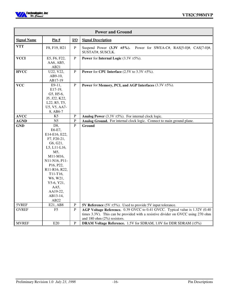

| <b>Power and Ground</b> |                                                                                                                                                                                                                           |                                     |                                                                                                                                                                                                   |  |
|-------------------------|---------------------------------------------------------------------------------------------------------------------------------------------------------------------------------------------------------------------------|-------------------------------------|---------------------------------------------------------------------------------------------------------------------------------------------------------------------------------------------------|--|
| <b>Signal Name</b>      | Pin $#$                                                                                                                                                                                                                   | $\underline{\mathbf{I}/\mathbf{O}}$ | <b>Signal Description</b>                                                                                                                                                                         |  |
| <b>VTT</b>              | F8, F19, H21                                                                                                                                                                                                              | ${\bf P}$                           | Suspend Power $(3.3V \pm 5\%)$ .<br>Power for SWEA-C#, RAS[5-0]#, CAS[7-0]#,<br>SUSTAT#, SUSCLK.                                                                                                  |  |
| <b>VCCI</b>             | E5, F6, F22,<br>AA6, AB5,<br>AB21                                                                                                                                                                                         | $\mathbf{P}$                        | <b>Power</b> for <b>Internal Logic</b> $(3.3V \pm 5\%)$ .                                                                                                                                         |  |
| <b>HVCC</b>             | U22, V22,<br>AB9-10,<br>AB17-19                                                                                                                                                                                           | $\, {\bf P}$                        | <b>Power</b> for CPU Interface $(2.5V \text{ to } 3.3V \pm 5\%).$                                                                                                                                 |  |
| <b>VCC</b>              | $E9-11,$<br>E17-19,<br>G5, H5-6,<br>J5, J22, K22,<br>L22, R5, T5,<br>U5, V5, AA7-<br>8, AB6-7                                                                                                                             | ${\bf P}$                           | Power for Memory, PCI, and AGP Interfaces $(3.3V \pm 5\%)$ .                                                                                                                                      |  |
| <b>AVCC</b>             | K <sub>5</sub>                                                                                                                                                                                                            | ${\bf P}$                           | <b>Analog Power</b> (3.3V $\pm$ 5%). For internal clock logic.                                                                                                                                    |  |
| <b>AGND</b>             | N <sub>5</sub>                                                                                                                                                                                                            | ${\bf P}$                           | Analog Ground. For internal clock logic. Connect to main ground plane.                                                                                                                            |  |
| <b>GND</b>              | D8,<br>E6-E7,<br>E14-E16, E22,<br>F7, F20-21,<br>G6, G21,<br>L5, L11-L16,<br>M5,<br>M11-M16,<br>N11-N16, P11-<br>P16, P22,<br>R11-R16, R22,<br>T11-T16,<br>W6, W21,<br>Y5-6, Y21,<br>AA5,<br>AA19-22,<br>AB13-14,<br>AB22 | ${\bf P}$                           | Ground                                                                                                                                                                                            |  |
| 5VREF                   | E21, AB8                                                                                                                                                                                                                  | ${\bf P}$                           | <b>5V Reference</b> (5V $\pm$ 5%). Used to provide 5V input tolerance.                                                                                                                            |  |
| <b>GVREF</b>            | F <sub>5</sub>                                                                                                                                                                                                            | $\mathbf{P}$                        | AGP Voltage Reference. 0.39 GVCC to 0.41 GVCC. Typical value is 1.32V (0.40<br>times 3.3V). This can be provided with a resistive divider on GVCC using 270 ohm<br>and 180 ohm $(2\%)$ resistors. |  |
| <b>MVREF</b>            | E20                                                                                                                                                                                                                       | ${\bf P}$                           | <b>DRAM Voltage Reference.</b> 1.5V for SDRAM, 1.0V for DDR SDRAM $(\pm 5\%)$                                                                                                                     |  |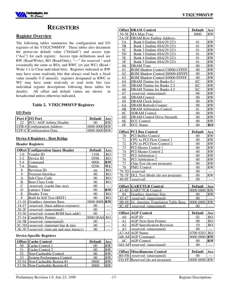

# **REGISTERS**

### **Register Overview**

The following tables summarize the configuration and I/O registers of the VT82C598MVP. These tables also document the power-on default value ("Default") and access type ("Acc") for each register. Access type definitions used are RW (Read/Write), RO (Read/Only), "—" for reserved / used (essentially the same as RO), and RWC (or just WC) (Read / Write 1's to Clear individual bits). Registers indicated as RW may have some read/only bits that always read back a fixed value (usually 0 if unused); registers designated as RWC or WC may have some read-only or read write bits (see individual register descriptions following these tables for details). All offset and default values are shown in hexadecimal unless otherwise indicated.

#### **Table 2. VT82C598MVP Registers**

#### **I/O Ports**

| Port #  I/O Port                   | <b>Default</b> | Acc       |
|------------------------------------|----------------|-----------|
| <b>PCI</b> / AGP Arbiter Disable   | $\Omega$       | <b>RW</b> |
| <b>CFB-8 Configuration Address</b> | 0000 0000 RW   |           |
| <b>CFF-C</b> Configuration Data    | $00000000$ RW  |           |

#### **Device 0 Registers - Host Bridge**

#### **Header Registers**

|         | <b>Offset Configuration Space Header</b>   | <b>Default</b> | Acc                    |
|---------|--------------------------------------------|----------------|------------------------|
| $1 - 0$ | Vendor ID                                  | 1106           | RO.                    |
| $3-2$   | Device ID                                  | 0598           | R <sub>O</sub>         |
| 5-4     | Command                                    | 0006           | $\mathbf{R}\mathbf{W}$ |
| 7-6     | <b>Status</b>                              | 0290           | WС                     |
| 8       | <b>Revision ID</b>                         | nn             | <b>RO</b>              |
| 9       | Program Interface                          | 00             | RO                     |
| A       | <b>Sub Class Code</b>                      | 00             | RO                     |
| В       | <b>Base Class Code</b>                     | 06             | RO                     |
| C       | -reserved- (cache line size)               | 00             |                        |
| D       | <b>Latency Timer</b>                       | 00             | $\mathbf{R}\mathbf{W}$ |
| E       | <b>Header Type</b>                         | 00             | R <sub>O</sub>         |
| F       | Built In Self Test (BIST)                  | 00             | RO.                    |
| 13-10   | <b>Graphics Aperture Base</b>              | 0000 0008      | $\mathbf{R}\mathbf{W}$ |
| 14-27   | -reserved- (base address registers)        | 00             |                        |
| $28-2F$ | -reserved- (unassigned)                    | 00             |                        |
| 33-30   | -reserved- (expan ROM base addr)           | 00             |                        |
| 37-34   | Capability Pointer                         | 0000 00A0      | RO                     |
| 34-3B   | -reserved- (unassigned)                    | 00             |                        |
| $3C-3D$ | -reserved- (interrupt line $\&$ pin)       | 00             |                        |
|         | 3E-3F - reserved (min gnt and max latency) | 00             |                        |

#### **Device-Specific Registers**

|     | <b>Offset Cache Control</b>       | <b>Default</b> | Acc |
|-----|-----------------------------------|----------------|-----|
| -50 | Cache Control 1                   |                |     |
| 51  | Cache Control 2                   |                |     |
| 52  | Non-Cacheable Control             |                |     |
| 53  | <b>System Performance Control</b> | $($ )( )       |     |
|     | 55-54 Non-Cacheable Region #1     |                |     |
|     | 57-56 Non-Cacheable Region $#2$   |                |     |

|                 | <b>Offset DRAM Control</b>                | <b>Default</b> | Acc                    |
|-----------------|-------------------------------------------|----------------|------------------------|
| 59-58           | <b>MA Map Type</b>                        | 0000           | <b>RW</b>              |
| 5A-5F           | <b>DRAM Row Ending Address:</b>           |                |                        |
| 5A              | Bank 0 Ending (HA[29:22])                 | 01             | RW                     |
| 5B              | Bank 1 Ending (HA[29:22])                 | 0 <sub>1</sub> | RW                     |
| 5C              | Bank 2 Ending (HA[29:22])                 | 01             | <b>RW</b>              |
| 5D              | Bank 3 Ending (HA[29:221)                 | 01             | <b>RW</b>              |
| 5E              | Bank 4 Ending (HA[29:22])                 | 01             | RW                     |
| 5F              | Bank 5 Ending (HA[29:22])                 | 01             | RW                     |
| 60              | DRAM Type                                 | 00             | <b>RW</b>              |
| 61              | ROM Shadow Control C0000-CFFFF            | 00             | <b>RW</b>              |
| 62              | ROM Shadow Control D0000-DFFFF            | $00\,$         | RW                     |
| 63              | ROM Shadow Control E0000-FFFFF            | 00             | <b>RW</b>              |
| 64              | DRAM Timing for Banks 0,1                 | EC             | <b>RW</b>              |
| 65              | DRAM Timing for Banks 2,3                 | EC             | <b>RW</b>              |
| 66              | DRAM Timing for Banks 4,5                 | EC             | <b>RW</b>              |
| 67              | -reserved- (unassigned)                   | 00             | <b>RW</b>              |
| 68              | <b>DRAM</b> Control                       | 0 <sub>0</sub> | <b>RW</b>              |
| 69              | <b>DRAM Clock Select</b>                  | 00             | $\overline{\text{RW}}$ |
| <b>6A</b>       | <b>DRAM Refresh Counter</b>               | 0 <sub>0</sub> | RW                     |
| 6 <sub>B</sub>  | <b>DRAM Arbitration Control</b>           | 01             | <b>RW</b>              |
| 6C              | <b>SDRAM Control</b>                      | 00             | <b>RW</b>              |
| 6D              | <b>DRAM Control Drive Strength</b>        | 00             | <b>RW</b>              |
| 6E              | <b>ECC Control</b>                        | 00             | RW                     |
| 6F              | <b>ECC Status</b>                         | 0 <sub>0</sub> | RO                     |
|                 |                                           |                |                        |
|                 | <b>Offset  PCI Bus Control</b>            | <b>Default</b> | Acc                    |
| 70              | <b>PCI Buffer Control</b>                 | 00             | <b>RW</b>              |
| 71              | CPU to PCI Flow Control 1                 | 00             | <b>RW</b>              |
| 72              | CPU to PCI Flow Control 2                 | 00             | <b>RW</b>              |
| 73              | <b>PCI Master Control 1</b>               | $00\,$         | RW                     |
| 74              | <b>PCI Master Control 2</b>               | 00             | <b>RW</b>              |
| 75              | PCI Arbitration 1                         | 0 <sup>0</sup> | RW                     |
| $\overline{76}$ | <b>PCI</b> Arbitration 2                  | 00             | $\overline{\text{RW}}$ |
| 77              | Chip Test (do not program)                | 00             | <b>RW</b>              |
| 78              | <b>PMU Control</b>                        | 00             | RW                     |
|                 | 79-7D -reserved-                          | 00             |                        |
|                 | 7E-7F DLL Test Mode (do not program)      | 00             | <b>RW</b>              |
| 80-FF           | -reserved-                                | 0 <sub>0</sub> |                        |
|                 |                                           |                |                        |
|                 | <b>Offset GART/TLB Control</b>            | <b>Default</b> | Acc                    |
|                 | 83-80 GART/TLB Control                    | 0000 0000 RW   |                        |
| 84              | <b>Graphics Aperture Size</b>             | $00\,$         | RW                     |
| 85-87           | -reserved- (unassigned)                   | 00             |                        |
|                 | 8B-88 Gr. Aperture Translation Table Base | 0000 0000      | <b>RW</b>              |
| $8C-8F$         | -reserved- (unassigned)                   | 00             |                        |
|                 | <b>Offset AGP Control</b>                 | <b>Default</b> | <u>Acc</u>             |
| A0              | <b>AGP ID</b>                             | 02             | R <sub>O</sub>         |
| A1              | <b>AGP Next Item Pointer</b>              | 00             | RO                     |
| А2              | <b>AGP</b> Specification Revision         | 10             | <b>RO</b>              |
| A3              | -reserved- (unassigned)                   | 00             |                        |
| A7-A41          | <b>AGP Status</b>                         | 0700 0203      | RO                     |
|                 | <b>AB-A8 AGP Command</b>                  | 0000 0000 RW   |                        |
| AС              | <b>AGP</b> Control                        | 0 <sub>0</sub> | $\mathbf{R}\mathbf{W}$ |
|                 | AD-AFI-reserved- (unassigned)             | 00             |                        |
|                 |                                           |                |                        |
|                 | <b>Offset Miscellaneous Control</b>       | <b>Default</b> | Acc                    |
|                 | <b>B0-FB</b> -reserved- (unassigned)      | 00             |                        |
| $FD$ - $FF$     | Reserved (do not program)                 | 0000 0000      | <b>RW</b>              |
|                 |                                           |                |                        |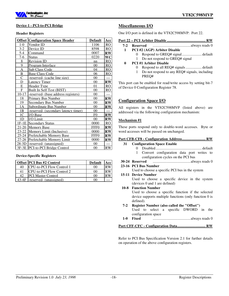

#### **Device 1 - PCI-to-PCI Bridge**

#### **Header Registers**

|                | <b>Offset Configuration Space Header</b> | <b>Default</b>   | Acc                    |
|----------------|------------------------------------------|------------------|------------------------|
| $1-0$          | Vendor ID                                | 1106             | R <sub>O</sub>         |
| $3-2$          | Device ID                                | 8598             | R <sub>O</sub>         |
| $5-4$          | Command                                  | 0007             | $\mathbf{R}\mathbf{W}$ |
| 7-6            | <b>Status</b>                            | 0220             | WC                     |
| 8              | <b>Revision ID</b>                       | nn               | R <sub>O</sub>         |
| 9              | Program Interface                        | 00               | <sub>RO</sub>          |
| A              | <b>Sub Class Code</b>                    | 04               | <sub>RO</sub>          |
| B              | <b>Base Class Code</b>                   | 06               | <b>RO</b>              |
| C              | -reserved- (cache line size)             | 00               |                        |
| D              | <b>Latency Timer</b>                     | 00               | $\mathbf{R}\mathbf{W}$ |
| E              | Header Type                              | 01               | R <sub>O</sub>         |
| F              | Built In Self Test (BIST)                | 00               | RO                     |
| 10-17          | -reserved- (base address registers)      | 00               |                        |
| 18             | Primary Bus Number                       | 00               | $\mathbf{R}\mathbf{W}$ |
| 19             | Secondary Bus Number                     | 00               | $\mathbf{R}\mathbf{W}$ |
| 1A             | Subordinate Bus Number                   | 00               | $\mathbf{R}\mathbf{W}$ |
| 1B             | -reserved- (secondary latency timer)     | 00               |                        |
| 1 <sup>C</sup> | I/O Base                                 | F <sub>0</sub>   | $\mathbf{R}\mathbf{W}$ |
| 1D             | I/O Limit                                | 00               | $\mathbf{R}\mathbf{W}$ |
| $1F-1E$        | <b>Secondary Status</b>                  | 0000             | R <sub>O</sub>         |
| 21-20          | <b>Memory Base</b>                       | FFF <sub>0</sub> | $\mathbf{R}\mathbf{W}$ |
| 23-22          | Memory Limit (Inclusive)                 | 0000             | $\mathbf{R}\mathbf{W}$ |
| 25-24          | Prefetchable Memory Base                 | FFF <sub>0</sub> | $\mathbf{R}\mathbf{W}$ |
| 27-26          | Prefetchable Memory Limit                | 0000             | $\mathbf{R}\mathbf{W}$ |
| 28-3D          | -reserved- (unassigned)                  | 00               |                        |
| $3F-3E$        | PCI-to-PCI Bridge Control                | 00               | <b>RW</b>              |

#### **Device-Specific Registers**

|       | <b>Offset PCI Bus #2 Control</b> | <b>Default</b> | Acc |
|-------|----------------------------------|----------------|-----|
| 40    | CPU-to-PCI Flow Control 1        | 00             | R W |
| 41    | <b>CPU-to-PCI Flow Control 2</b> | $($ i $()$     |     |
| 42    | <b>PCI Master Control</b>        | ()()           |     |
| 43-4F | -reserved- (unassigned)          | 00             |     |

#### **Miscellaneous I/O**

One I/O port is defined in the VT82C598MVP: Port 22.

#### **Port 22 – PCI Arbiter Disable ......................................... RW**

- **7-2 Reserved** ........................................always reads 0
- **1 PCI #2 (AGP) Arbiter Disable**
	- 0 Respond to GREQ# signal..................... default
	- 1 Do not respond to GREQ# signal

#### **0 PCI #1 Arbiter Disable**

- 0 Respond to all REQ# signals ................. default
- 1 Do not respond to any REQ# signals, including PREQ#

This port can be enabled for read/write access by setting bit-7 of Device 0 Configuration Register 78.

#### **Configuration Space I/O**

All registers in the VT82C598MVP (listed above) are addressed via the following configuration mechanism:

#### **Mechanism #1**

These ports respond only to double-word accesses. Byte or word accesses will be passed on unchanged.

#### **Port CFB-CF8 - Configuration Address ......................... RW**

- **31 Configuration Space Enable** 0 Disabled................................................. default 1 Convert configuration data port writes to configuration cycles on the PCI bus
- **30-24 Reserved** ........................................always reads 0
- **23-16 PCI Bus Number**

Used to choose a specific PCI bus in the system

- **15-11 Device Number** Used to choose a specific device in the system (devices 0 and 1 are defined) **10-8 Function Number**
	- Used to choose a specific function if the selected device supports multiple functions (only function 0 is defined).
- **7-2 Register Number (also called the "Offset")** Used to select a specific DWORD in the configuration space **1-0 Fixed** ........................................always reads 0

#### **Port CFF-CFC - Configuration Data .............................. RW**

Refer to PCI Bus Specification Version 2.1 for further details on operation of the above configuration registers.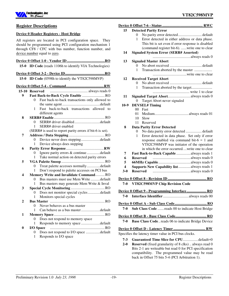

| <b>Register Descriptions</b>                                 |         |                                                      |
|--------------------------------------------------------------|---------|------------------------------------------------------|
|                                                              | 15      | <b>Detected Parity Error</b>                         |
| <b>Device 0 Header Registers - Host Bridge</b>               |         | No parity error detecteddefault<br>$\theta$          |
| All registers are located in PCI configuration space. They   |         | Error detected in either address or data phase.<br>1 |
| should be programmed using PCI configuration mechanism 1     |         | This bit is set even if error response is disabled   |
| through CF8 / CFC with bus number, function number, and      |         | (command register bit-6). write one to clear         |
| device number equal to zero.                                 | 14      | <b>Signaled System Error (SERR# Asserted)</b>        |
|                                                              |         |                                                      |
|                                                              | 13      | <b>Signaled Master Abort</b>                         |
| 15-0 ID Code (reads 1106h to identify VIA Technologies)      |         | 0                                                    |
|                                                              |         | Transaction aborted by the master<br>1               |
|                                                              |         |                                                      |
| 15-0 ID Code (0598h to identify the VT82C598MVP)             | 12      | <b>Received Target Abort</b>                         |
|                                                              |         | $\theta$                                             |
|                                                              |         | Transaction aborted by the target<br>1               |
|                                                              |         |                                                      |
| 9<br>Fast Back-to-Back Cycle Enable  RO                      | 11      | Signaled Target Abort always reads 0                 |
| Fast back-to-back transactions only allowed to<br>$\theta$   |         | 0 Target Abort never signaled                        |
|                                                              |         | 10-9 DEVSEL# Timing                                  |
| Fast back-to-back transactions allowed to<br>1               |         | 00 Fast                                              |
| different agents                                             |         | 01                                                   |
| 8                                                            |         | 10<br>Slow                                           |
| SERR# driver disableddefault<br>0                            |         | 11 Reserved                                          |
| SERR# driver enabled<br>1                                    | 8       | <b>Data Parity Error Detected</b>                    |
| (SERR# is used to report parity errors if bit-6 is set).     |         | No data parity error detected  default               |
| 7                                                            |         | Error detected in data phase. Set only if error<br>1 |
| $\overline{0}$                                               |         | response enabled via command bit- $6 = 1$ and        |
| Device always does stepping<br>1                             |         | VT82C598MVP was initiator of the operation           |
| 6                                                            |         | in which the error occurredwrite one to clear        |
| Ignore parity errors & continue default<br>$\overline{0}$    | 7       | Fast Back-to-Back Capable  always reads 1            |
| Take normal action on detected parity errors<br>1            | 6       | <b>Reserved</b>                                      |
| 5                                                            | 5       |                                                      |
| Treat palette accesses normally default<br>$\overline{0}$    | 4       | Supports New Capability list always reads 1          |
| Don't respond to palette accesses on PCI bus<br>$\mathbf{1}$ | $3-0$   |                                                      |
| Memory Write and Invalidate CommandRO<br>4                   |         |                                                      |
| Bus masters must use Mem Write default<br>$\theta$           |         |                                                      |
| Bus masters may generate Mem Write & Inval<br>1              |         | 7-0 VT82C598MVP Chip Revision Code                   |
| 3                                                            |         |                                                      |
| 0 Does not monitor special cycles default                    |         | Device 0 Offset 9 - Programming Interface RO         |
| Monitors special cycles<br>1                                 | $7 - 0$ |                                                      |
| 2                                                            |         |                                                      |
| Never behaves as a bus master<br>0                           |         |                                                      |
| 1                                                            | 7-0     | Sub Class Code reads 00 to indicate Host Bridge      |
| 1                                                            |         |                                                      |
| Does not respond to memory space<br>0                        |         |                                                      |
|                                                              | 7-0     | Base Class Codereads 06 to indicate Bridge Device    |
| 1<br>0                                                       |         |                                                      |
| Does not respond to I/O space default                        |         |                                                      |
| 0<br>Responds to I/O space<br>1                              |         | Specifies the latency timer value in PCI bus clocks. |
|                                                              | $7 - 3$ | Guaranteed Time Slice for CPUdefault=0               |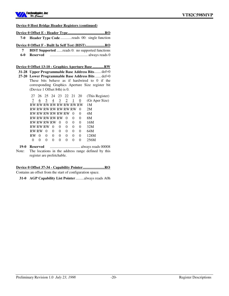

#### **Device 0 Host Bridge Header Registers (continued)**

**Device 0 Offset E - Header Type ....................................... RO**

- **7-0 Header Type Code** ............reads 00: single function
- **Device 0 Offset F Built In Self Test (BIST) .................... RO**
	- **7 BIST Supported** ......reads 0: no supported functions
	- **6-0 Reserved** ........................................ always reads 0

**Device 0 Offset 13-10 - Graphics Aperture Base ............ RW**

**31-28 Upper Programmable Base Address Bits**....... def=0

**27-20 Lower Programmable Base Address Bits** ...... def=0 These bits behave as if hardwired to 0 if the corresponding Graphics Aperture Size register bit (Device 1 Offset 84h) is 0.

| 27 |                      | 26 25 24 23 22 21 |          |                |          |                         | 20       | (This Register) |
|----|----------------------|-------------------|----------|----------------|----------|-------------------------|----------|-----------------|
|    | 6                    | 5                 | 4        | $\overline{3}$ | 2        | 1                       | 0        | (Gr Aper Size)  |
|    |                      |                   |          |                |          | RW RW RW RW RW RW RW RW |          | 1M              |
|    | RW RW RW RW RW RW RW |                   |          |                |          |                         | $\theta$ | 2M              |
|    | RW RW RW RW RW RW    |                   |          |                |          | $\Omega$                | $^{(1)}$ | 4M              |
|    | RW RW RW RW RW       |                   |          |                | $\theta$ | 0                       | 0        | 8M              |
|    | RW RW RW RW          |                   |          | $\theta$       | 0        | 0                       | $_{0}$   | 16M             |
|    | RW RW RW             |                   | $\Omega$ | 0              | 0        | 0                       | 0        | 32M             |
|    | RW RW                | $\theta$          | 0        | 0              | 0        | 0                       | 0        | 64M             |
| RW | $\theta$             | $\theta$          | $\Omega$ | $_{0}$         | $_{0}$   | $\Omega$                | $\Omega$ | 128M            |
| 0  | $\Omega$             | $\Omega$          | 0        | $\Omega$       | $\Omega$ | $\Omega$                | $\Omega$ | 256M            |
|    |                      |                   |          |                |          |                         |          |                 |

**19-0 Reserved** ................................ always reads 00008 Note: The locations in the address range defined by this register are prefetchable.

#### **Device 0 Offset 37-34 - Capability Pointer ....................... RO** Contains an offset from the start of configuration space.

**31-0 AGP Capability List Pointer**.........always reads A0h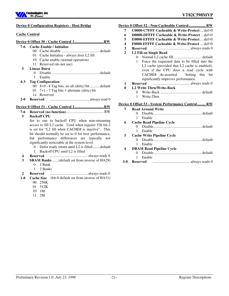

#### **Device 0 Configuration Registers - Host Bridge**

#### **Cache Control**

#### **Device 0 Offset 50 - Cache Control 1 ............................... RW**

- **7-6 Cache Enable / Initialize**
	- 00 Cache disable .........................................default
	- 01 Cache Initialize always does L2 fill
	- 10 Cache enable (normal operation)
	- 11 Reserved (do not use)
- **5 Linear Burst**
	- 0 Disable ...................................................default
- 1 Enable

#### **4-3 Tag Configuration**

- 00 8+0 8 Tag bits, no alt (dirty) bit...........default
- 01  $7+1$  7 Tag bits + alternate (dirty) bit
- 1x Reserved
- **2-0 Reserved** ..........................................always read 0

#### **Device 0 Offset 51 - Cache Control 2 ............................... RW**

#### **7-6 Reserved (no function)**........................................ RW

**5 Backoff CPU**

Set to one to backoff CPU when non-streaming access to fill L2 cache. Used when register 52h bit-2 is set for "L2 fill when CACHE# is inactive". This bit should normally be set to 0 for best performance, but performance differences are typically not significantly noticeable at the system level.

- 0 Defer ready return until L2 is filled........default
	- 1 Backoff CPU until L2 is filled
- **4 Reserved** ........................................ always reads 0
- **3 SRAM Banks**.......(default set from inverse of HA29) 0 1 Bank
	- 1 2 Banks
- **2 Reserved** ........................................ always reads 0
- **1-0 Cache Size** (bit-0 default set from inverse of HA31)
	- 00 256K 01 512K
	- 10 1M
	-
	- 11 2M

| 7                | C0000-C7FFF Cacheable & Write-Protectdef=0                |
|------------------|-----------------------------------------------------------|
| 6                | <b>D0000-DFFFF Cacheable &amp; Write-Protect</b> def=0    |
| 5                | E0000-EFFFF Cacheable & Write-Protect $def=0$             |
| $\boldsymbol{4}$ | F0000-FFFFF Cacheable & Write-Protect  def=0              |
| 3                | <b>Reserved</b>                                           |
| $\overline{2}$   | L <sub>2</sub> Fill on Single Read                        |
|                  | Normal L2 cache filldefault<br>0.                         |
|                  | Force the requested data to be filled into the<br>1       |
|                  | L2 cache (provided that L2 cache is enabled),             |
|                  | even if the CPU does a read cycle with                    |
|                  | CACHE# de-asserted. Setting this bit                      |
|                  | significantly improves performance.                       |
| 1                |                                                           |
| 0                | <b>L2 Write Thru/Write-Back</b>                           |
|                  | $\Omega$                                                  |
|                  | Write-Thru<br>1                                           |
|                  | <b>Device 0 Offset 53 - System Performance Control RW</b> |
| 7                | <b>Read Around Write</b>                                  |
|                  | 0                                                         |
|                  | Enable<br>1                                               |

- **6 Cache Read Pipeline Cycle** 0 Disable................................................... default 1 Enable **5 Cache Write Pipeline Cycle**
	- 0 Disable................................................... default 1 Enable
- **4 DRAM Read Pipeline Cycle**
	- 0 Disable................................................... default
		- 1 Enable
- **3-0 Reserved** ........................................always reads 0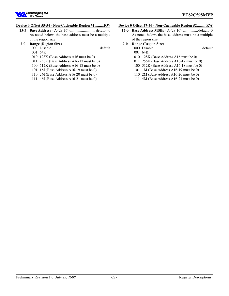

#### **Device 0 Offset 55-54 - Non-Cacheable Region #1 ......... RW**

**15-3 Base Address** - A<28:16>........................... default=0 As noted below, the base address must be a multiple of the region size.

### **2-0 Range (Region Size)**

- 000 Disable ...................................................default 001 64K
- 010 128K (Base Address A16 must be 0)
- 011 256K (Base Address A16-17 must be 0)
- 100 512K (Base Address A16-18 must be 0)
- 101 1M (Base Address A16-19 must be 0)
- 110 2M (Base Address A16-20 must be 0)
- 111 4M (Base Address A16-21 must be 0)

#### **Device 0 Offset 57-56 - Non-Cacheable Region #2 ......... RW**

**15-3 Base Address MSBs** - A<28:16> ................default=0 As noted below, the base address must be a multiple of the region size.

#### **2-0 Range (Region Size)**

- 000 Disable................................................... default 001 64K
- 010 128K (Base Address A16 must be 0)
- 011 256K (Base Address A16-17 must be 0)
- 100 512K (Base Address A16-18 must be 0)
- 101 1M (Base Address A16-19 must be 0)
- 110 2M (Base Address A16-20 must be 0)
- 111 4M (Base Address A16-21 must be 0)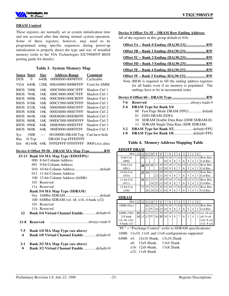

#### **DRAM Control**

These registers are normally set at system initialization time and not accessed after that during normal system operation. Some of these registers, however, may need to be programmed using specific sequences during power-up initialization to properly detect the type and size of installed memory (refer to the VIA Technologies 82C598MVP BIOS porting guide for details).

#### **Table 3. System Memory Map**

|             | <b>Space Start</b> | Size                     | <b>Address Range</b>     | Comment         |
|-------------|--------------------|--------------------------|--------------------------|-----------------|
| DOS         | $\Omega$           | 640K                     | 00000000-0009FFFF        | Cacheable       |
| VGA         | 640K               | 128K                     | 000A0000-000BFFFF        | Used for SMM    |
|             | <b>BIOS 768K</b>   | 16K                      | 000C0000-000C3FFF        | Shadow Ctrl 1   |
| <b>BIOS</b> | 784K               | 16K                      | 000C4000-000C7FFF        | Shadow Ctrl 1   |
| <b>BIOS</b> | 800K               | 16K                      | 000C8000-000CBFFF        | Shadow Ctrl 1   |
| <b>BIOS</b> | 816K               | 16K                      | 000CC000-000CFFFF        | Shadow Ctrl 1   |
| <b>BIOS</b> | 832K               | 16K                      | 000D0000-000D3FFF        | Shadow Ctrl 2   |
| <b>BIOS</b> | 848K               | 16K                      | 000D4000-000D7FFF        | Shadow Ctrl 2   |
| <b>BIOS</b> | 864K               | 16K                      | 000D8000-000DBFFF        | Shadow Ctrl 2   |
| <b>BIOS</b> | 880K               | 16K                      | 000DC000-000DFFFF        | Shadow Ctrl 2   |
| <b>BIOS</b> | 896K               | 64K                      | 000E0000-000EFFFF        | Shadow Ctrl 3   |
| <b>BIOS</b> | 960K               | 64K                      | 000F0000-000FFFFF        | Shadow Ctrl 3   |
| Sys         | 1MB                | $\overline{\phantom{0}}$ | 00100000-DRAM Top        | Can have hole   |
| <b>Bus</b>  | D Top              |                          | <b>DRAM Top-FFFEFFFF</b> |                 |
| Init        | 4G-64K             | 64K                      | FREERER PREEREE          | 000 Fxxxx alias |

#### **Device 0 Offset 59-58 - DRAM MA Map Type ............... RW**

|          | 15-13 Bank 5/4 MA Map Type (EDO/FPG)                                                 |
|----------|--------------------------------------------------------------------------------------|
|          | 000 8-bit Column Address                                                             |
|          | 001 9-bit Column Address                                                             |
|          |                                                                                      |
|          | 011 11-bit Column Address                                                            |
|          | 100 12-bit Column Address (64Mb)                                                     |
|          | 101 Reserved                                                                         |
|          | 11x Reserved                                                                         |
|          | <b>Bank 5/4 MA Map Type (SDRAM)</b>                                                  |
|          |                                                                                      |
|          | 100 64Mbit SDRAM (x4, x8, x16, 4-bank x32)                                           |
|          | 101 Reserved                                                                         |
|          | 11x Reserved                                                                         |
| 12       | <b>Bank 5/4 Virtual Channel Enable</b> default=0                                     |
|          |                                                                                      |
| 7-5<br>4 | Bank 1/0 MA Map Type (see above)<br><b>Bank 1/0 Virtual Channel Enable</b> default=0 |

#### **3-1 Bank 3/2 MA Map Type (see above)**

**0 Bank 3/2 Virtual Channel Enable**............. default=0

#### **Device 0 Offset 5A-5F – DRAM Row Ending Address:**

All of the registers in this group default to 01h:

| <b>RW</b>                                                                                                                                                    |
|--------------------------------------------------------------------------------------------------------------------------------------------------------------|
| RW                                                                                                                                                           |
|                                                                                                                                                              |
|                                                                                                                                                              |
|                                                                                                                                                              |
|                                                                                                                                                              |
| Note :BIOS is required to fill the ending address registers<br>for all banks even if no memory is populated. The<br>endings have to be in incremental order. |

#### **Device 0 Offset 60 – DRAM Type ................................... RW**

| 7-6     | Reserved                                 |
|---------|------------------------------------------|
| $5-4$   | <b>DRAM Type for Bank 5/4</b>            |
|         | 00 Fast Page Mode DRAM (FPG)default      |
|         | 01 EDO DRAM (EDO)                        |
|         | 10 SDRAM Double Data Rate (DDR SDRAM-II) |
|         | 11 SDRAM Single Data Rate (SDR SDRAM)    |
| $3 - 2$ | DRAM Type for Bank 3/2default=FPG        |
| $1-0$   | DRAM Type for Bank 1/0default=FPG        |

#### **Table 4. Memory Address Mapping Table**

#### **EDO/FP DRAM**

| ----       |    |           |    |    |    |    |    |    |    |                |    |    |    |                  |                 |
|------------|----|-----------|----|----|----|----|----|----|----|----------------|----|----|----|------------------|-----------------|
| MA:        | 13 | 12        |    | 10 | 9  | 8  |    | 6  | 5  | $\overline{4}$ | 3  | ∠  |    | $\boldsymbol{0}$ |                 |
| 8-bit Col  |    | 23        | 22 | 21 |    | 20 | 19 | 18 | 17 | 16             | 15 | 14 | 13 | 12               | <b>Row Bits</b> |
| (000)      |    |           |    |    |    |    | 10 | 9  | 8  |                | 6  |    | 4  | 3                | Col Bits        |
| 9-bit Col  |    | <u>24</u> | 23 | 22 | 21 | 20 | 19 | 18 | 17 | 16             | 15 | 14 | 13 |                  | 12 Row Bits     |
| (001)      |    |           |    |    |    | 11 | 10 | 9  | 8  |                | 6  |    | 4  | 3                | Col Bits        |
| 10-bit Col |    | 25        | 24 | 23 | 21 | 20 | 19 | 18 |    | 16             | 15 | 14 | 13 | 12               | <b>Row Bits</b> |
| (010)      |    |           |    |    | 22 | 11 | 10 | 9  | 8  |                | 6  |    | 4  | 3                | Col Bits        |
| 11-bit Col |    | 26        | 25 | 23 | 21 | 20 | 19 | 18 | 17 | 16             | 15 | 14 | 13 |                  | 12 Row Bits     |
| (011)      |    |           |    | 24 | 22 | 11 | 10 | 9  | 8  |                | 6  |    | 4  | 3                | Col Bits        |
| 12-bit Col |    | 27        | 25 | 23 | 21 | 20 | 19 | 18 |    | 16             | 15 | 14 | 13 | 12               | <b>Row Bits</b> |
| (100)      |    |           |    | 24 |    |    |    | Q  | 8  |                | 6  |    | 4  | 3                | Col Bits        |

### **SDRAM**

| МA           |     |  |  | 8               | $\overline{\mathbf{o}}$ |   | $\overline{4}$ |  | $\mathbf 0$ |                             |
|--------------|-----|--|--|-----------------|-------------------------|---|----------------|--|-------------|-----------------------------|
| 16Mb(0xx)    |     |  |  |                 |                         |   |                |  |             | 14 13 12 Row Bits           |
|              |     |  |  |                 |                         | 8 |                |  |             | Col Bits                    |
| 64Mb (100)   |     |  |  |                 |                         |   | 16             |  |             | $14$   11   23   x4: 10 col |
| $2/4$ bank   | 241 |  |  | 25 <sup>1</sup> |                         | 8 |                |  | 3           | $x8:9$ col                  |
| x4, x8, x16; |     |  |  |                 |                         |   |                |  |             | $x16:8$ col                 |
| 4-bank x32   |     |  |  |                 |                         |   |                |  |             | $x32:8$ col                 |

<sup>&</sup>quot;PC" = "Precharge Control" (refer to SDRAM specifications)

16Mb 11x10, 11x9, and 11x8 configurations supported

|  | 64Mb x4: 12x10 4bank, 13x10 2bank |              |
|--|-----------------------------------|--------------|
|  | $x8: 12x9$ 4bank.                 | $13x9$ 2bank |

- x16: 12x8 4bank, 13x8 2bank
- x32: 11x8 4bank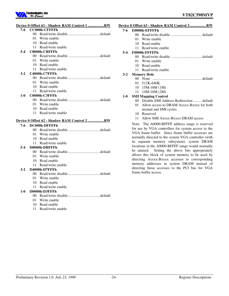

# **Device 0 Offset 61 - Shadow RAM Control 1 ................. RW**

|         |                 | $\cdots$<br>******<br>Control 1 <b></b> **   |
|---------|-----------------|----------------------------------------------|
| $7-6$   |                 | <b>CC000h-CFFFFh</b>                         |
|         | 00 <sup>1</sup> |                                              |
|         | 01              | Write enable                                 |
|         | 10              | Read enable                                  |
|         | 11              | Read/write enable                            |
| $5-4$   |                 | C8000h-CBFFFh                                |
|         | 00              |                                              |
|         | 01              | Write enable                                 |
|         | 10              | Read enable                                  |
|         | 11              | Read/write enable                            |
| $3-2$   |                 | C4000h-C7FFFh                                |
|         | $00\,$          |                                              |
|         | 01              | Write enable                                 |
|         | 10              | Read enable                                  |
|         | 11              | Read/write enable                            |
| $1 - 0$ |                 | C0000h-C3FFFh                                |
|         |                 |                                              |
|         | 01              | Write enable                                 |
|         | 10              | Read enable                                  |
|         | 11              | Read/write enable                            |
|         |                 | Device 0 Offset 62 - Shadow RAM Control 2 RW |
| 7-6     |                 | DC000h-DFFFFh                                |
|         | 00 <sup>1</sup> |                                              |
|         | 01              | Write enable                                 |
|         | 10              | Read enable                                  |
|         | 11              | Read/write enable                            |
| $5-4$   |                 | D8000h-DBFFFh                                |
|         | 00 <sup>1</sup> |                                              |
|         | 01              | Write enable                                 |
|         | 10              | Read enable                                  |
|         | 11              | Read/write enable                            |
| $3-2$   |                 | D4000h-D7FFFh                                |
|         |                 |                                              |
|         | 01              | Write enable                                 |
|         | 10              | Read enable                                  |
|         | 11              | Read/write enable                            |
| $1-0$   |                 | D0000h-D3FFFh                                |
|         |                 |                                              |
|         | 01.             | Write enable                                 |
|         | 10.             | Read enable                                  |
|         | 11              | Read/write enable                            |

|  |  | Device 0 Offset 63 - Shadow RAM Control 3 RW |  |
|--|--|----------------------------------------------|--|
|  |  |                                              |  |

#### **7-6 E0000h-EFFFFh**

- 00 Read/write disable ................................. default
	- 01 Write enable
	- 10 Read enable
	- 11 Read/write enable

#### **5-4 F0000h-FFFFFh**

- 00 Read/write disable ................................. default
- 01 Write enable
- 10 Read enable
- 11 Read/write enable

#### **3-2 Memory Hole**

- 00 None .................................................... default
	- 01 512K-640K
- 10 15M-16M (1M)
- 11 14M-16M (2M)

#### **1-0 SMI Mapping Control**

- 00 Disable SMI Address Redirection ......... default
- 01 Allow access to DRAM Axxxx-Bxxxx for both normal and SMI cycles
- 10 Reserved
- 11 Allow SMI Axxxx-Bxxxx DRAM access

Note: The A0000-BFFFF address range is reserved for use by VGA controllers for system access to the VGA frame buffer. Since frame buffer accesses are normally directed to the system VGA controller (with its separate memory subsystem), system DRAM locations in the A0000-BFFFF range would normally be unused. Setting the above bits appropriately allows this block of system memory to be used by directing Axxxx-Bxxxx accesses to corresponding memory addresses in system DRAM instead of directing those accesses to the PCI bus for VGA frame buffer access.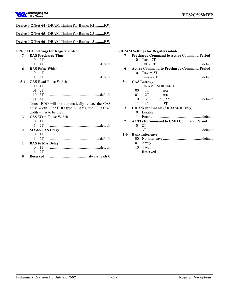

|              |                             | Device 0 Offset 64 - DRAM Timing for Banks 0,1 RW |
|--------------|-----------------------------|---------------------------------------------------|
|              |                             |                                                   |
|              |                             | Device 0 Offset 65 - DRAM Timing for Banks 2,3 RW |
|              |                             | Device 0 Offset 66 - DRAM Timing for Banks 4,5 RW |
|              |                             | FPG / EDO Settings for Registers 64-66            |
| 7            | <b>RAS Precharge Time</b>   |                                                   |
|              | 3T<br>$\Omega$              |                                                   |
|              | 4T<br>1                     |                                                   |
| 6            | <b>RAS Pulse Width</b>      |                                                   |
|              | 4T<br>$\Omega$              |                                                   |
|              | 5T<br>1                     |                                                   |
| $5 - 4$      | <b>CAS Read Pulse Width</b> |                                                   |
|              | 00 <sup>°</sup><br>1T       |                                                   |
|              | 01 2T                       |                                                   |
|              | $10 \quad 3T$               |                                                   |
|              | $11 \quad 4T$               |                                                   |
|              |                             | Note: EDO will not automatically reduce the CAS   |
|              |                             | pulse width. For EDO type DRAMs, use 00 if CAS    |
|              | width $= 1$ is to be used.  |                                                   |
| 3            |                             | <b>CAS Write Pulse Width</b>                      |
|              | 1T<br>$\Omega$              |                                                   |
|              | 2T<br>1                     |                                                   |
| $\mathbf{2}$ | <b>MA-to-CAS Delay</b>      |                                                   |
|              | 1T<br>$\Omega$              |                                                   |
|              | 2T<br>1                     |                                                   |
| 1            | <b>RAS to MA Delay</b>      |                                                   |
|              | 1T<br>$\theta$              |                                                   |
|              | 2T<br>1                     |                                                   |
| 0            | <b>Reserved</b>             |                                                   |

|              |              |                         | <b>SDRAM Settings for Registers 64-66</b> |                                                   |
|--------------|--------------|-------------------------|-------------------------------------------|---------------------------------------------------|
| 7            |              |                         |                                           | <b>Precharge Command to Active Command Period</b> |
|              | 0            | $T_{RP} = 2T$           |                                           |                                                   |
|              | $\mathbf{1}$ |                         |                                           |                                                   |
| 6            |              |                         |                                           | <b>Active Command to Precharge Command Period</b> |
|              |              | $0$ Tras = 5T           |                                           |                                                   |
|              |              |                         |                                           |                                                   |
|              |              | 5-4 CAS Latency         |                                           |                                                   |
|              |              |                         | SDRAM SDRAM-II                            |                                                   |
|              |              | 00 1T $n/a$             |                                           |                                                   |
|              |              | $01 \quad 2T \quad n/a$ |                                           |                                                   |
|              |              |                         |                                           | 10 3T 2T, 2.5T default                            |
|              |              | $11 \quad n/a$          | $\overline{3T}$                           |                                                   |
| 3            |              |                         | <b>DDR Write Enable (SDRAM-II Only)</b>   |                                                   |
|              | 0            | Disable                 |                                           |                                                   |
|              | $\mathbf{1}$ |                         |                                           |                                                   |
| $\mathbf{2}$ |              |                         |                                           | <b>ACTIVE Command to CMD Command Period</b>       |
|              |              | 0 <sub>2</sub> T        |                                           |                                                   |
|              | $\mathbf{1}$ | 3T                      |                                           |                                                   |
| $1-0$        |              | <b>Bank Interleave</b>  |                                           |                                                   |
|              |              |                         |                                           |                                                   |
|              |              | $01 \quad 2$ -way       |                                           |                                                   |
|              |              | 10 4-way                |                                           |                                                   |
|              |              | 11 Reserved             |                                           |                                                   |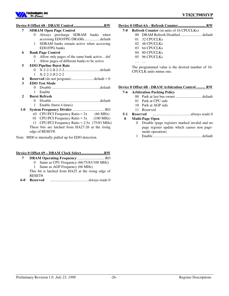

## **Device 0 Offset 68 - DRAM Control ................................ RW**

|              | OILOVE VU<br><u> EXTERNAL CONTROL DEMONSTRATIVE CONTROL DEL CONTROL DE PRESENTANT DE PRESENTANT DE PRESENTANT DE PRESENTANT DE PRESENTANT DE PRESENTANT DE PRESENTANT DE PRESENTANT DE PRESENTANT DE PRESENT DE PRESENT DE PRESENT DE PRESENT</u> |
|--------------|---------------------------------------------------------------------------------------------------------------------------------------------------------------------------------------------------------------------------------------------------|
| 7            | <b>SDRAM Open Page Control</b>                                                                                                                                                                                                                    |
|              | Always precharge SDRAM banks when<br>0                                                                                                                                                                                                            |
|              | accessing EDO/FPG DRAMsdefault                                                                                                                                                                                                                    |
|              | SDRAM banks remain active when accessing<br>1                                                                                                                                                                                                     |
|              | EDO/FPG banks                                                                                                                                                                                                                                     |
| 6            | <b>Bank Page Control</b>                                                                                                                                                                                                                          |
|              | Allow only pages of the same bank active def<br>$^{(1)}$                                                                                                                                                                                          |
|              | Allow pages of different banks to be active<br>1                                                                                                                                                                                                  |
| 5            | <b>EDO Pipeline Burst Rate</b>                                                                                                                                                                                                                    |
|              | 0                                                                                                                                                                                                                                                 |
|              | $X-2-2-3-2-2-2$<br>$\mathbf{1}$                                                                                                                                                                                                                   |
| 4            |                                                                                                                                                                                                                                                   |
| 3            | <b>EDO Test Mode</b>                                                                                                                                                                                                                              |
|              | 0                                                                                                                                                                                                                                                 |
|              | Enable<br>1                                                                                                                                                                                                                                       |
| $\mathbf{2}$ | <b>Burst Refresh</b>                                                                                                                                                                                                                              |
|              | 0                                                                                                                                                                                                                                                 |
|              | Enable (burst 4 times)<br>1                                                                                                                                                                                                                       |
| $1-0$        |                                                                                                                                                                                                                                                   |
|              | $x0$ CPU/PCI Frequency Ratio = 2x (66 MHz)                                                                                                                                                                                                        |
|              | $CPU/PCI$ Frequency Ratio = 3x (100 MHz)<br>01                                                                                                                                                                                                    |
|              | CPU/PCI Frequency Ratio = $2.5x$ (75/83 MHz)<br>11                                                                                                                                                                                                |
|              | These bits are latched from HA27-26 at the rising                                                                                                                                                                                                 |
|              | edge of RESET#.                                                                                                                                                                                                                                   |

Note: MD0 is internally pulled up for EDO detection.

#### **Device 0 Offset 69 – DRAM Clock Select ........................ RW**

- **7 DRAM Operating Frequency** ............................. RO 0 Same as CPU Frequency (66/75/83/100 MHz)
	- 1 Same as AGP Frequency (66 MHz)
	- This bit is latched from HA25 at the rising edge of RESET#.
- **6-0 Reserved** ........................................ always reads 0

# **Device 0 Offset 6A - Refresh Counter ............................. RW**

# **7-0 Refresh Counter** (in units of 16 CPUCLKs)

- 00 DRAM Refresh Disabled....................... default
- 01 32 CPUCLKs
- 02 48 CPUCLKs
- 03 64 CPUCLKs
- 04 80 CPUCLKs
- 05 96 CPUCLKs

… …

The programmed value is the desired number of 16- CPUCLK units minus one.

#### **Device 0 Offset 6B - DRAM Arbitration Control .......... RW**

#### **7-6 Arbitration Parking Policy**

- 00 Park at last bus owner ............................ default
- 01 Park at CPU side
- 10 Park at AGP side
- 11 Reserved

#### **5-1 Reserved** ........................................always reads 0

#### **0 Multi-Page Open**

- 0 Disable (page registers marked invalid and no page register update which causes non pagemode operation)
- 1 Enable.................................................... default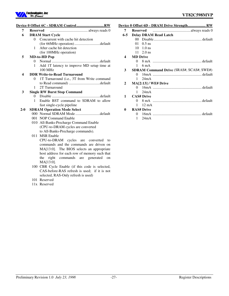

# **Device 0 Offset 6C - SDRAM Control ............................. RW**

| 7                | <b>Reserved</b> |                                               |
|------------------|-----------------|-----------------------------------------------|
| 6                |                 | <b>DRAM Start Cycle</b>                       |
|                  | 0               | Concurrent with cache hit detection           |
|                  |                 | (for 66MHz operation) default                 |
|                  | 1               | After cache hit detection                     |
|                  |                 | (for 100MHz operation)                        |
| 5                |                 | <b>MD-to-HD Pop</b>                           |
|                  | $\Omega$        |                                               |
|                  | 1               | Add 1T latency to improve MD setup time at    |
|                  |                 | 100 MHz                                       |
| $\boldsymbol{4}$ |                 | <b>DDR Write-to-Read Turnaround</b>           |
|                  | 0               | 1T Turnaround (i.e., 3T from Write command    |
|                  |                 |                                               |
|                  | 1               | 2T Turnaround                                 |
| 3                |                 | <b>Single RW Burst Stop Command</b>           |
|                  | 0               |                                               |
|                  | 1               | Enable BST command to SDRAM to allow          |
|                  |                 | fast single-cycle pipeline                    |
| $2 - 0$          |                 | <b>SDRAM Operation Mode Select</b>            |
|                  |                 |                                               |
|                  |                 | 001 NOP Command Enable                        |
|                  |                 | 010 All-Banks-Precharge Command Enable        |
|                  |                 | (CPU-to-DRAM cycles are converted             |
|                  |                 | to All-Banks-Precharge commands).             |
|                  |                 | 011 MSR Enable                                |
|                  |                 | CPU-to-DRAM cycles are converted<br>to        |
|                  |                 | commands and the commands are driven on       |
|                  |                 | MA[13:0]. The BIOS selects an appropriate     |
|                  |                 | host address for each row of memory such that |

host address for each row of memory such that the right commands are generated on MA[13:0].

- 100 CBR Cycle Enable (if this code is selected, CAS-before-RAS refresh is used; if it is not selected, RAS-Only refresh is used)
- 101 Reserved
- 11x Reserved

|              |                 | Device 0 Offset 6D - DRAM Drive Strength RW     |
|--------------|-----------------|-------------------------------------------------|
| 7            |                 |                                                 |
| 6-5          |                 | <b>Delay DRAM Read Latch</b>                    |
|              |                 |                                                 |
|              |                 | $01 \quad 0.5 \text{ ns}$                       |
|              |                 | $10 \t1.0$ ns                                   |
|              |                 | $11 \quad 2.0 \text{ ns}$                       |
| 4            | <b>MD</b> Drive |                                                 |
|              |                 |                                                 |
|              |                 | $1\quad 6 \text{ mA}$                           |
| 3            |                 | <b>SDRAM Command Drive (SRAS#, SCAS#, SWE#)</b> |
|              |                 |                                                 |
|              |                 | $1 \quad 24 \text{mA}$                          |
| $\mathbf{2}$ |                 | MA[2:13] / WE# Drive                            |
|              |                 |                                                 |
|              | $1 \quad$       | 24mA                                            |
| 1            |                 | <b>CAS# Drive</b>                               |
|              |                 |                                                 |
|              | 1.              | $12 \text{ mA}$                                 |
| 0            |                 | <b>RAS# Drive</b>                               |
|              |                 |                                                 |
|              | 1               | 24mA                                            |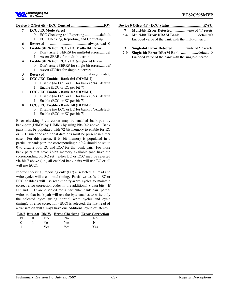

### **Device 0 Offset 6E - ECC Control ................................... RW**

- **7 ECC / ECMode Select**
	- 0 ECC Checking and Reporting ................default
	- 1 ECC Checking, Reporting, and Correcting
- **6 Reserved** ........................................ always reads 0
- **5 Enable SERR# on ECC / EC Multi-Bit Error**
	- 0 Don't assert SERR# for multi-bit errors..... def 1 Assert SERR# for multi-bit errors
- **4 Enable SERR# on ECC / EC Single-Bit Error**
	- 0 Don't assert SERR# for single-bit errors..... def
		- 1 Assert SERR# for single-bit errors
- **3 Reserved** ........................................ always reads 0
- **2 ECC / EC Enable Bank 5/4 (DIMM 2)**
	- 0 Disable (no ECC or EC for banks 5/4)...default 1 Enable (ECC or EC per bit-7)
- **1 ECC / EC Enable Bank 3/2 (DIMM 1)**
	- 0 Disable (no ECC or EC for banks 3/2)...default 1 Enable (ECC or EC per bit-7)
- **0 ECC / EC Enable Bank 1/0 (DIMM 0)**
	- 0 Disable (no ECC or EC for banks 1/0)...default
	- 1 Enable (ECC or EC per bit-7)

Error checking / correction may be enabled bank-pair by bank-pair (DIMM by DIMM) by using bits 0-2 above. Bank pairs must be populated with 72-bit memory to enable for EC or ECC since the additional data bits must be present in either case. For this reason, if 64-bit memory is populated in a particular bank pair, the corresponding bit 0-2 should be set to 0 to disable both EC and ECC for that bank pair. For those bank pairs that have 72-bit memory available (and have the corresponding bit 0-2 set), either EC or ECC may be selected via bit-7 above (i.e., all enabled bank pairs will use EC or all will use ECC).

If error checking / reporting only (EC) is selected, all read and write cycles will use normal timing. Partial writes (with EC or ECC enabled) will use read-modify-write cycles to maintain correct error correction codes in the additional 8 data bits. If EC and ECC are disabled for a particular bank pair, partial writes to that bank pair will use the byte enables to write only the selected bytes (using normal write cycles and cycle timing). If error correction (ECC) is selected, the first read of a transaction will always have one additional cycle of latency.

|              |               |            |     | <b>Bit-7 Bits 2-0 RMW Error Checking Error Correction</b> |
|--------------|---------------|------------|-----|-----------------------------------------------------------|
| 0/1          | $\theta$      | No.        | No. | No.                                                       |
| $\mathbf{O}$ | and the state | <b>Yes</b> | Yes | No.                                                       |
|              | - 1 - 1       | <b>Yes</b> | Yes | Yes                                                       |

**Device 0 Offset 6F - ECC Status ................................... RWC**

- **7 Multi-bit Error Detected**............... write of '1' resets
- **6-4 Multi-bit Error DRAM Bank**....................default=0 Encoded value of the bank with the multi-bit error.
- **3 Single-bit Error Detected**.............. write of '1' resets
- **2-0 Single-bit Error DRAM Bank** ..................default=0 Encoded value of the bank with the single-bit error.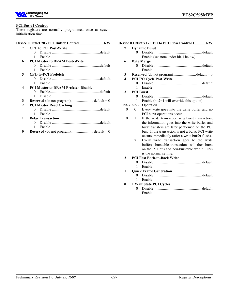

#### **PCI Bus #1 Control**

These registers are normally programmed once at system initialization time.

#### **Device 0 Offset 70 - PCI Buffer Control ......................... RW**

- **7 CPU to PCI Post-Write** 0 Disable ...................................................default 1 Enable
- **6 PCI Master to DRAM Post-Write**
	- 0 Disable ...................................................default 1 Enable
- **5 CPU-to-PCI Prefetch**
	- 0 Disable ...................................................default 1 Enable
- **4 PCI Master to DRAM Prefetch Disable**
	- 0 Enable.....................................................default 1 Disable
- **3 Reserved** (do not program)........................ default = 0
- **2 PCI Master Read Caching**
	- 0 Disable ...................................................default 1 Enable
- **1 Delay Transaction**
	- 0 Disable ...................................................default 1 Enable
- **0 Reserved** (do not program)........................ default = 0

#### **Device 0 Offset 71 - CPU to PCI Flow Control 1 ........... RW**

|                |                  | <u>evice 0 Offset 71 - CPU to PCI Flow Control 1  RW</u> |
|----------------|------------------|----------------------------------------------------------|
| 7              |                  | <b>Dynamic Burst</b>                                     |
|                | 0                |                                                          |
|                | 1                | Enable (see note under bit-3 below)                      |
| 6              |                  | <b>Byte Merge</b>                                        |
|                | $\Omega$         |                                                          |
|                | 1                | Enable                                                   |
| 5              |                  |                                                          |
| 4              |                  | PCI I/O Cycle Post Write                                 |
|                | 0                |                                                          |
|                | 1                | Enable                                                   |
| 3              | <b>PCI Burst</b> |                                                          |
|                | $\theta$         |                                                          |
|                | 1                | Enable ( $bit7=1$ will override this option)             |
|                | $bit-7 bit-3$    | Operation                                                |
| $\Omega$       | $\Omega$         | Every write goes into the write buffer and no            |
|                |                  | PCI burst operations occur.                              |
| $\overline{0}$ | 1                | If the write transaction is a burst transaction,         |
|                |                  | the information goes into the write buffer and           |
|                |                  | burst transfers are later performed on the PCI           |
|                |                  | bus. If the transaction is not a burst, PCI write        |
|                |                  | occurs immediately (after a write buffer flush).         |
| 1              | $\mathbf{x}$     | Every write transaction goes to the write                |
|                |                  | buffer; burstable transactions will then burst           |
|                |                  | on the PCI bus and non-burstable won't. This             |
|                |                  | is the normal setting.                                   |
| $\mathbf{2}$   |                  | <b>PCI Fast Back-to-Back Write</b>                       |
|                | 0                |                                                          |
|                | 1                | Enable                                                   |
| 1              |                  | <b>Quick Frame Generation</b>                            |
|                | $\Omega$         |                                                          |
| 0              | 1                | Enable                                                   |
|                | 0                | 1 Wait State PCI Cycles                                  |
|                | 1                | Enable                                                   |
|                |                  |                                                          |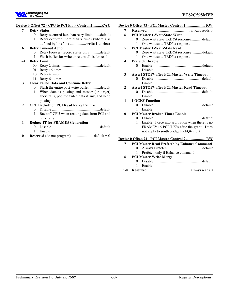

#### **Device 0 Offset 72 - CPU to PCI Flow Control 2 ......... RWC**

| <b>Retry Status</b><br>7 |
|--------------------------|
|--------------------------|

- 0 Retry occurred less than retry limit ........default
- 1 Retry occurred more than x times (where x is
- defined by bits 5-4) .................**write 1 to clear**

# **6 Retry Timeout Action**

0 Retry Forever (record status only)..........default 1 Flush buffer for write or return all 1s for read

#### **5-4 Retry Limit**

- 00 Retry 2 times ..........................................default
- 01 Retry 16 times
- 10 Retry 4 times
- 11 Retry 64 times

#### **3 Clear Failed Data and Continue Retry**

- 0 Flush the entire post-write buffer ...........default 1 When data is posting and master (or target)
- abort fails, pop the failed data if any, and keep posting

#### **2 CPU Backoff on PCI Read Retry Failure**

0 Disable ...................................................default 1 Backoff CPU when reading data from PCI and retry fails

### **1 Reduce 1T for FRAME# Generation**

- 0 Disable ...................................................default 1 Enable
- **0 Reserved** (do not program)........................ default = 0

#### **7 Reserved** ........................................always reads 0 **6 PCI Master 1-Wait-State Write** 0 Zero wait state TRDY# response........... default 1 One wait state TRDY# response **5 PCI Master 1-Wait-State Read** 0 Zero wait state TRDY# response........... default 1 One wait state TRDY# response **4 Prefetch Disable** 0 Enable.................................................... default 1 Disable **3 Assert STOP# after PCI Master Write Timeout** 0 Disable................................................... default 1 Enable **2 Assert STOP# after PCI Master Read Timeout** 0 Disable................................................... default 1 Enable **1 LOCK# Function** 0 Disable................................................... default 1 Enable **0 PCI Master Broken Timer Enable** 0 Disable................................................... default 1 Enable. Force into arbitration when there is no FRAME# 16 PCICLK's after the grant. Does not apply to south bridge PREQ# input **Device 0 Offset 74 - PCI Master Control 2 ..................... RW 7 PCI Master Read Prefetch by Enhance Command**

**Device 0 Offset 73 - PCI Master Control 1 ..................... RW**

- 0 Always Prefetch..................................... default
	- 1 Prefetch only if Enhance command

#### **6 PCI Master Write Merge**

- 0 Disable................................................... default
- 1 Enable
- **5-0 Reserved** ........................................always reads 0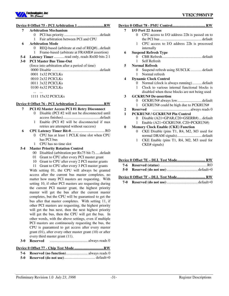

#### **Device 0 Offset 75 - PCI Arbitration 1 ............................ RW**

**7 Arbitration Mechanism** 0 PCI has priority ......................................default 1 Fair arbitration between PCI and CPU **6 Arbitration Mode** 0 REQ-based (arbitrate at end of REQ#)...default 1 Frame-based (arbitrate at FRAME# assertion) **5-4 Latency Timer** ........... read only, reads Rx0D bits 2:1 **3-0 PCI Master Bus Time-Out** (force into arbitration after a period of time) 0000 Disable ...................................................default 0001 1x32 PCICLKs 0010 2x32 PCICLKs 0011 3x32 PCICLKs

> 0100 4x32 PCICLKs 1111 15x32 PCICLKs

#### **Device 0 Offset 76 - PCI Arbitration 2 ............................ RW**

#### **7 PCI #2 Master Access PCI #1 Retry Disconnect**

- 0 Disable (PCI #2 will not be disconnected until access finishes).......................................default 1 Enable (PCI #2 will be disconnected if max
- retries are attempted without success)
- **6 CPU Latency Timer Bit-0**.................................... RO 0 CPU has at least 1 PCLK time slot when CPU has PCI bus
	- 1 CPU has no time slot

#### **5-4 Master Priority Rotation Control**

- 00 Disabled (arbitration per Rx75 bit-7) .....default
- 01 Grant to CPU after every PCI master grant
- 10 Grant to CPU after every 2 PCI master grants
- 11 Grant to CPU after every 3 PCI master grants

With setting 01, the CPU will always be granted access after the current bus master completes, no matter how many PCI masters are requesting. With setting 10, if other PCI masters are requesting during the current PCI master grant, the highest priority master will get the bus after the current master completes, but the CPU will be guaranteed to get the bus after that master completes. With setting 11, if other PCI masters are requesting, the highest priority will get the bus next, then the next highest priority will get the bus, then the CPU will get the bus. In other words, with the above settings, even if multiple PCI masters are continuously requesting the bus, the CPU is guaranteed to get access after every master grant (01), after every other master grant (10) or after every third master grant (11).

**3-0 Reserved** ........................................ always reads 0

### **Device 0 Offset 77 - Chip Test Mode ............................... RW**

# **7-6 Reserved (no function)**....................... always reads 0

**5-0 Reserved (do not use)**................................. default=0

### **Device 0 Offset 78 - PMU Control ................................... RW**

#### **7 I/O Port 22 Access**

- 0 CPU access to I/O address 22h is passed on to the PCI bus ............................................ default
- 1 CPU access to I/O address 22h is processed internally
- **6 Suspend Refresh Type**
	- 0 CBR Refresh.......................................... default
	- 1 Self Refresh

## **5 Normal Refresh**

0 Suspend refresh using SUSCLK ............ default 1 Normal refresh

#### **4 Dynamic Clock Control**

- 0 Normal (clock is always running) .......... default
- 1 Clock to various internal functional blocks is disabled when those blocks are not being used

#### **3 GCKRUN# De-assertion**

- 0 GCKRUN# always low.......................... default 1 GCKRUN# could be high due to PCKRUN#
- 
- **2 Reserved** ........................................always reads 0
- **1 PCKRUN# / GCKRUN# Pin Control**
	- 0 Disable (A21=GPAR,C20=GSERR#) ... default
	- 1 Enable (A21=GCKRUN#, C20=PCKRUN#)

#### **0 Memory Clock Enable (CKE) Function**

- 0 CKE Disable (pins T1, R4, M2, M3 used for normal DRAM signals).......................... default
- 1 CKE Enable (pins T1, R4, M2, M3 used for CKE# signals)

#### **Device 0 Offset 7E – DLL Test Mode .............................. RW**

- **7-6 Reserved (status)** ..................................................RO
- **5-0 Reserved (do not use)** .................................default=0

### **Device 0 Offset 7F – DLL Test Mode .............................. RW**

**7-0 Reserved (do not use)** .................................default=0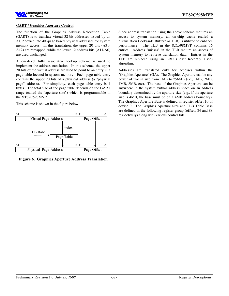

#### **GART / Graphics Aperture Control**

The function of the Graphics Address Relocation Table (GART) is to translate virtual 32-bit addresses issued by an AGP device into 4K-page based physical addresses for system memory access. In this translation, the upper 20 bits (A31- A12) are remapped, while the lower 12 address bits (A11-A0) are used unchanged.

A one-level fully associative lookup scheme is used to implement the address translation. In this scheme, the upper 20 bits of the virtual address are used to point to an entry in a page table located in system memory. Each page table entry contains the upper 20 bits of a physical address (a "physical page" address). For simplicity, each page table entry is 4 bytes. The total size of the page table depends on the GART range (called the "aperture size") which is programmable in the VT82C598MVP.

This scheme is shown in the figure below.



**Figure 6. Graphics Aperture Address Translation**

Since address translation using the above scheme requires an access to system memory, an on-chip cache (called a "Translation Lookaside Buffer" or TLB) is utilized to enhance performance. The TLB in the 82C598MVP contains 16 entries. Address "misses" in the TLB require an access of system memory to retrieve translation data. Entries in the TLB are replaced using an LRU (Least Recently Used) algorithm.

Addresses are translated only for accesses within the "Graphics Aperture" (GA). The Graphics Aperture can be any power of two in size from 1MB to 256MB (i.e., 1MB, 2MB, 4MB, 8MB, etc). The base of the Graphics Aperture can be anywhere in the system virtual address space on an address boundary determined by the aperture size (e.g., if the aperture size is 4MB, the base must be on a 4MB address boundary). The Graphics Aperture Base is defined in register offset 10 of device 0. The Graphics Aperture Size and TLB Table Base are defined in the following register group (offsets 84 and 88 respectively) along with various control bits.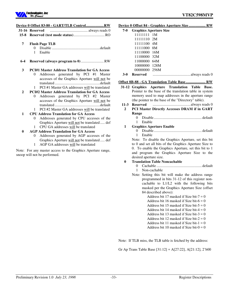| 7            | <b>Flush Page TLB</b>                                  |
|--------------|--------------------------------------------------------|
|              | 0                                                      |
|              | 1<br>Enable                                            |
| $6 - 4$      |                                                        |
| 3            | <b>PCI#1 Master Address Translation for GA Access</b>  |
|              | Addresses generated by PCI #1 Master<br>0              |
|              | accesses of the Graphics Aperture will not be          |
|              |                                                        |
|              | PCI#1 Master GA addresses will be translated<br>1      |
| $\mathbf{2}$ | <b>PCI#2 Master Address Translation for GA Access</b>  |
|              | Addresses generated by PCI #2 Master<br>0              |
|              | accesses of the Graphics Aperture will not be          |
|              |                                                        |
|              | PCI#2 Master GA addresses will be translated<br>1      |
| 1            | <b>CPU Address Translation for GA Access</b>           |
|              | Addresses generated by CPU accesses of the<br>$^{(1)}$ |
|              | Graphics Aperture will not be translated def           |
|              | CPU GA addresses will be translated<br>1               |
| 0            | <b>AGP Address Translation for GA Access</b>           |
|              | Addresses generated by AGP accesses of the<br>0        |
|              | Graphics Aperture will not be translated def           |

1 AGP GA addresses will be translated

Note: For any master access to the Graphics Aperture range, snoop will not be performed.

|     |                               | Device 0 Offset 84 - Graphics Aperture Size………………… RW |
|-----|-------------------------------|-------------------------------------------------------|
| 7-0 | <b>Graphics Aperture Size</b> |                                                       |
|     | 1111111 1M                    |                                                       |
|     | 11111110 2M                   |                                                       |
|     | 11111100 4M                   |                                                       |
|     | 11111000 8M                   |                                                       |
|     | 11110000 16M                  |                                                       |
|     | 11100000 32M                  |                                                       |
|     | 11000000 64M                  |                                                       |
|     | 10000000 128M                 |                                                       |
|     | 00000000 256M                 |                                                       |
| 3-0 | Reserved                      |                                                       |

# **Offset 8B-88 - GA Translation Table Base ..................... RW**

- **31-12 Graphics Aperture Translation Table Base.** Pointer to the base of the translation table in system memory used to map addresses in the aperture range (the pointer to the base of the "Directory" table).
- **11-3 Reserved** ........................................always reads 0
- **2 PCI Master Directly Accesses DRAM if in GART Range**
	- 0 Disable................................................... default
- 1 Enable **1 Graphics Aperture Enable**
	- 0 Disable................................................... default 1 Enable

Note: To disable the Graphics Aperture, set this bit to 0 and set all bits of the Graphics Aperture Size to 0. To enable the Graphics Aperture, set this bit to 1 and program the Graphics Aperture Size to the desired aperture size.

#### **0 Translation Table Noncachable**

- 0 Cachable ................................................ default
- 1 Non-cachable
- Note: Setting this bit will make the address range programmed in bits 31-12 of this register noncachable to L1/L2 with the following bits masked per the Graphics Aperture Size (offset 84 described above):

Address bit 17 masked if Size bit- $7 = 0$ Address bit 16 masked if Size bit- $6 = 0$ Address bit 15 masked if Size bit- $5 = 0$ Address bit 14 masked if Size bit- $4 = 0$ Address bit 13 masked if Size bit- $3 = 0$ Address bit 12 masked if Size bit- $2 = 0$ Address bit 11 masked if Size bit- $1 = 0$ Address bit 10 masked if Size bit- $0 = 0$ 

Note: If TLB miss, the TLB table is fetched by the address:

Gr Ap Trans Table Base [31:12] + A[27:22], A[21:12], 2'b00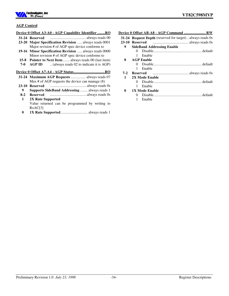

#### **AGP Control**

#### **Device 0 Offset A3-A0 - AGP Capability Identifier ........ RO**

- **31-24 Reserved** ...................................... always reads 00
- **23-20 Major Specification Revision** ..... always reads 0001 Major revision # of AGP spec device conforms to
- **19-16 Minor Specification Revision** ..... always reads 0000 Minor revision # of AGP spec device conforms to
- **15-8 Pointer to Next Item**........ always reads 00 (last item)
- **7-0 AGP ID** .. (always reads 02 to indicate it is AGP)

# **Device 0 Offset A7-A4 - AGP Status ................................. RO**

- **31-24 Maximum AGP Requests** ................ always reads 07 Max # of AGP requests the device can manage (8)
- **23-10 Reserved** .......................................always reads 0s
- **9 Supports SideBand Addressing** ........ always reads 1
- **8-2 Reserved** .......................................always reads 0s **1 2X Rate Supported** Value returned can be programmed by writing to RxAC[3]
- **0 1X Rate Supported**............................. always reads 1

|         | Device 0 Offset AB-A8 - AGP Command  RW                          |
|---------|------------------------------------------------------------------|
|         | <b>31-24 Request Depth</b> (reserved for target) always reads 0s |
| $23-10$ | Reserved                                                         |
| 9       | <b>SideBand Addressing Enable</b>                                |
|         | $^{\circ}$                                                       |
|         | Enable<br>1                                                      |
| 8       | <b>AGP Enable</b>                                                |
|         |                                                                  |
|         | Enable<br>1                                                      |
| $7-2$   |                                                                  |
| 1       | 2X Mode Enable                                                   |
|         | $^{\circ}$                                                       |
|         | Enable<br>1                                                      |
| 0       | <b>1X Mode Enable</b>                                            |
|         | 0                                                                |
|         | 1<br>Enable                                                      |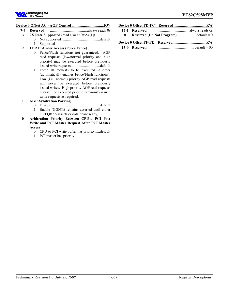

#### **Device 0 Offset AC - AGP Control .................................. RW**

- **7-4 Reserved** .......................................always reads 0s
	- **3 2X Rate Supported** (read also at RxA4[1])
		- 0 Not supported.........................................default 1 Supported
	- **2 LPR In-Order Access** (**Force Fence)**
		- 0 Fence/Flush functions not guaranteed. AGP read requests (low/normal priority and high priority) may be executed before previously issued write requests...............................default
		- 1 Force all requests to be executed in order (automatically enables Fence/Flush functions). Low (i.e., normal) priority AGP read requests will never be executed before previously issued writes. High priority AGP read requests may still be executed prior to previously issued write requests as required.

#### **1 AGP Arbitration Parking**

- 0 Disable ...................................................default
- 1 Enable (GGNT# remains asserted until either GREQ# de-asserts or data phase ready)
- **0 Arbitration Priority Between CPU-to-PCI Post Write and PCI Master Request After PCI Master Access**
	- 0 CPU-to-PCI write buffer has priority .....default
	- 1 PCI master has priority

| 15-1 Reserved |  |
|---------------|--|

**0 Reserved (Do Not Program)** ....................default = 0

### **Device 0 Offset FF-FE – Reserved .................................. RW**

**15-0 Reserved** ............................................default = 00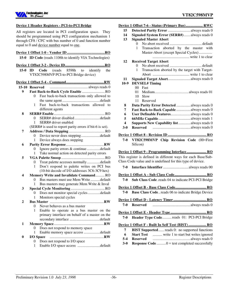

### **VT82C598MVP**

#### **Device 1 Header Registers - PCI-to-PCI Bridge**

All registers are located in PCI configuration space. They should be programmed using PCI configuration mechanism 1 through CF8 / CFC with bus number of 0 and function number equal to 0 and device number equal to one.

#### **Device 1 Offset 1-0 - Vendor ID ........................................ RO**

**15-0 ID Code** (reads 1106h to identify VIA Technologies)

#### **Device 1 Offset 3-2 - Device ID .......................................... RO**

|                                       |  |  |  |  |  | 15-0 ID Code (reads 8598h to identify the |  |
|---------------------------------------|--|--|--|--|--|-------------------------------------------|--|
| VT82C598MVP PCI-to-PCI Bridge device) |  |  |  |  |  |                                           |  |

# **Device 1 Offset 5-4 - Command ........................................ RW**

| 15-10 Reserved |                |                                                          |
|----------------|----------------|----------------------------------------------------------|
| 9              |                | Fast Back-to-Back Cycle Enable  RO                       |
|                | $^{(1)}$       | Fast back-to-back transactions only allowed to           |
|                |                |                                                          |
|                | 1              | Fast back-to-back transactions allowed to                |
|                |                | different agents                                         |
| 8              |                |                                                          |
|                | 0              |                                                          |
|                | 1              | SERR# driver enabled                                     |
|                |                | (SERR# is used to report parity errors if bit-6 is set). |
| 7              |                |                                                          |
|                |                | Device never does steppingdefault                        |
|                | 1              | Device always does stepping                              |
| 6              |                |                                                          |
|                | 0              | Ignore parity errors & continue default                  |
|                | 1              | Take normal action on detected parity errors             |
| 5              |                |                                                          |
|                | $\overline{0}$ | Treat palette accesses normally default                  |
|                | 1              | Don't respond to palette writes on PCI bus               |
|                |                | (10-bit decode of I/O addresses 3C6-3C9 hex)             |
| 4              |                | Memory Write and Invalidate CommandRO                    |
|                | $\theta$       | Bus masters must use Mem Write default                   |
|                | 1              | Bus masters may generate Mem Write & Inval               |
| 3              |                |                                                          |
|                | $\overline{0}$ | Does not monitor special cycles default                  |
|                | 1              | Monitors special cycles                                  |
| 2              |                |                                                          |
|                | 0              | Never behaves as a bus master                            |
|                | 1              | Enable to operate as a bus master on the                 |
|                |                | primary interface on behalf of a master on the           |
|                |                |                                                          |
| 1              |                |                                                          |
|                | $\overline{0}$ | Does not respond to memory space                         |
|                | $\mathbf{1}$   | Enable memory space access default                       |
| $\bf{0}$       |                |                                                          |
|                | 0              | Does not respond to I/O space                            |
|                | $1 \quad$      | Enable I/O space access default                          |
|                |                |                                                          |

|                  | Device 1 Offset 7-6 - Status (Primary Bus) RWC                          |
|------------------|-------------------------------------------------------------------------|
| 15               | Detected Parity Error  always reads 0                                   |
| 14               | Signaled System Error (SERR#)always reads 0                             |
| 13               | <b>Signaled Master Abort</b>                                            |
|                  | 0                                                                       |
|                  | Transaction aborted by the master with<br>1                             |
|                  | Master-Abort (except Special Cycles)                                    |
|                  |                                                                         |
| 12               | <b>Received Target Abort</b>                                            |
|                  | 0                                                                       |
|                  | Transaction aborted by the target with Target-<br>1                     |
|                  |                                                                         |
| 11               | Signaled Target Abortalways reads 0                                     |
| $10-9$           | <b>DEVSEL#Timing</b>                                                    |
|                  | 00 Fast                                                                 |
|                  | 01                                                                      |
|                  | Slow<br>10                                                              |
|                  | 11<br>Reserved                                                          |
| 8                | Data Parity Error Detected  always reads 0                              |
| 7                | Fast Back-to-Back Capable  always reads 0                               |
| 6                | User Definable Featuresalways reads 0                                   |
| 5                |                                                                         |
| 4                | Supports New Capability list always reads 0                             |
| $3-0$            | <b>Reserved</b>                                                         |
|                  |                                                                         |
|                  |                                                                         |
| $7-0$            | VT82C598MVP Chip Revision Code (00=First                                |
|                  | Silicon)                                                                |
|                  |                                                                         |
|                  | Device 1 Offset 9 - Programming Interface RO                            |
|                  | This register is defined in different ways for each Base/Sub-           |
|                  | Class Code value and is undefined for this type of device.              |
| 7-0              |                                                                         |
|                  |                                                                         |
|                  |                                                                         |
|                  |                                                                         |
| 7-0              |                                                                         |
|                  | Sub Class Code .reads 04 to indicate PCI-PCI Bridge                     |
|                  |                                                                         |
| 7-0              | <b>Base Class Code</b> reads 06 to indicate Bridge Device               |
|                  |                                                                         |
|                  |                                                                         |
| $7 - 0$          | <b>Reserved</b>                                                         |
|                  |                                                                         |
|                  |                                                                         |
| 7-0              | Header Type Codereads 01: PCI-PCI Bridge                                |
|                  |                                                                         |
|                  | Device 1 Offset F - Built In Self Test (BIST)  RO                       |
| 7                | <b>BIST Supported</b> reads 0: no supported functions                   |
| 6                | write 1 to start but writes ignored<br><b>Start Test</b>                |
| $5 - 4$<br>$3-0$ | <b>Reserved</b><br><b>Response Code</b> 0 = test completed successfully |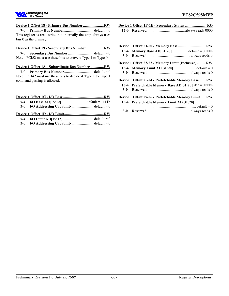

#### **Device 1 Offset 18 - Primary Bus Number ...................... RW**

**7-0 Primary Bus Number**............................... default = 0 This register is read write, but internally the chip always uses bus 0 as the primary.

#### **Device 1 Offset 19 - Secondary Bus Number .................. RW**

**7-0 Secondary Bus Number** ........................... default = 0 Note: PCI#2 must use these bits to convert Type 1 to Type 0.

#### **Device 1 Offset 1A - Subordinate Bus Number .............. RW**

**7-0 Primary Bus Number**............................... default = 0 Note: PCI#2 must use these bits to decide if Type 1 to Type 1 command passing is allowed.

| 7-4 I/O Base AD[15:12]default = 1111b                                                                                                                                                                                                                                                                                                                                                                                                                                                      |  |
|--------------------------------------------------------------------------------------------------------------------------------------------------------------------------------------------------------------------------------------------------------------------------------------------------------------------------------------------------------------------------------------------------------------------------------------------------------------------------------------------|--|
|                                                                                                                                                                                                                                                                                                                                                                                                                                                                                            |  |
|                                                                                                                                                                                                                                                                                                                                                                                                                                                                                            |  |
| $\blacksquare$ $\blacksquare$ $\blacksquare$ $\blacksquare$ $\blacksquare$ $\blacksquare$ $\blacksquare$ $\blacksquare$ $\blacksquare$ $\blacksquare$ $\blacksquare$ $\blacksquare$ $\blacksquare$ $\blacksquare$ $\blacksquare$ $\blacksquare$ $\blacksquare$ $\blacksquare$ $\blacksquare$ $\blacksquare$ $\blacksquare$ $\blacksquare$ $\blacksquare$ $\blacksquare$ $\blacksquare$ $\blacksquare$ $\blacksquare$ $\blacksquare$ $\blacksquare$ $\blacksquare$ $\blacksquare$ $\blacks$ |  |

**7-4 I/O Limit AD[15:12]** ................................ default = 0 **3-0 I/O Addressing Capability**....................... default = 0

|               | Device 1 Offset 1F-1E - Secondary Status  RO |  |
|---------------|----------------------------------------------|--|
| 15-0 Reserved |                                              |  |

| $15 - 4$ | <b>Memory Base AD[31:20]</b> default = 0FFFh                         |
|----------|----------------------------------------------------------------------|
| 3-0      |                                                                      |
|          | Device 1 Offset 23-22 - Memory Limit (Inclusive)  RW                 |
|          | 15-4 Memory Limit AD[31:20] default = 0                              |
| $3-0$    |                                                                      |
|          | Device 1 Offset 25-24 - Prefetchable Memory Base RW                  |
|          | 15-4 Prefetchable Memory Base AD[31:20] $\text{def} = \text{OFFF}$ h |
| $3-0$    | <b>Reserved</b>                                                      |
|          | Device 1 Offset 27-26 - Prefetchable Memory Limit  RW                |

|              | 15-4 Prefetchable Memory Limit AD[31:20] |  |  |  |
|--------------|------------------------------------------|--|--|--|
|              |                                          |  |  |  |
| 3-0 Reserved |                                          |  |  |  |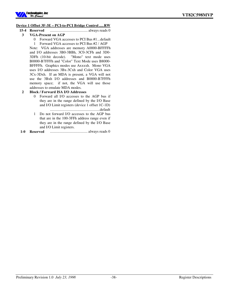

#### **Device 1 Offset 3F-3E – PCI-to-PCI Bridge Control ..... RW**

- **15-4 Reserved** ........................................ always reads 0 **3 VGA-Present on AGP**
	- 0 Forward VGA accesses to PCI Bus #1...default
		- 1 Forward VGA accesses to PCI Bus #2 / AGP

Note: VGA addresses are memory A0000-BFFFFh and I/O addresses 3B0-3BBh, 3C0-3CFh and 3D0- 3DFh (10-bit decode). "Mono" text mode uses B0000-B7FFFh and "Color" Text Mode uses B8000- BFFFFh. Graphics modes use Axxxxh. Mono VGA uses I/O addresses 3Bx-3Cxh and Color VGA uses 3Cx-3Dxh. If an MDA is present, a VGA will not use the 3Bxh I/O addresses and B0000-B7FFFh memory space; if not, the VGA will use those addresses to emulate MDA modes.

#### **2 Block / Forward ISA I/O Addresses**

- 0 Forward all I/O accesses to the AGP bus if they are in the range defined by the I/O Base and I/O Limit registers (device 1 offset 1C-1D) .....................................................default
- 1 Do not forward I/O accesses to the AGP bus that are in the 100-3FFh address range even if they are in the range defined by the I/O Base and I/O Limit registers.

**1-0 Reserved** ........................................ always reads 0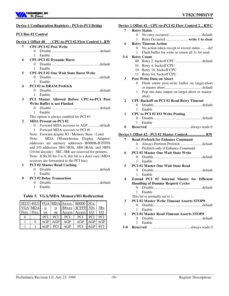

|              | <b>Device 1 Configuration Registers - PCI-to-PCI Bridge</b>             |
|--------------|-------------------------------------------------------------------------|
|              | <b>PCI Bus #2 Control</b>                                               |
|              | Device 1 Offset 40 - CPU-to-PCI #2 Flow Control 1RW                     |
| 7            | <b>CPU-PCI #2 Post Write</b>                                            |
|              |                                                                         |
|              | Enable<br>1                                                             |
| 6            | <b>CPU-PCI #2 Dynamic Burst</b>                                         |
|              |                                                                         |
|              | 1<br>Enable                                                             |
| 5            | <b>CPU-PCI #2 One Wait State Burst Write</b>                            |
|              |                                                                         |
|              | Enable<br>1                                                             |
| 4            | <b>PCI #2 to DRAM Prefetch</b>                                          |
|              |                                                                         |
|              | 1<br>Enable                                                             |
| 3            | PCI Master Allowed Before CPU-to-PCI Post                               |
|              | <b>Write Buffer is not Flushed</b>                                      |
|              | 0<br>1                                                                  |
|              | Enable                                                                  |
| $\mathbf{2}$ | This option is always enabled for PCI #1<br><b>MDA Present on PCI#2</b> |
|              | Forward MDA accesses to AGPdefault<br>0                                 |
|              | Forward MDA accesses to PCI #1<br>1                                     |
|              | Note: Forward despite IO / Memory Base / Limit                          |
|              | MDA (Monochrome Display Adapter)<br>Note:                               |
|              | addresses are memory addresses B0000h-B7FFFh                            |
|              | and I/O addresses 3B4-3B5h, 3B8-3BAh, and 3BFh                          |
|              | (10-bit decode). 3BC-3BE are reserved for printers.                     |
|              | Note: If Rx3E bit-3 is 0, this bit is a don't care (MDA                 |
|              | accesses are forwarded to the PCI bus).                                 |
| 1            | <b>PCI #2 Master Read Caching</b>                                       |
|              | 0.                                                                      |
|              | Enable<br>1                                                             |
| 0            | <b>PCI #2 Delay Transaction</b>                                         |
|              |                                                                         |

# **Table 5. VGA/MDA Memory/IO Redirection**

1 Enable

|            |            |                |            |            | $ 3E[3] 40[2] VGA MDA Axxxx,  B0000 3Cx,$ |            |                         |
|------------|------------|----------------|------------|------------|-------------------------------------------|------------|-------------------------|
| <b>VGA</b> | <b>MDA</b> | i <sub>S</sub> | is         | B8xxx      | $-B7FFF$                                  | 3Dx        | 3Bx                     |
| Pres.      | Pres.      | $_{\text{on}}$ | on         | Access     | Access                                    | <u>I/O</u> | $\underline{\text{IO}}$ |
| 0          |            | <b>PCI</b>     | <b>PCI</b> | <b>PCI</b> | <b>PCI</b>                                | <b>PCI</b> | <b>PCI</b>              |
|            |            | AGP            | AGP        | AGP        | AGP                                       | AGP        | AGP                     |
|            |            | AGP            | <b>PCI</b> | AGP        | <b>PCI</b>                                | AGP        | <b>PCI</b>              |

| Device 1 Offset 41 - CPU-to-PCI #2 Flow Control 2  RWC |  |
|--------------------------------------------------------|--|
| 7 Retry Status                                         |  |
|                                                        |  |
|                                                        |  |

#### **6 Retry Timeout Action**

- 0 No action taken except to record status ....... def
- 1 Flush buffer for write or return all 1s for read

# **5-4 Retry Count**

- 00 Retry 2, backoff CPU ............................ default
- 01 Retry 4, backoff CPU
- 10 Retry 16, backoff CPU
- 11 Retry 64, backoff CPU

#### **3 Post Write Data on Abort**

- 0 Flush entire post-write buffer on target-abort or master abort....................................... default
- 1 Pop one data output on target-abort or masterabort

# **2 CPU Backoff on PCI #2 Read Retry Timeout**

0 Disable................................................... default

#### 1 Enable **1 CPU to PCI #2 I/O Write Posting**

- 0 Disable................................................... default 1 Enable
- **0 Reserved** ........................................always reads 0

### **Device 1 Offset 42 - PCI #2 Master Control ................... RW**

- **7 Read Prefetch for Enhance Command** 0 Always Perform Prefetch....................... default
- 1 Prefetch only if Enhance Command **6 PCI #2 Master One Wait State Write**
	- 0 Disable................................................... default 1 Enable
- **5 PCI #2 Master One Wait State Read** 0 Disable................................................... default 1 Enable
- **4 Extend PCI #2 Internal Master for Efficient Handling of Dummy Request Cycles** 0 Disable................................................... default
	- 1 Enable
	- This bit is normally set to 1.
- **3 PCI #2 Master Write Timeout Asserts STOP#**
	- 0 Disable................................................... default 1 Enable
- **2 PCI #2 Master Read Timeout Asserts STOP#** 0 Disable................................................... default 1 Enable
- **1-0 Reserved** ........................................always reads 0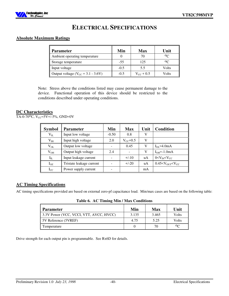

# **ELECTRICAL SPECIFICATIONS**

# **Absolute Maximum Ratings**

| <b>Parameter</b>                        | Min    | <b>Max</b>         | Unit           |
|-----------------------------------------|--------|--------------------|----------------|
| Ambient operating temperature           |        | 70                 | 0 <sup>C</sup> |
| Storage temperature                     | $-55$  | 125                | $\circ$        |
| Input voltage                           | $-0.5$ | 5.5                | Volts          |
| Output voltage ( $V_{CC}$ = 3.1 - 3.6V) | $-0.5$ | $V_{\rm CC}$ + 0.5 | Volts          |

Note: Stress above the conditions listed may cause permanent damage to the device. Functional operation of this device should be restricted to the conditions described under operating conditions.

# **DC Characteristics**

TA-0-70<sup>o</sup>C, V<sub>CC</sub>=5V+/-5%, GND=0V

| <b>Symbol</b> | Parameter                | Min     | <b>Max</b>    | Unit | Condition                             |
|---------------|--------------------------|---------|---------------|------|---------------------------------------|
| $V_{IL}$      | Input low voltage        | $-0.50$ | 0.8           | V    |                                       |
| $V_{IH}$      | Input high voltage       | 2.0     | $V_{CC}$ +0.5 | V    |                                       |
| $\rm V_{OL}$  | Output low voltage       |         | 0.45          | V    | $I_{OL} = 4.0 \text{mA}$              |
| $\rm V_{OH}$  | Output high voltage      | 2.4     |               | V    | $IOH=-1.0mA$                          |
| $I_{IL}$      | Input leakage current    |         | $+/-10$       | uA   | 0 < V <sub>IN</sub> < V <sub>CC</sub> |
| $I_{OZ}$      | Tristate leakage current |         | $+/-20$       | uA   | $0.45 < VOUT < VCC$                   |
| $I_{CC}$      | Power supply current     |         |               | mA   |                                       |

### **AC Timing Specifications**

AC timing specifications provided are based on external zero-pf capacitance load. Min/max cases are based on the following table:

**Table 6. AC Timing Min / Max Conditions**

| Parameter                               | Min   | Max   | Unit           |
|-----------------------------------------|-------|-------|----------------|
| 3.3V Power (VCC, VCCI, VTT, AVCC, HVCC) | 3.135 | 3.465 | Volts          |
| 5V Reference (5VREF)                    | 4.75  | 5.25  | Volts          |
| Temperature                             |       | 70    | 0 <sub>C</sub> |

Drive strength for each output pin is programmable. See Rx6D for details.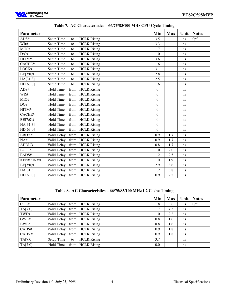

| <b>Parameter</b> |                  |      |                    | Min              | <b>Max</b> | Unit | <b>Notes</b> |
|------------------|------------------|------|--------------------|------------------|------------|------|--------------|
| ADS#             | Setup Time       | to   | <b>HCLK</b> Rising | 3.5              |            | ns   | 0pf          |
| WR#              | Setup Time       | to   | <b>HCLK</b> Rising | 3.3              |            | ns   |              |
| M/IO#            | Setup Time       | to   | <b>HCLK Rising</b> | 1.7              |            | ns   |              |
| D/C#             | Setup Time       | to   | <b>HCLK</b> Rising | 1.0              |            | ns   |              |
| HITM#            | Setup Time       | to   | <b>HCLK</b> Rising | 3.6              |            | ns   |              |
| CACHE#           | Setup Time       | to   | <b>HCLK</b> Rising | 1.6              |            | ns   |              |
| LOCK#            | Setup Time       | to   | <b>HCLK Rising</b> | 3.1              |            | ns   |              |
| BE[7:0]#         | Setup Time       | to   | <b>HCLK</b> Rising | 2.8              |            | ns   |              |
| HA[31:3]         | Setup Time       | to   | <b>HCLK</b> Rising | 2.5              |            | ns   |              |
| HD[63:0]         | Setup Time       | to   | <b>HCLK</b> Rising | 1.6              |            | ns   |              |
| ADS#             | Hold Time        | from | <b>HCLK</b> Rising | $\boldsymbol{0}$ |            | ns   |              |
| WR#              | <b>Hold Time</b> | from | <b>HCLK</b> Rising | $\boldsymbol{0}$ |            | ns   |              |
| MIO#             | <b>Hold Time</b> | from | <b>HCLK</b> Rising | $\boldsymbol{0}$ |            | ns   |              |
| DC#              | Hold Time        | from | <b>HCLK</b> Rising | $\boldsymbol{0}$ |            | ns   |              |
| HITM#            | Hold Time        | from | <b>HCLK</b> Rising | $\overline{0}$   |            | ns   |              |
| CACHE#           | Hold Time        | from | <b>HCLK</b> Rising | $\boldsymbol{0}$ |            | ns   |              |
| BE[7:0]#         | <b>Hold Time</b> | from | <b>HCLK</b> Rising | $\boldsymbol{0}$ |            | ns   |              |
| HA[31:3]         | Hold Time        | from | <b>HCLK</b> Rising | $\boldsymbol{0}$ |            | ns   |              |
| HD[63:0]         | Hold Time        | from | <b>HCLK</b> Rising | $\boldsymbol{0}$ |            | ns   |              |
| BRDY#            | Valid Delay      | from | <b>HCLK</b> Rising | 0.9              | 1.7        | ns   |              |
| NA#              | Valid Delay      |      | from HCLK Rising   | 0.9              | 1.7        | ns   |              |
| <b>AHOLD</b>     | Valid Delay      | from | <b>HCLK</b> Rising | 0.8              | 1.7        | ns   |              |
| BOFF#            | Valid Delay      |      | from HCLK Rising   | 1.0              | 2.0        | ns   |              |
| EADS#            | Valid Delay      | from | <b>HCLK</b> Rising | 1.2              | 2.5        | ns   |              |
| KEN# / INV#      | Valid Delay      |      | from HCLK Rising   | 1.0              | 1.9        | ns   |              |
| BE[7:0]#         | Valid Delay      | from | <b>HCLK</b> Rising | 2.9              | 3.6        | ns   |              |
| HA[31:3]         | Valid Delay      |      | from HCLK Rising   | 1.2              | 3.8        | ns   |              |
| HD[63:0]         | Valid Delay      |      | from HCLK Rising   | 0.9              | 2.2        | ns   |              |

# **Table 7. AC Characteristics – 66/75/83/100 MHz CPU Cycle Timing**

#### **Table 8. AC Characteristics – 66/75/83/100 MHz L2 Cache Timing**

| <b>Parameter</b> |             |    |                    | Min | <b>Max</b> | Unit          | <b>Notes</b> |
|------------------|-------------|----|--------------------|-----|------------|---------------|--------------|
| COE#             | Valid Delay |    | from HCLK Rising   | 1.8 | 3.6        | ns            | 0pf          |
| TA[7:0]          | Valid Delay |    | from HCLK Rising   | 1.7 | 4.3        | ns            |              |
| TWE#             | Valid Delay |    | from HCLK Rising   | 1.0 | 2.2        | ns            |              |
| GWE#             | Valid Delay |    | from HCLK Rising   | 0.8 | 1.6        | <sub>ns</sub> |              |
| BWE#             | Valid Delay |    | from HCLK Rising   | 0.8 | 1.6        | ns            |              |
| CADS#            | Valid Delay |    | from HCLK Rising   | 0.9 | 1.8        | ns            |              |
| CADV#            | Valid Delay |    | from HCLK Rising   | 0.9 | 1.8        | ns            |              |
| TA[7:0]          | Setup Time  | to | <b>HCLK</b> Rising | 3.7 |            | ns            |              |
| TA[7:0]          | Hold Time   |    | from HCLK Rising   | 0.0 |            | ns            |              |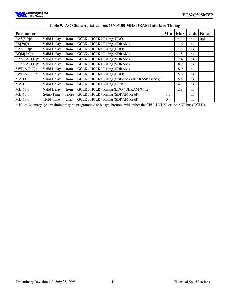

| <b>Parameter</b> |             |        |                                                      | Min | <b>Max</b> |               | Unit   Notes |
|------------------|-------------|--------|------------------------------------------------------|-----|------------|---------------|--------------|
| $RAS[5:0]$ #     | Valid Delay | from   | GCLK / HCLK† Rising (EDO)                            |     | 4.3        | ns.           | 0pf          |
| $CS[5:0]$ #      | Valid Delay | from   | GCLK / HCLK† Rising (SDRAM)                          |     | 1.6        | ns            |              |
| $CAS[7:0]$ #     | Valid Delay | from   | GCLK / HCLK† Rising (EDO)                            |     | 1.8        | ns            |              |
| $DQM[7:0]$ #     | Valid Delay | from   | GCLK / HCLK† Rising (SDRAM)                          |     | 1.8        | <sub>ns</sub> |              |
| $SRAS[A,B,C]\#$  | Valid Delay | from   | GCLK / HCLK† Rising (SDRAM)                          |     | 7.4        | <sub>ns</sub> |              |
| $SCAS[A,B,C]\#$  | Valid Delay | from   | GCLK / HCLK† Rising (SDRAM)                          |     | 8.2        | <sub>ns</sub> |              |
| $SWE[A,B,C]\#$   | Valid Delay | from   | GCLK / HCLK† Rising (SDRAM)                          |     | 8.9        | <sub>ns</sub> |              |
| $SWE[A,B,C]\#$   | Valid Delay | from   | GCLK / HCLK† Rising (EDO)                            |     | 5.6        | ns            |              |
| MA[11:2]         | Valid Delay | from   | GCLK / HCLK† Rising (first clock after RAS# asserts) |     | 5.8        | <sub>ns</sub> |              |
| MA[1:0]          | Valid Delay | from   | GCLK / HCLK† Rising (Burst)                          |     | 4.2        | ns.           |              |
| MD[63:0]         | Valid Delay | from   | GCLK / HCLK† Rising (EDO / SDRAM Write)              |     | 2.8        | <sub>ns</sub> |              |
| MD[63:0]         | Setup Time  | before | GCLK / HCLK† Rising (SDRAM Read)                     | 1.7 |            | ns            |              |
| MD[63:0]         | Hold Time   | after  | GCLK / HCLK† Rising (SDRAM Read)                     | 0.4 |            | ns            |              |

# **Table 9. AC Characteristics – 66/75/83/100 MHz DRAM Interface Timing**

† Note: Memory system timing may be programmed to be synchronous with either the CPU (HCLK) or the AGP bus (GCLK).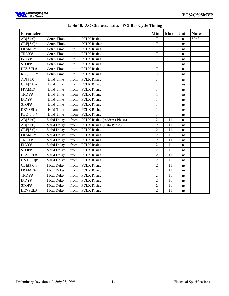

| <b>Parameter</b> |                    |      |                             | Min            | <b>Max</b>      | Unit | <b>Notes</b> |
|------------------|--------------------|------|-----------------------------|----------------|-----------------|------|--------------|
| AD[31:0]         | Setup Time         | to   | <b>PCLK Rising</b>          | 7              |                 | ns   | 50pf         |
| CBE[3:0]#        | Setup Time         | to   | <b>PCLK Rising</b>          | $\overline{7}$ |                 | ns   |              |
| FRAME#           | Setup Time         | to   | <b>PCLK Rising</b>          | $\overline{7}$ |                 | ns   |              |
| TRDY#            | <b>Setup Time</b>  | to   | <b>PCLK Rising</b>          | $\overline{7}$ |                 | ns   |              |
| IRDY#            | Setup Time         | to   | <b>PCLK Rising</b>          | $\overline{7}$ |                 | ns   |              |
| STOP#            | Setup Time         | to   | <b>PCLK Rising</b>          | $\overline{7}$ |                 | ns   |              |
| DEVSEL#          | Setup Time         | to   | <b>PCLK Rising</b>          | $\overline{7}$ |                 | ns   |              |
| REQ[3:0]#        | Setup Time         | to   | <b>PCLK Rising</b>          | 12             |                 | ns   |              |
| AD[31:0]         | <b>Hold Time</b>   | from | <b>PCLK Rising</b>          | 1              |                 | ns   |              |
| CBE[3:0]#        | <b>Hold Time</b>   | from | <b>PCLK Rising</b>          | 1              |                 | ns   |              |
| FRAME#           | Hold Time          | from | <b>PCLK Rising</b>          | $\mathbf{1}$   |                 | ns   |              |
| TRDY#            | <b>Hold Time</b>   | from | <b>PCLK Rising</b>          | $\mathbf{1}$   |                 | ns   |              |
| IRDY#            | Hold Time          | from | <b>PCLK Rising</b>          | $\mathbf{1}$   |                 | ns   |              |
| STOP#            | <b>Hold Time</b>   | from | <b>PCLK Rising</b>          | $\mathbf{1}$   |                 | ns   |              |
| DEVSEL#          | Hold Time          | from | <b>PCLK Rising</b>          | $\mathbf{1}$   |                 | ns   |              |
| REQ[3:0]#        | Hold Time          | from | <b>PCLK Rising</b>          | $\mathbf{1}$   |                 | ns   |              |
| AD[31:0]         | Valid Delay        | from | PCLK Rising (Address Phase) | $\overline{c}$ | 11              | ns   |              |
| AD[31:0]         | Valid Delay        | from | PCLK Rising (Data Phase)    | $\overline{2}$ | 11              | ns   |              |
| CBE[3:0]#        | Valid Delay        | from | <b>PCLK Rising</b>          | $\overline{c}$ | 11              | ns   |              |
| FRAME#           | Valid Delay        | from | <b>PCLK Rising</b>          | $\overline{c}$ | 11              | ns   |              |
| TRDY#            | Valid Delay        | from | <b>PCLK Rising</b>          | $\overline{2}$ | 11              | ns   |              |
| IRDY#            | Valid Delay        | from | <b>PCLK Rising</b>          | $\overline{2}$ | 11              | ns   |              |
| STOP#            | Valid Delay        | from | <b>PCLK Rising</b>          | $\overline{2}$ | 11              | ns   |              |
| DEVSEL#          | Valid Delay        | from | <b>PCLK Rising</b>          | $\overline{c}$ | 11              | ns   |              |
| $GNT[3:0]$ #     | Valid Delay        | from | <b>PCLK Rising</b>          | $\overline{2}$ | 11              | ns   |              |
| $CBE[3:0]$ #     | <b>Float Delay</b> | from | <b>PCLK Rising</b>          | $\overline{c}$ | 11              | ns   |              |
| FRAME#           | <b>Float Delay</b> | from | <b>PCLK Rising</b>          | $\overline{c}$ | 11              | ns   |              |
| TRDY#            | <b>Float Delay</b> | from | <b>PCLK Rising</b>          | $\overline{2}$ | $\overline{11}$ | ns   |              |
| IRDY#            | <b>Float Delay</b> | from | <b>PCLK Rising</b>          | $\overline{2}$ | 11              | ns   |              |
| STOP#            | <b>Float Delay</b> | from | <b>PCLK Rising</b>          | $\overline{c}$ | 11              | ns   |              |
| DEVSEL#          | <b>Float Delay</b> | from | <b>PCLK Rising</b>          | $\overline{2}$ | 11              | ns   |              |

|  |  | Table 10. AC Characteristics - PCI Bus Cycle Timing |  |  |  |
|--|--|-----------------------------------------------------|--|--|--|
|--|--|-----------------------------------------------------|--|--|--|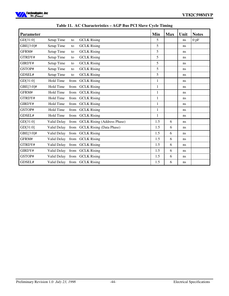

| <b>Parameter</b> |             |      |                                  | Min          | <b>Max</b> | Unit          | <b>Notes</b> |
|------------------|-------------|------|----------------------------------|--------------|------------|---------------|--------------|
| GD[31:0]         | Setup Time  | to   | <b>GCLK</b> Rising               | 5            |            | ns            | $0$ pF       |
| GBE[3:0]#        | Setup Time  | to   | <b>GCLK</b> Rising               | 5            |            | <sub>ns</sub> |              |
| GFRM#            | Setup Time  | to   | <b>GCLK</b> Rising               | 5            |            | ns            |              |
| GTRDY#           | Setup Time  | to   | <b>GCLK</b> Rising               | 5            |            | ns            |              |
| GIRDY#           | Setup Time  | to   | <b>GCLK Rising</b>               | 5            |            | <sub>ns</sub> |              |
| GSTOP#           | Setup Time  | to   | <b>GCLK</b> Rising               | 5            |            | <sub>ns</sub> |              |
| GDSEL#           | Setup Time  | to   | <b>GCLK</b> Rising               | 5            |            | ns            |              |
| GD[31:0]         | Hold Time   | from | <b>GCLK</b> Rising               | 1            |            | ns            |              |
| GBE[3:0]#        | Hold Time   | from | <b>GCLK</b> Rising               | $\mathbf{1}$ |            | <sub>ns</sub> |              |
| GFRM#            | Hold Time   | from | <b>GCLK</b> Rising               | $\mathbf{1}$ |            | ns            |              |
| GTRDY#           | Hold Time   | from | <b>GCLK</b> Rising               | $\mathbf{1}$ |            | ns            |              |
| GIRDY#           | Hold Time   | from | <b>GCLK</b> Rising               | $\mathbf{1}$ |            | ns            |              |
| GSTOP#           | Hold Time   | from | <b>GCLK</b> Rising               | $\mathbf{1}$ |            | ns            |              |
| GDSEL#           | Hold Time   | from | <b>GCLK</b> Rising               | 1            |            | ns            |              |
| GD[31:0]         | Valid Delay |      | from GCLK Rising (Address Phase) | 1.5          | 6          | ns            |              |
| GD[31:0]         | Valid Delay | from | <b>GCLK</b> Rising (Data Phase)  | 1.5          | 6          | <sub>ns</sub> |              |
| GBE[3:0]#        | Valid Delay | from | <b>GCLK</b> Rising               | 1.5          | 6          | ns            |              |
| GFRM#            | Valid Delay | from | <b>GCLK</b> Rising               | 1.5          | 6          | ns            |              |
| GTRDY#           | Valid Delay | from | <b>GCLK</b> Rising               | 1.5          | 6          | ns            |              |
| GIRDY#           | Valid Delay | from | <b>GCLK</b> Rising               | 1.5          | 6          | ns            |              |
| GSTOP#           | Valid Delay | from | <b>GCLK</b> Rising               | 1.5          | 6          | ns            |              |
| GDSEL#           |             |      | Valid Delay from GCLK Rising     | 1.5          | 6          | ns            |              |

|  |  | Table 11. AC Characteristics – AGP Bus PCI Slave Cycle Timing |  |  |  |  |  |  |
|--|--|---------------------------------------------------------------|--|--|--|--|--|--|
|--|--|---------------------------------------------------------------|--|--|--|--|--|--|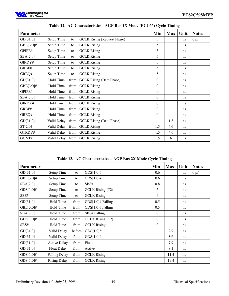

| <b>Parameter</b> |             |      |                                    | Min              | <b>Max</b> | Unit          | <b>Notes</b>    |
|------------------|-------------|------|------------------------------------|------------------|------------|---------------|-----------------|
| GD[31:0]         | Setup Time  | to   | <b>GCLK Rising (Request Phase)</b> | 5                |            | ns            | 0 <sub>pf</sub> |
| GBE[3:0]#        | Setup Time  | to   | <b>GCLK</b> Rising                 | 5                |            | <sub>ns</sub> |                 |
| GPIPE#           | Setup Time  | to   | <b>GCLK</b> Rising                 | 5                |            | ns            |                 |
| SBA[7:0]         | Setup Time  | to   | <b>GCLK</b> Rising                 | 5                |            | ns            |                 |
| GIRDY#           | Setup Time  | to   | <b>GCLK</b> Rising                 | 5                |            | ns            |                 |
| GRBF#            | Setup Time  | to   | <b>GCLK Rising</b>                 | 5                |            | ns            |                 |
| GREQ#            | Setup Time  | to   | <b>GCLK</b> Rising                 | 5                |            | ns            |                 |
| GD[31:0]         | Hold Time   | from | <b>GCLK</b> Rising (Data Phase)    | $\boldsymbol{0}$ |            | ns            |                 |
| GBE[3:0]#        | Hold Time   | from | <b>GCLK</b> Rising                 | $\boldsymbol{0}$ |            | ns            |                 |
| GPIPE#           | Hold Time   | from | <b>GCLK</b> Rising                 | $\boldsymbol{0}$ |            | ns            |                 |
| SBA[7:0]         | Hold Time   |      | from GCLK Rising                   | $\overline{0}$   |            | ns            |                 |
| GIRDY#           | Hold Time   |      | from GCLK Rising                   | $\overline{0}$   |            | ns            |                 |
| GRBF#            | Hold Time   | from | <b>GCLK</b> Rising                 | $\overline{0}$   |            | ns            |                 |
| GREQ#            | Hold Time   | from | <b>GCLK</b> Rising                 | $\overline{0}$   |            | ns            |                 |
| GD[31:0]         | Valid Delay |      | from GCLK Rising (Data Phase)      |                  | 1.8        | ns            |                 |
| ST[2:0]          | Valid Delay |      | from GCLK Rising                   | 1.5              | 4.6        | ns            |                 |
| GTRDY#           | Valid Delay |      | from GCLK Rising                   | 1.5              | 4.6        | ns            |                 |
| GGNT#            | Valid Delay |      | from GCLK Rising                   | 1.5              | 6          | ns            |                 |

**Table 12. AC Characteristics - AGP Bus 1X Mode (PCI-66) Cycle Timing**

**Table 13. AC Characteristics – AGP Bus 2X Mode Cycle Timing**

| <b>Parameter</b> |                      |        |                      | Min              | <b>Max</b> | Unit          | <b>Notes</b>    |
|------------------|----------------------|--------|----------------------|------------------|------------|---------------|-----------------|
| GD[31:0]         | Setup Time           | to     | $GDS[1:0]$ #         | 0.6              |            | ns            | 0 <sub>pf</sub> |
| GBE[3:0]#        | Setup Time           | to     | $GDS[1:0]$ #         | 0.6              |            | <sub>ns</sub> |                 |
| SBA[7:0]         | Setup Time           | to     | SBS#                 | 0.8              |            | <sub>ns</sub> |                 |
| $GDS[1:0]$ #     | Setup Time           | to     | GCLK Rising (T2)     | 5                |            | <sub>ns</sub> |                 |
| SBS#             | Setup Time           | to     | <b>GCLK</b> Rising   | 4                |            | <sub>ns</sub> |                 |
| GD[31:0]         | Hold Time            | from   | $GDS[1:0]$ # Falling | 0.5              |            | ns            |                 |
| GBE[3:0]#        | Hold Time            | from   | $GDS[1:0]$ # Falling | 0.5              |            | ns            |                 |
| SBA[7:0]         | Hold Time            | from   | SBS# Falling         | $\boldsymbol{0}$ |            | ns            |                 |
| $GDS[1:0]$ #     | Hold Time            | from   | GCLK Rising (T2)     | $\overline{0}$   |            | ns            |                 |
| SBS#             | Hold Time            | from   | <b>GCLK Rising</b>   | $\overline{0}$   |            | ns            |                 |
| GD[31:0]         | Valid Delay          | before | $GDS[1:0]$ #         |                  | 2.9        | ns            |                 |
| GD[31:0]         | Valid Delay          | from   | $GDS[1:0]$ #         |                  | 3.6        | ns            |                 |
| GD[31:0]         | <b>Active Delay</b>  | from   | Float                |                  | 7.9        | <sub>ns</sub> |                 |
| GD[31:0]         | <b>Float Delay</b>   | from   | Active               |                  | 8.1        | ns            |                 |
| $GDS[1:0]$ #     | <b>Falling Delay</b> | from   | <b>GCLK</b> Rising   |                  | 11.4       | ns            |                 |
| $GDS[1:0]$ #     | <b>Rising Delay</b>  | from   | <b>GCLK</b> Rising   |                  | 19.4       | ns            |                 |